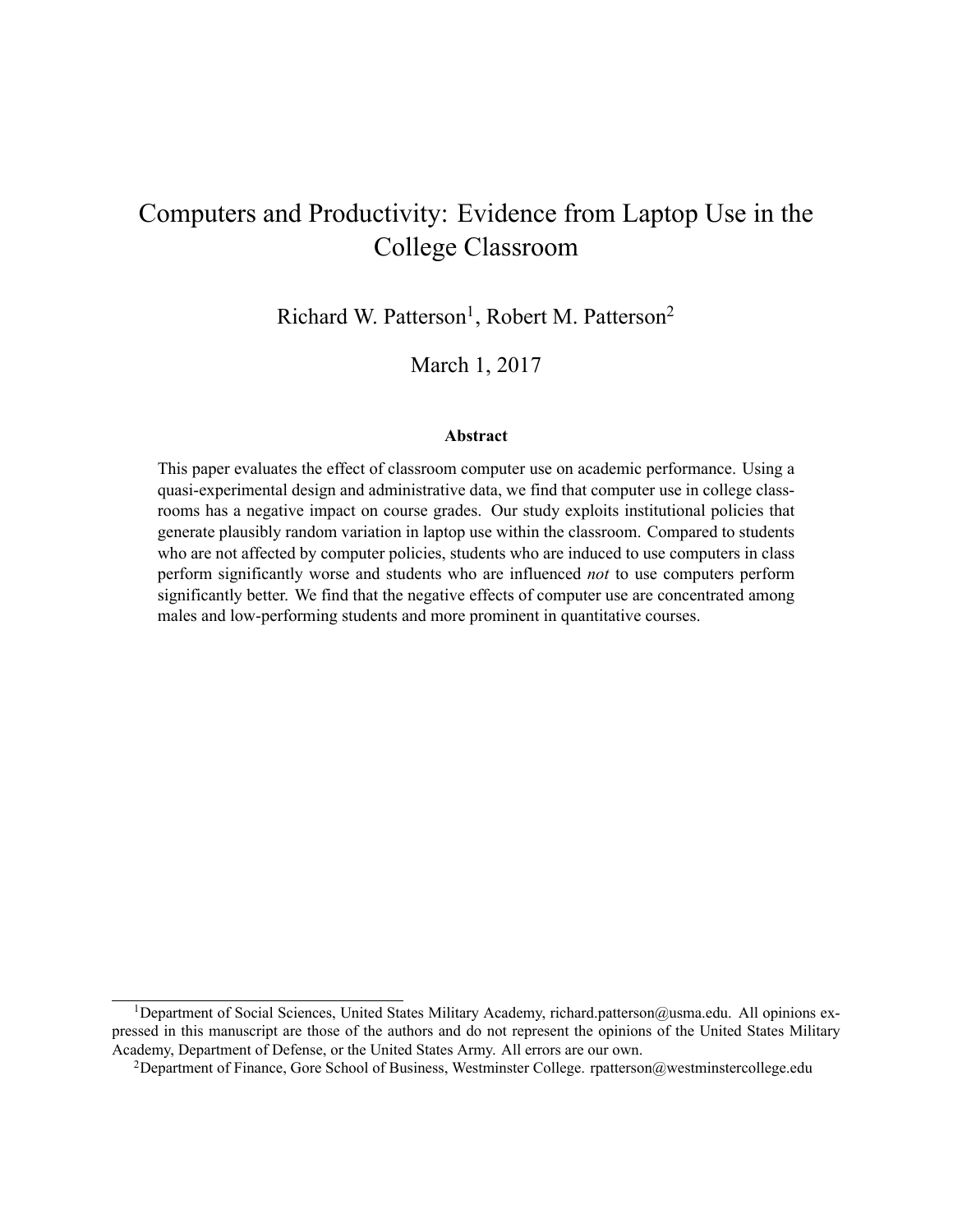# Computers and Productivity: Evidence from Laptop Use in the College Classroom

Richard W. Patterson<sup>1</sup>, Robert M. Patterson<sup>2</sup>

March 1, 2017

#### **Abstract**

This paper evaluates the effect of classroom computer use on academic performance. Using a quasi-experimental design and administrative data, we find that computer use in college classrooms has a negative impact on course grades. Our study exploits institutional policies that generate plausibly random variation in laptop use within the classroom. Compared to students who are not affected by computer policies, students who are induced to use computers in class perform significantly worse and students who are influenced *not* to use computers perform significantly better. We find that the negative effects of computer use are concentrated among males and low-performing students and more prominent in quantitative courses.

<sup>&</sup>lt;sup>1</sup>Department of Social Sciences, United States Military Academy, richard.patterson@usma.edu. All opinions expressed in this manuscript are those of the authors and do not represent the opinions of the United States Military Academy, Department of Defense, or the United States Army. All errors are our own.

<sup>&</sup>lt;sup>2</sup>Department of Finance, Gore School of Business, Westminster College. rpatterson@westminstercollege.edu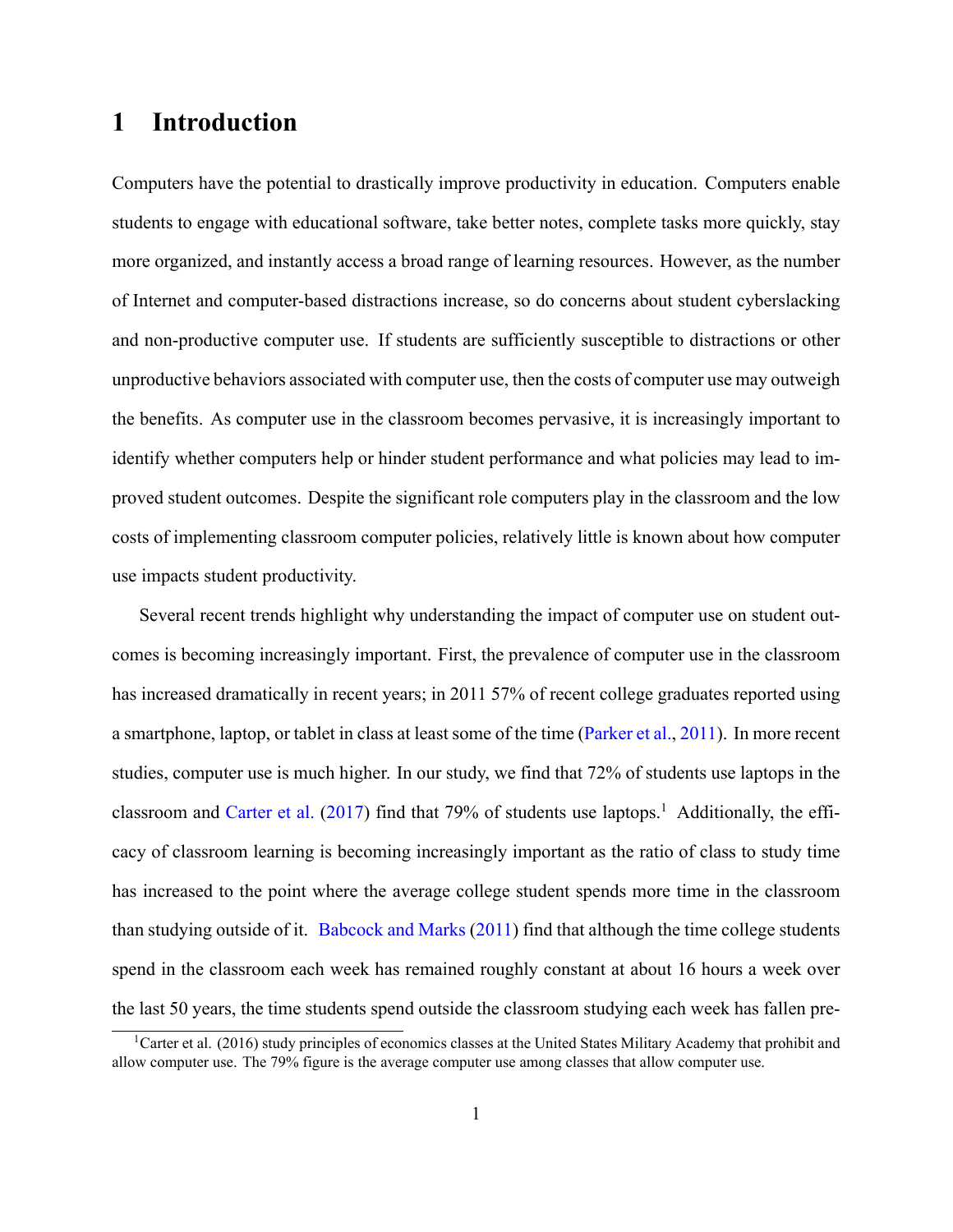## **1 Introduction**

Computers have the potential to drastically improve productivity in education. Computers enable students to engage with educational software, take better notes, complete tasks more quickly, stay more organized, and instantly access a broad range of learning resources. However, as the number of Internet and computer-based distractions increase, so do concerns about student cyberslacking and non-productive computer use. If students are sufficiently susceptible to distractions or other unproductive behaviors associated with computer use, then the costs of computer use may outweigh the benefits. As computer use in the classroom becomes pervasive, it is increasingly important to identify whether computers help or hinder student performance and what policies may lead to improved student outcomes. Despite the significant role computers play in the classroom and the low costs of implementing classroom computer policies, relatively little is known about how computer use impacts student productivity.

Several recent trends highlight why understanding the impact of computer use on student outcomes is becoming increasingly important. First, the prevalence of computer use in the classroom has increased dramatically in recent years; in 2011 57% of recent college graduates reported using a smartphone, laptop, or tablet in class at least some of the time (Parker et al., 2011). In more recent studies, computer use is much higher. In our study, we find that 72% of students use laptops in the classroom and Carter et al. (2017) find that 79% of students use laptops.<sup>1</sup> Additionally, the efficacy of classroom learning is becoming increasingly important as the ratio of class to study time has increased to the point where the average college student spends more time in the classroom than studying outside of it. Babcock and Marks (2011) find that although the time college students spend in the classroom each week has remained roughly constant at about 16 hours a week over the last 50 years, the time students spend outside the classroom studying each week has fallen pre-

<sup>&</sup>lt;sup>1</sup>Carter et al. (2016) study principles of economics classes at the United States Military Academy that prohibit and allow computer use. The 79% figure is the average computer use among classes that allow computer use.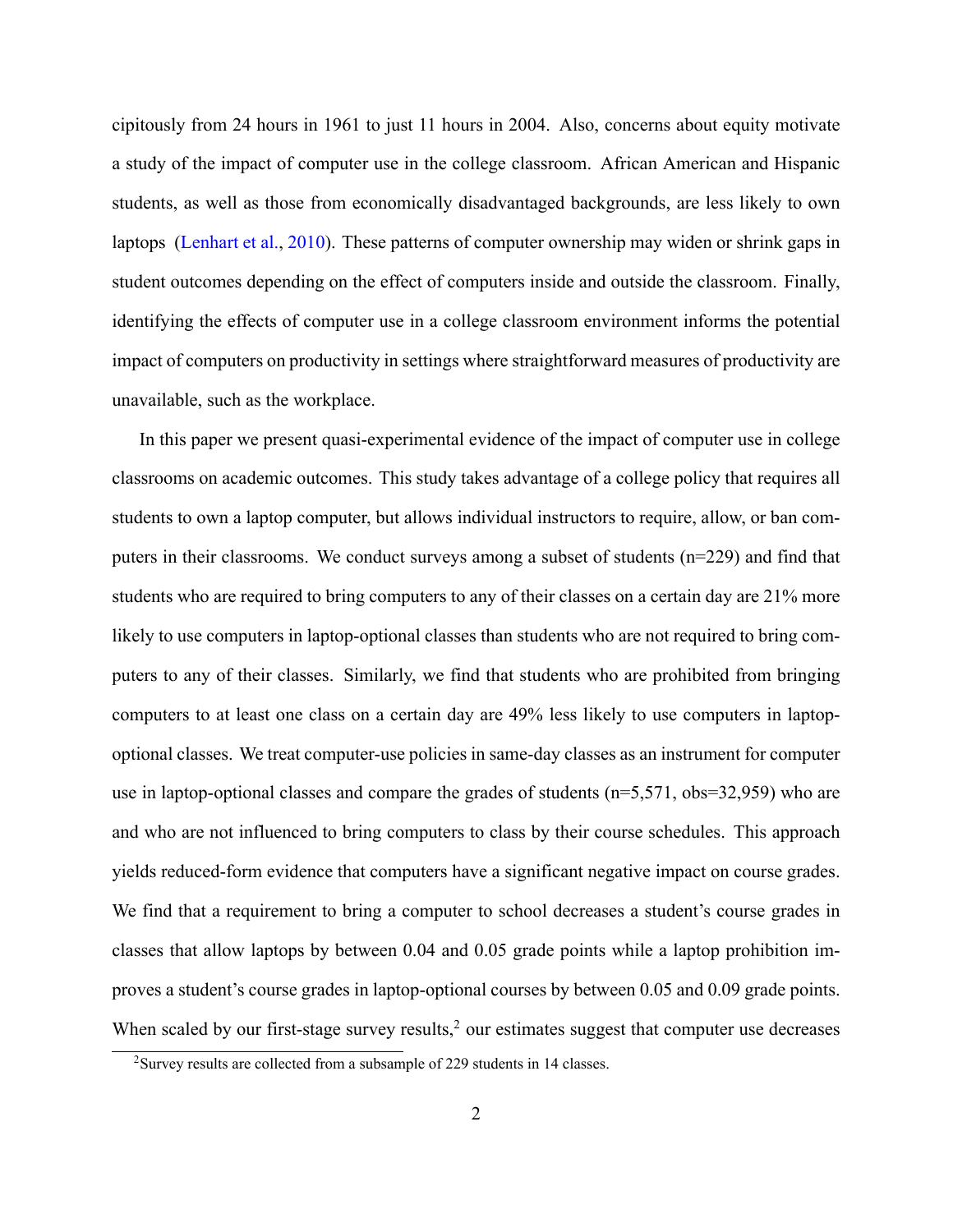cipitously from 24 hours in 1961 to just 11 hours in 2004. Also, concerns about equity motivate a study of the impact of computer use in the college classroom. African American and Hispanic students, as well as those from economically disadvantaged backgrounds, are less likely to own laptops (Lenhart et al., 2010). These patterns of computer ownership may widen or shrink gaps in student outcomes depending on the effect of computers inside and outside the classroom. Finally, identifying the effects of computer use in a college classroom environment informs the potential impact of computers on productivity in settings where straightforward measures of productivity are unavailable, such as the workplace.

In this paper we present quasi-experimental evidence of the impact of computer use in college classrooms on academic outcomes. This study takes advantage of a college policy that requires all students to own a laptop computer, but allows individual instructors to require, allow, or ban computers in their classrooms. We conduct surveys among a subset of students (n=229) and find that students who are required to bring computers to any of their classes on a certain day are 21% more likely to use computers in laptop-optional classes than students who are not required to bring computers to any of their classes. Similarly, we find that students who are prohibited from bringing computers to at least one class on a certain day are 49% less likely to use computers in laptopoptional classes. We treat computer-use policies in same-day classes as an instrument for computer use in laptop-optional classes and compare the grades of students (n=5,571, obs=32,959) who are and who are not influenced to bring computers to class by their course schedules. This approach yields reduced-form evidence that computers have a significant negative impact on course grades. We find that a requirement to bring a computer to school decreases a student's course grades in classes that allow laptops by between 0.04 and 0.05 grade points while a laptop prohibition improves a student's course grades in laptop-optional courses by between 0.05 and 0.09 grade points. When scaled by our first-stage survey results, $<sup>2</sup>$  our estimates suggest that computer use decreases</sup>

<sup>2</sup>Survey results are collected from a subsample of 229 students in 14 classes.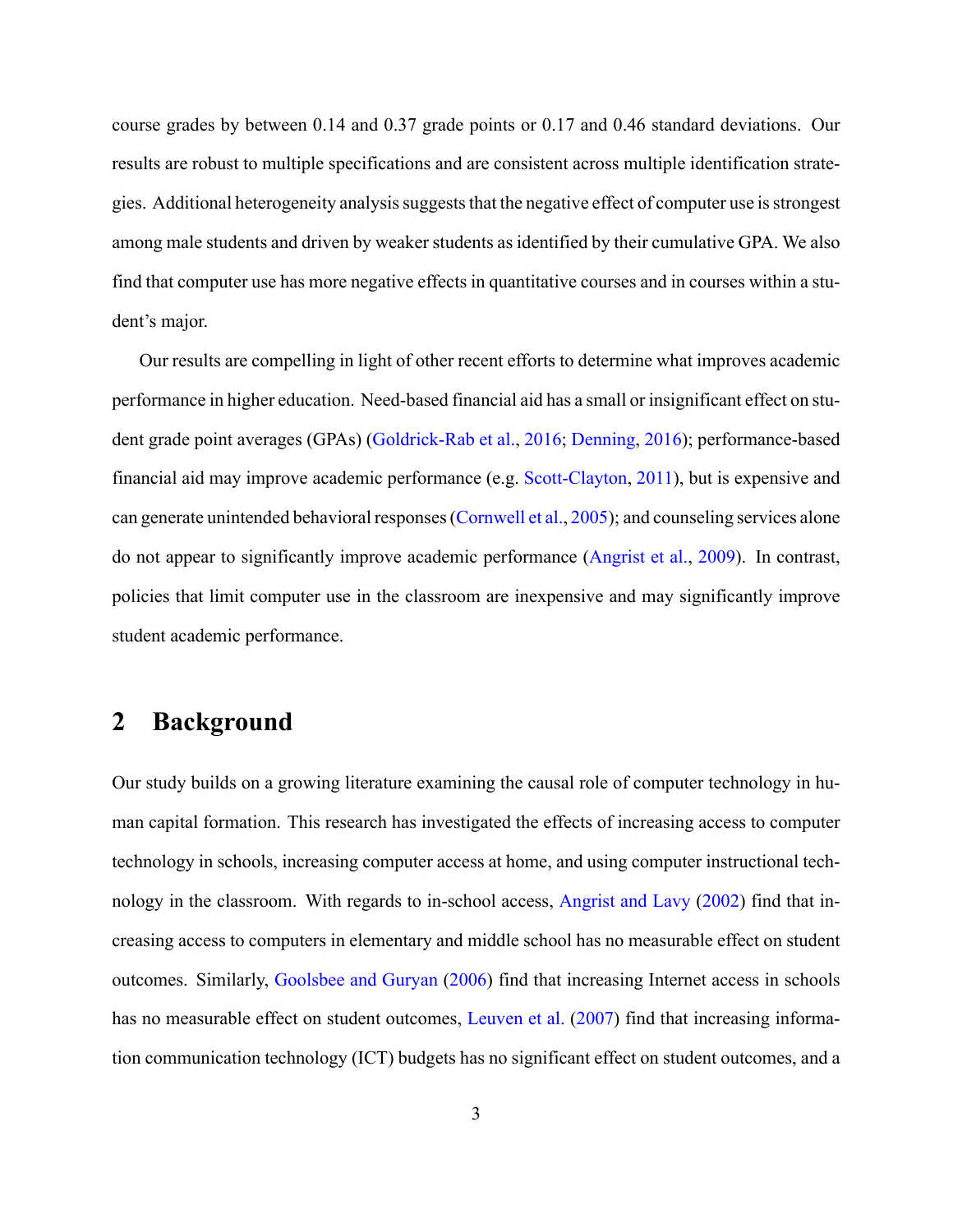course grades by between 0.14 and 0.37 grade points or 0.17 and 0.46 standard deviations. Our results are robust to multiple specifications and are consistent across multiple identification strategies. Additional heterogeneity analysis suggests that the negative effect of computer use is strongest among male students and driven by weaker students as identified by their cumulative GPA. We also find that computer use has more negative effects in quantitative courses and in courses within a student's major.

Our results are compelling in light of other recent efforts to determine what improves academic performance in higher education. Need-based financial aid has a small or insignificant effect on student grade point averages (GPAs) (Goldrick-Rab et al., 2016; Denning, 2016); performance-based financial aid may improve academic performance (e.g. Scott-Clayton, 2011), but is expensive and can generate unintended behavioral responses (Cornwell et al., 2005); and counseling services alone do not appear to significantly improve academic performance (Angrist et al., 2009). In contrast, policies that limit computer use in the classroom are inexpensive and may significantly improve student academic performance.

## **2 Background**

Our study builds on a growing literature examining the causal role of computer technology in human capital formation. This research has investigated the effects of increasing access to computer technology in schools, increasing computer access at home, and using computer instructional technology in the classroom. With regards to in-school access, Angrist and Lavy (2002) find that increasing access to computers in elementary and middle school has no measurable effect on student outcomes. Similarly, Goolsbee and Guryan (2006) find that increasing Internet access in schools has no measurable effect on student outcomes, Leuven et al. (2007) find that increasing information communication technology (ICT) budgets has no significant effect on student outcomes, and a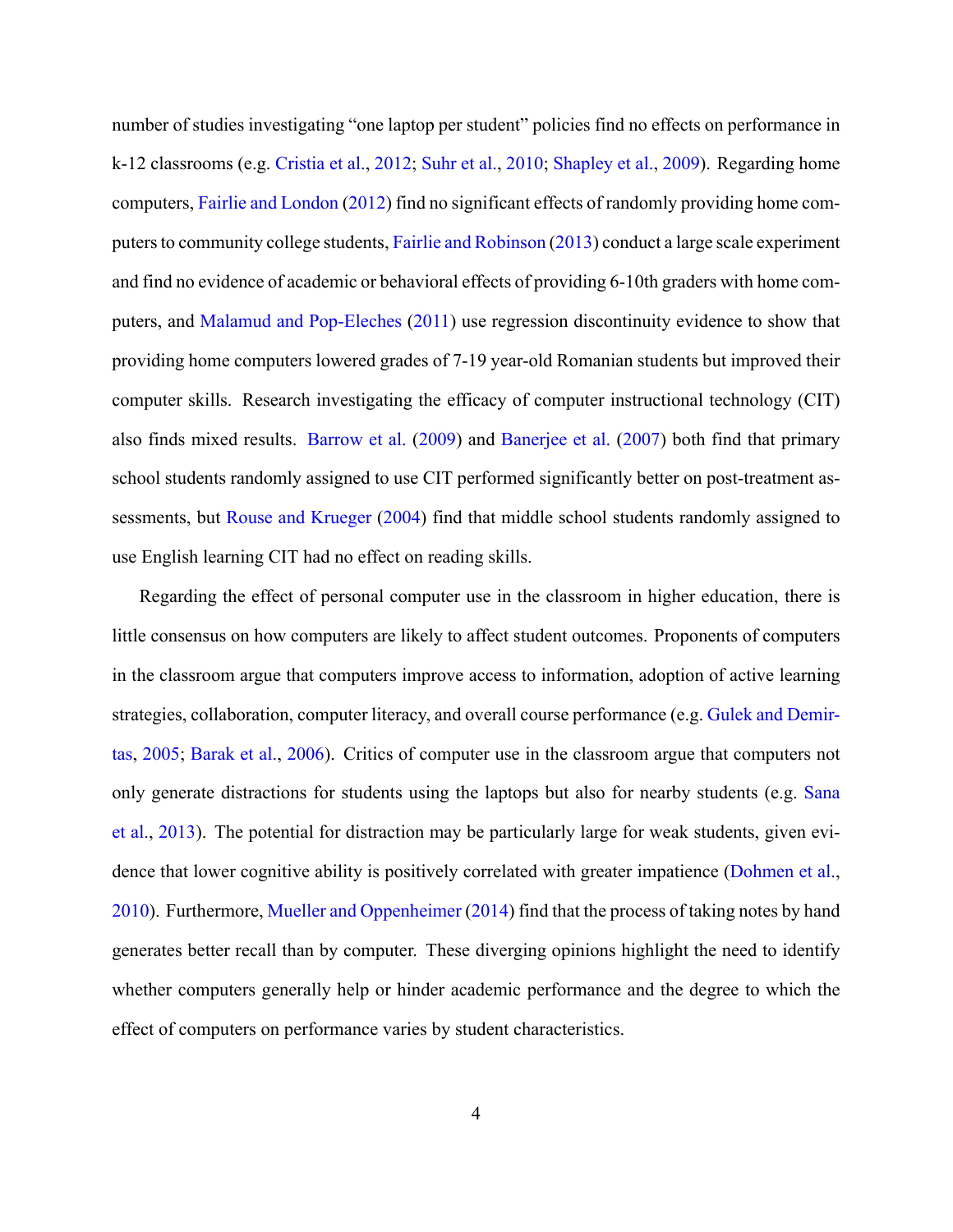number of studies investigating "one laptop per student" policies find no effects on performance in k-12 classrooms (e.g. Cristia et al., 2012; Suhr et al., 2010; Shapley et al., 2009). Regarding home computers, Fairlie and London (2012) find no significant effects of randomly providing home computers to community college students, Fairlie and Robinson (2013) conduct a large scale experiment and find no evidence of academic or behavioral effects of providing 6-10th graders with home computers, and Malamud and Pop-Eleches (2011) use regression discontinuity evidence to show that providing home computers lowered grades of 7-19 year-old Romanian students but improved their computer skills. Research investigating the efficacy of computer instructional technology (CIT) also finds mixed results. Barrow et al. (2009) and Banerjee et al. (2007) both find that primary school students randomly assigned to use CIT performed significantly better on post-treatment assessments, but Rouse and Krueger (2004) find that middle school students randomly assigned to use English learning CIT had no effect on reading skills.

Regarding the effect of personal computer use in the classroom in higher education, there is little consensus on how computers are likely to affect student outcomes. Proponents of computers in the classroom argue that computers improve access to information, adoption of active learning strategies, collaboration, computer literacy, and overall course performance (e.g. Gulek and Demirtas, 2005; Barak et al., 2006). Critics of computer use in the classroom argue that computers not only generate distractions for students using the laptops but also for nearby students (e.g. Sana et al., 2013). The potential for distraction may be particularly large for weak students, given evidence that lower cognitive ability is positively correlated with greater impatience (Dohmen et al., 2010). Furthermore, Mueller and Oppenheimer (2014) find that the process of taking notes by hand generates better recall than by computer. These diverging opinions highlight the need to identify whether computers generally help or hinder academic performance and the degree to which the effect of computers on performance varies by student characteristics.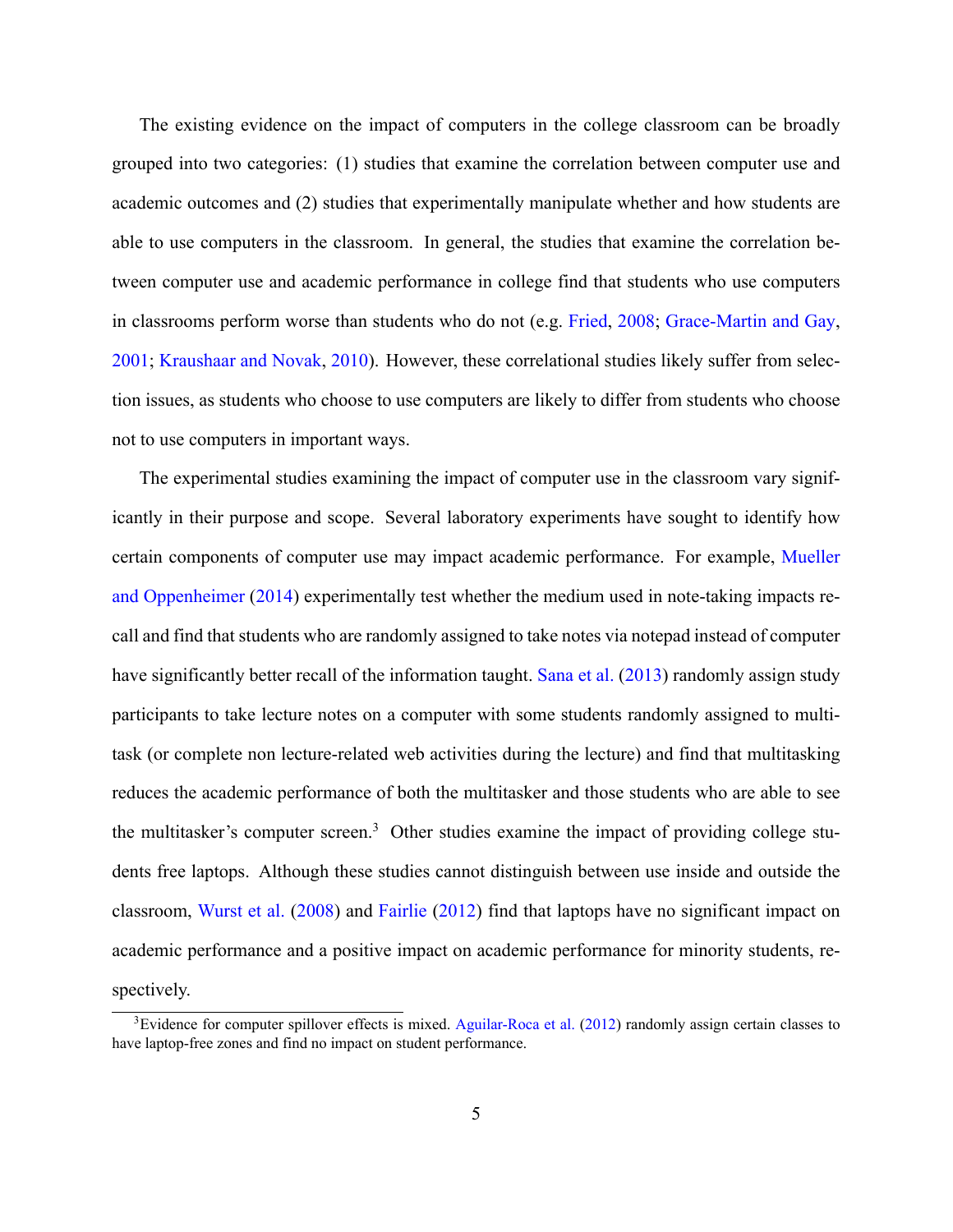The existing evidence on the impact of computers in the college classroom can be broadly grouped into two categories: (1) studies that examine the correlation between computer use and academic outcomes and (2) studies that experimentally manipulate whether and how students are able to use computers in the classroom. In general, the studies that examine the correlation between computer use and academic performance in college find that students who use computers in classrooms perform worse than students who do not (e.g. Fried, 2008; Grace-Martin and Gay, 2001; Kraushaar and Novak, 2010). However, these correlational studies likely suffer from selection issues, as students who choose to use computers are likely to differ from students who choose not to use computers in important ways.

The experimental studies examining the impact of computer use in the classroom vary significantly in their purpose and scope. Several laboratory experiments have sought to identify how certain components of computer use may impact academic performance. For example, Mueller and Oppenheimer (2014) experimentally test whether the medium used in note-taking impacts recall and find that students who are randomly assigned to take notes via notepad instead of computer have significantly better recall of the information taught. Sana et al. (2013) randomly assign study participants to take lecture notes on a computer with some students randomly assigned to multitask (or complete non lecture-related web activities during the lecture) and find that multitasking reduces the academic performance of both the multitasker and those students who are able to see the multitasker's computer screen.<sup>3</sup> Other studies examine the impact of providing college students free laptops. Although these studies cannot distinguish between use inside and outside the classroom, Wurst et al. (2008) and Fairlie (2012) find that laptops have no significant impact on academic performance and a positive impact on academic performance for minority students, respectively.

 $3$ Evidence for computer spillover effects is mixed. Aguilar-Roca et al. (2012) randomly assign certain classes to have laptop-free zones and find no impact on student performance.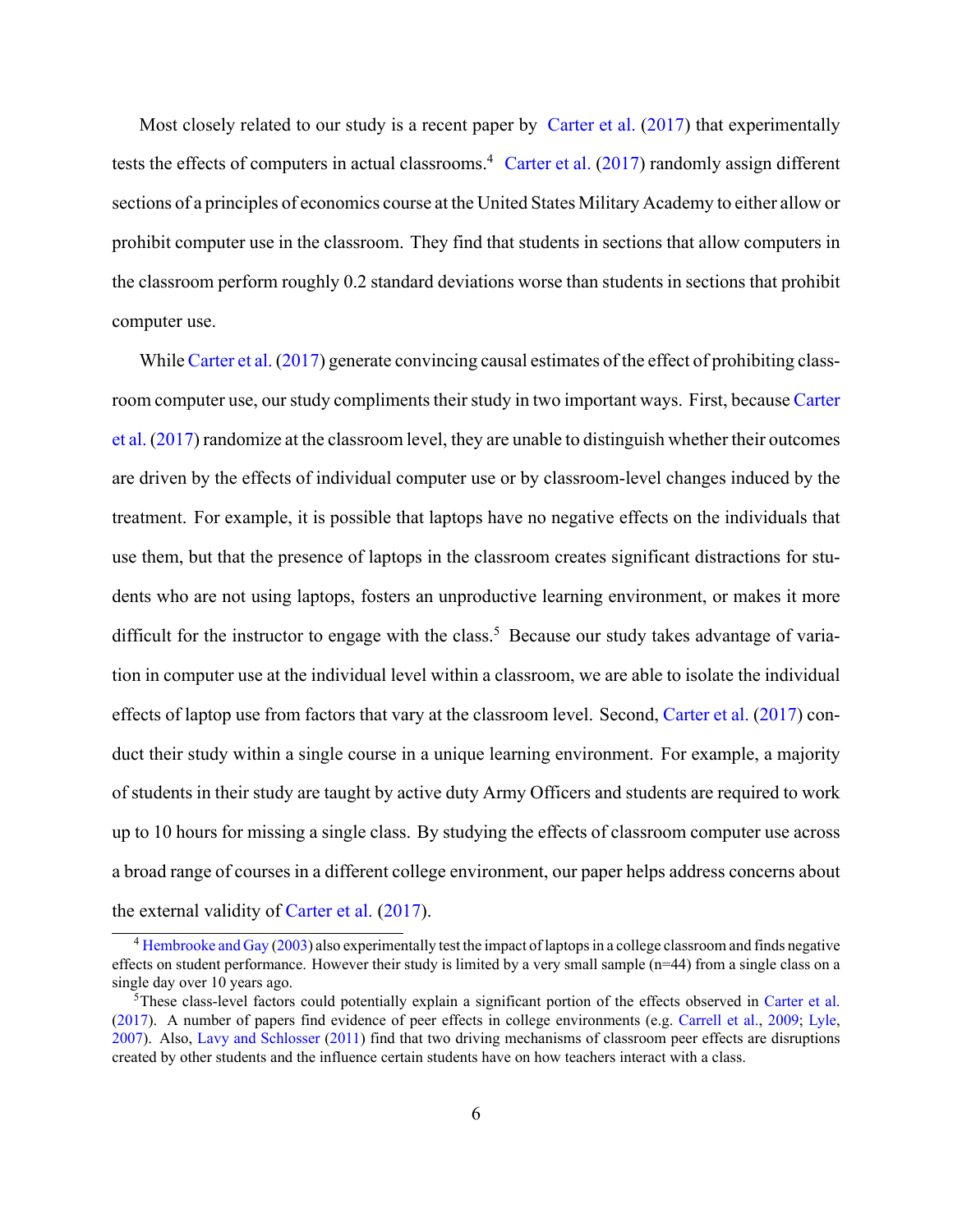Most closely related to our study is a recent paper by Carter et al. (2017) that experimentally tests the effects of computers in actual classrooms.<sup>4</sup> Carter et al.  $(2017)$  randomly assign different sections of a principles of economics course at the United States Military Academy to either allow or prohibit computer use in the classroom. They find that students in sections that allow computers in the classroom perform roughly 0.2 standard deviations worse than students in sections that prohibit computer use.

While Carter et al. (2017) generate convincing causal estimates of the effect of prohibiting classroom computer use, our study compliments their study in two important ways. First, because Carter et al. (2017) randomize at the classroom level, they are unable to distinguish whether their outcomes are driven by the effects of individual computer use or by classroom-level changes induced by the treatment. For example, it is possible that laptops have no negative effects on the individuals that use them, but that the presence of laptops in the classroom creates significant distractions for students who are not using laptops, fosters an unproductive learning environment, or makes it more difficult for the instructor to engage with the class.<sup>5</sup> Because our study takes advantage of variation in computer use at the individual level within a classroom, we are able to isolate the individual effects of laptop use from factors that vary at the classroom level. Second, Carter et al. (2017) conduct their study within a single course in a unique learning environment. For example, a majority of students in their study are taught by active duty Army Officers and students are required to work up to 10 hours for missing a single class. By studying the effects of classroom computer use across a broad range of courses in a different college environment, our paper helps address concerns about the external validity of Carter et al. (2017).

 $4$  Hembrooke and Gay (2003) also experimentally test the impact of laptops in a college classroom and finds negative effects on student performance. However their study is limited by a very small sample (n=44) from a single class on a single day over 10 years ago.

<sup>5</sup>These class-level factors could potentially explain a significant portion of the effects observed in Carter et al. (2017). A number of papers find evidence of peer effects in college environments (e.g. Carrell et al., 2009; Lyle, 2007). Also, Lavy and Schlosser (2011) find that two driving mechanisms of classroom peer effects are disruptions created by other students and the influence certain students have on how teachers interact with a class.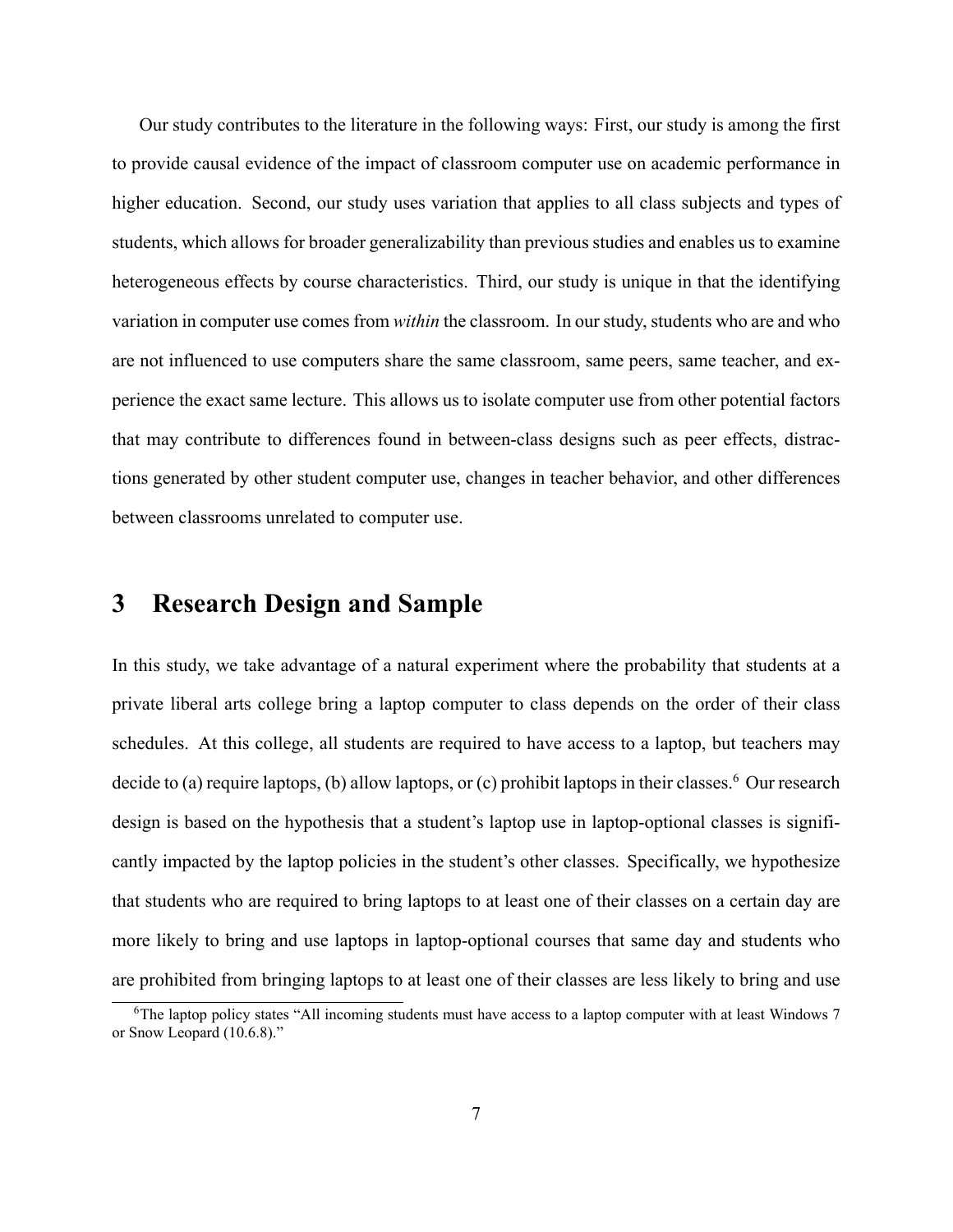Our study contributes to the literature in the following ways: First, our study is among the first to provide causal evidence of the impact of classroom computer use on academic performance in higher education. Second, our study uses variation that applies to all class subjects and types of students, which allows for broader generalizability than previous studies and enables us to examine heterogeneous effects by course characteristics. Third, our study is unique in that the identifying variation in computer use comes from *within* the classroom. In our study, students who are and who are not influenced to use computers share the same classroom, same peers, same teacher, and experience the exact same lecture. This allows us to isolate computer use from other potential factors that may contribute to differences found in between-class designs such as peer effects, distractions generated by other student computer use, changes in teacher behavior, and other differences between classrooms unrelated to computer use.

## **3 Research Design and Sample**

In this study, we take advantage of a natural experiment where the probability that students at a private liberal arts college bring a laptop computer to class depends on the order of their class schedules. At this college, all students are required to have access to a laptop, but teachers may decide to (a) require laptops, (b) allow laptops, or (c) prohibit laptops in their classes.<sup>6</sup> Our research design is based on the hypothesis that a student's laptop use in laptop-optional classes is significantly impacted by the laptop policies in the student's other classes. Specifically, we hypothesize that students who are required to bring laptops to at least one of their classes on a certain day are more likely to bring and use laptops in laptop-optional courses that same day and students who are prohibited from bringing laptops to at least one of their classes are less likely to bring and use

<sup>&</sup>lt;sup>6</sup>The laptop policy states "All incoming students must have access to a laptop computer with at least Windows 7 or Snow Leopard (10.6.8)."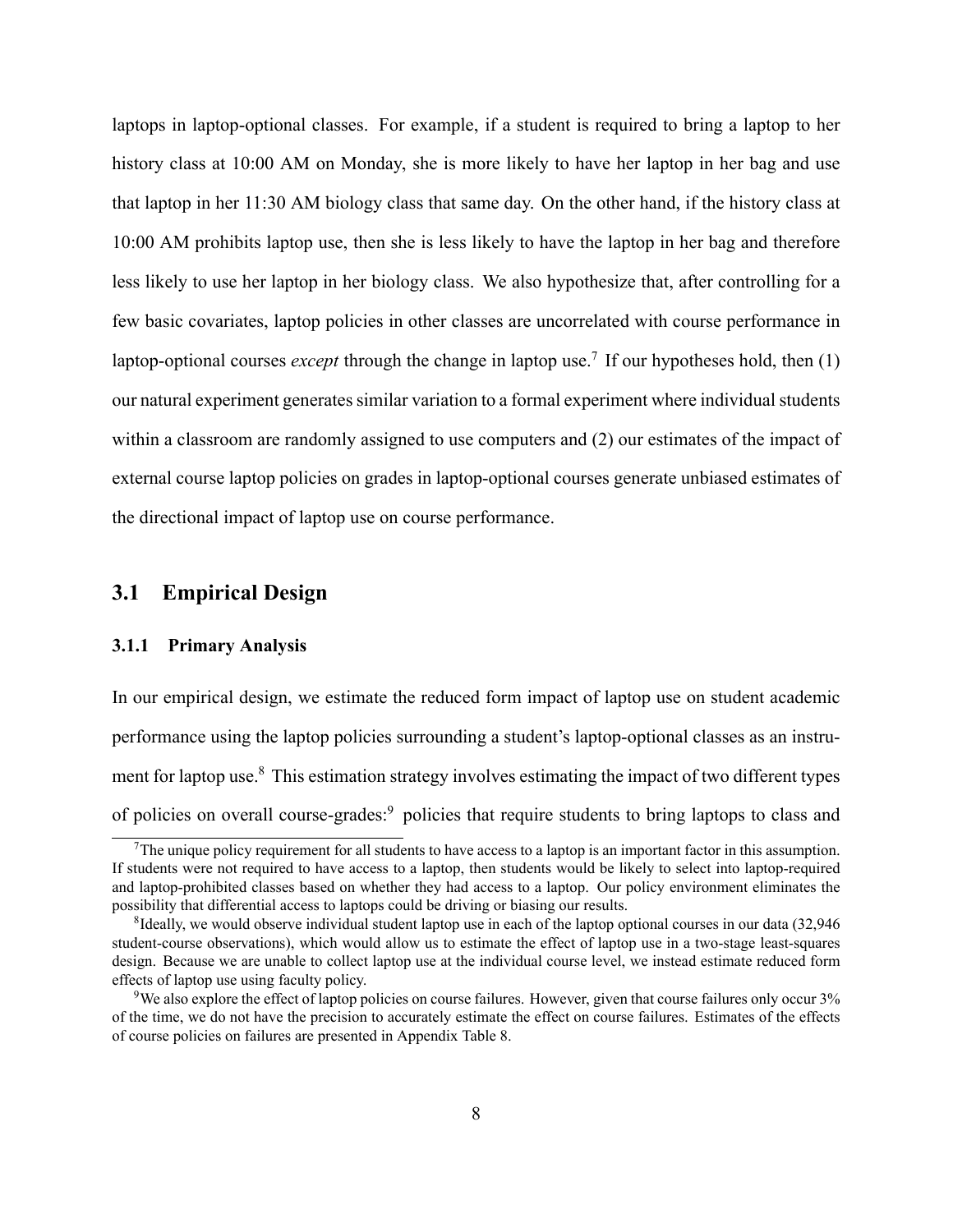laptops in laptop-optional classes. For example, if a student is required to bring a laptop to her history class at 10:00 AM on Monday, she is more likely to have her laptop in her bag and use that laptop in her 11:30 AM biology class that same day. On the other hand, if the history class at 10:00 AM prohibits laptop use, then she is less likely to have the laptop in her bag and therefore less likely to use her laptop in her biology class. We also hypothesize that, after controlling for a few basic covariates, laptop policies in other classes are uncorrelated with course performance in laptop-optional courses *except* through the change in laptop use.<sup>7</sup> If our hypotheses hold, then (1) our natural experiment generates similar variation to a formal experiment where individual students within a classroom are randomly assigned to use computers and (2) our estimates of the impact of external course laptop policies on grades in laptop-optional courses generate unbiased estimates of the directional impact of laptop use on course performance.

## **3.1 Empirical Design**

#### **3.1.1 Primary Analysis**

In our empirical design, we estimate the reduced form impact of laptop use on student academic performance using the laptop policies surrounding a student's laptop-optional classes as an instrument for laptop use.<sup>8</sup> This estimation strategy involves estimating the impact of two different types of policies on overall course-grades:<sup>9</sup> policies that require students to bring laptops to class and

 $7$ The unique policy requirement for all students to have access to a laptop is an important factor in this assumption. If students were not required to have access to a laptop, then students would be likely to select into laptop-required and laptop-prohibited classes based on whether they had access to a laptop. Our policy environment eliminates the possibility that differential access to laptops could be driving or biasing our results.

<sup>&</sup>lt;sup>8</sup>Ideally, we would observe individual student laptop use in each of the laptop optional courses in our data (32,946 student-course observations), which would allow us to estimate the effect of laptop use in a two-stage least-squares design. Because we are unable to collect laptop use at the individual course level, we instead estimate reduced form effects of laptop use using faculty policy.

<sup>9</sup>We also explore the effect of laptop policies on course failures. However, given that course failures only occur 3% of the time, we do not have the precision to accurately estimate the effect on course failures. Estimates of the effects of course policies on failures are presented in Appendix Table 8.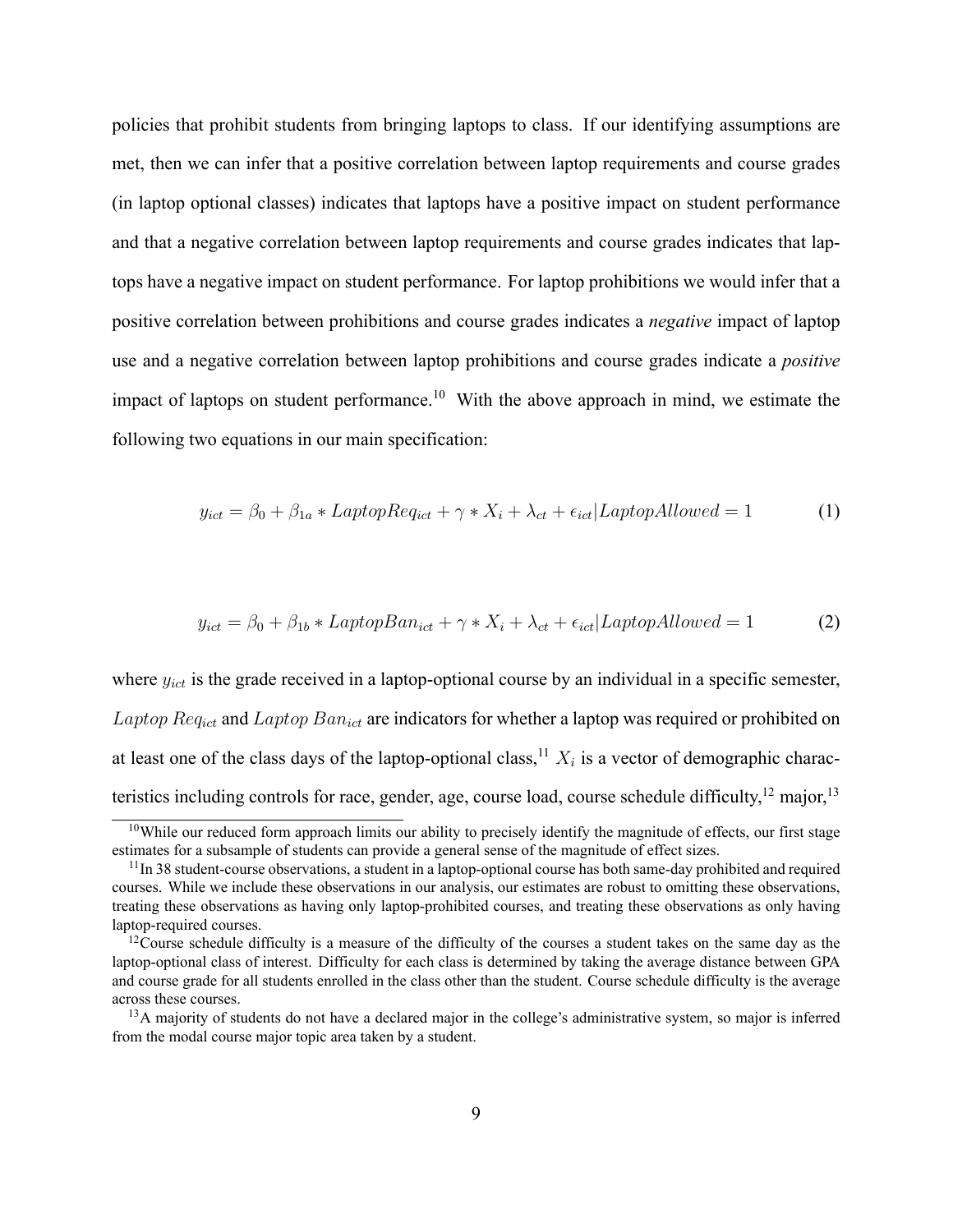policies that prohibit students from bringing laptops to class. If our identifying assumptions are met, then we can infer that a positive correlation between laptop requirements and course grades (in laptop optional classes) indicates that laptops have a positive impact on student performance and that a negative correlation between laptop requirements and course grades indicates that laptops have a negative impact on student performance. For laptop prohibitions we would infer that a positive correlation between prohibitions and course grades indicates a *negative* impact of laptop use and a negative correlation between laptop prohibitions and course grades indicate a *positive* impact of laptops on student performance.<sup>10</sup> With the above approach in mind, we estimate the following two equations in our main specification:

$$
y_{ict} = \beta_0 + \beta_{1a} * \text{LaptopReg}_{ict} + \gamma * X_i + \lambda_{ct} + \epsilon_{ict} | \text{LaptopAllowed} = 1
$$
 (1)

$$
y_{ict} = \beta_0 + \beta_{1b} * \text{LaptopB}an_{ict} + \gamma * X_i + \lambda_{ct} + \epsilon_{ict} | \text{Laptop}allowed = 1
$$
 (2)

where  $y_{ict}$  is the grade received in a laptop-optional course by an individual in a specific semester, Laptop Re $q_{ict}$  and Laptop Ban<sub>ict</sub> are indicators for whether a laptop was required or prohibited on at least one of the class days of the laptop-optional class,  $11 X_i$  is a vector of demographic characteristics including controls for race, gender, age, course load, course schedule difficulty,  $12 \text{ major}, 13$ 

 $10$ While our reduced form approach limits our ability to precisely identify the magnitude of effects, our first stage estimates for a subsample of students can provide a general sense of the magnitude of effect sizes.

 $11$ In 38 student-course observations, a student in a laptop-optional course has both same-day prohibited and required courses. While we include these observations in our analysis, our estimates are robust to omitting these observations, treating these observations as having only laptop-prohibited courses, and treating these observations as only having laptop-required courses.

<sup>&</sup>lt;sup>12</sup>Course schedule difficulty is a measure of the difficulty of the courses a student takes on the same day as the laptop-optional class of interest. Difficulty for each class is determined by taking the average distance between GPA and course grade for all students enrolled in the class other than the student. Course schedule difficulty is the average across these courses.

<sup>&</sup>lt;sup>13</sup>A majority of students do not have a declared major in the college's administrative system, so major is inferred from the modal course major topic area taken by a student.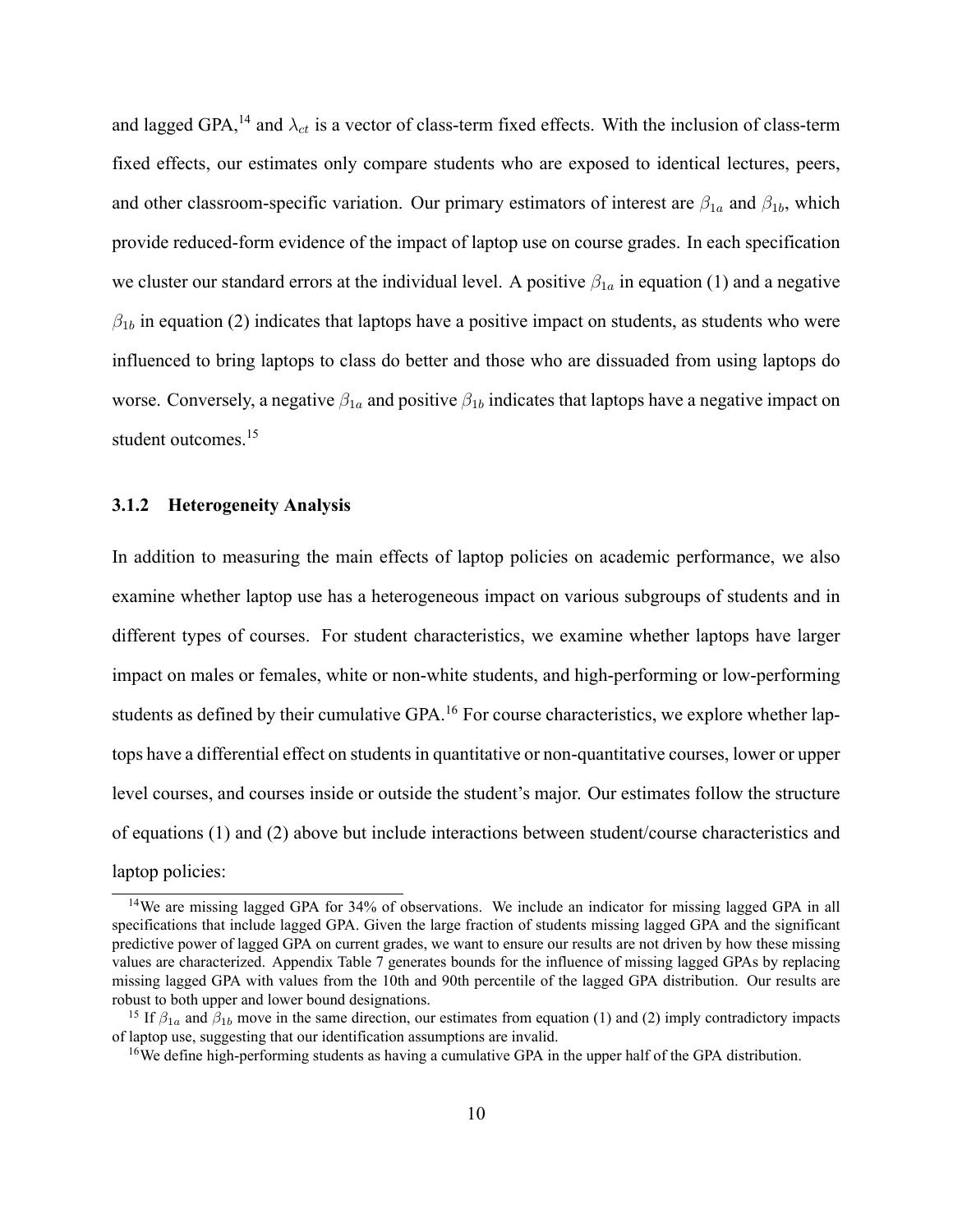and lagged GPA,<sup>14</sup> and  $\lambda_{ct}$  is a vector of class-term fixed effects. With the inclusion of class-term fixed effects, our estimates only compare students who are exposed to identical lectures, peers, and other classroom-specific variation. Our primary estimators of interest are  $\beta_{1a}$  and  $\beta_{1b}$ , which provide reduced-form evidence of the impact of laptop use on course grades. In each specification we cluster our standard errors at the individual level. A positive  $\beta_{1a}$  in equation (1) and a negative  $\beta_{1b}$  in equation (2) indicates that laptops have a positive impact on students, as students who were influenced to bring laptops to class do better and those who are dissuaded from using laptops do worse. Conversely, a negative  $\beta_{1a}$  and positive  $\beta_{1b}$  indicates that laptops have a negative impact on student outcomes.<sup>15</sup>

#### **3.1.2 Heterogeneity Analysis**

In addition to measuring the main effects of laptop policies on academic performance, we also examine whether laptop use has a heterogeneous impact on various subgroups of students and in different types of courses. For student characteristics, we examine whether laptops have larger impact on males or females, white or non-white students, and high-performing or low-performing students as defined by their cumulative GPA.<sup>16</sup> For course characteristics, we explore whether laptops have a differential effect on students in quantitative or non-quantitative courses, lower or upper level courses, and courses inside or outside the student's major. Our estimates follow the structure of equations (1) and (2) above but include interactions between student/course characteristics and laptop policies:

<sup>&</sup>lt;sup>14</sup>We are missing lagged GPA for 34% of observations. We include an indicator for missing lagged GPA in all specifications that include lagged GPA. Given the large fraction of students missing lagged GPA and the significant predictive power of lagged GPA on current grades, we want to ensure our results are not driven by how these missing values are characterized. Appendix Table 7 generates bounds for the influence of missing lagged GPAs by replacing missing lagged GPA with values from the 10th and 90th percentile of the lagged GPA distribution. Our results are robust to both upper and lower bound designations.

<sup>&</sup>lt;sup>15</sup> If  $\beta_{1a}$  and  $\beta_{1b}$  move in the same direction, our estimates from equation (1) and (2) imply contradictory impacts of laptop use, suggesting that our identification assumptions are invalid.

<sup>&</sup>lt;sup>16</sup>We define high-performing students as having a cumulative GPA in the upper half of the GPA distribution.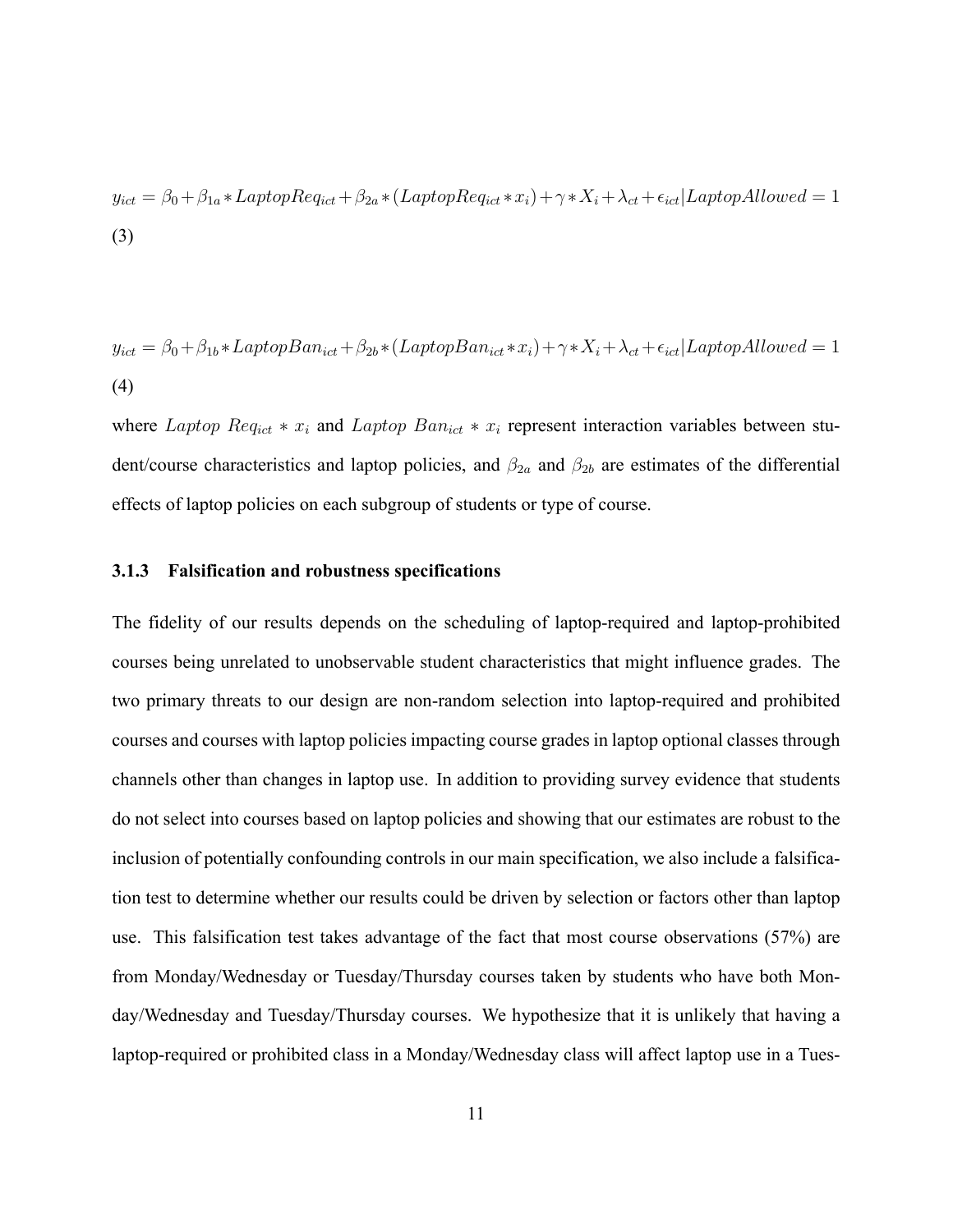$$
y_{ict} = \beta_0 + \beta_{1a} * LaptopReg_{ict} + \beta_{2a} * (LaptopReg_{ict} * x_i) + \gamma * X_i + \lambda_{ct} + \epsilon_{ict} |LaptopAlloved = 1
$$
  
(3)

$$
y_{ict} = \beta_0 + \beta_{1b} * LaptopBan_{ict} + \beta_{2b} * (Laptop Ban_{ict} * x_i) + \gamma * X_i + \lambda_{ct} + \epsilon_{ict} |LaptopAlloved = 1
$$
\n(4)

where Laptop Re $q_{ict} * x_i$  and Laptop Ban<sub>ict</sub>  $* x_i$  represent interaction variables between student/course characteristics and laptop policies, and  $\beta_{2a}$  and  $\beta_{2b}$  are estimates of the differential effects of laptop policies on each subgroup of students or type of course.

#### **3.1.3 Falsification and robustness specifications**

The fidelity of our results depends on the scheduling of laptop-required and laptop-prohibited courses being unrelated to unobservable student characteristics that might influence grades. The two primary threats to our design are non-random selection into laptop-required and prohibited courses and courses with laptop policies impacting course grades in laptop optional classes through channels other than changes in laptop use. In addition to providing survey evidence that students do not select into courses based on laptop policies and showing that our estimates are robust to the inclusion of potentially confounding controls in our main specification, we also include a falsification test to determine whether our results could be driven by selection or factors other than laptop use. This falsification test takes advantage of the fact that most course observations (57%) are from Monday/Wednesday or Tuesday/Thursday courses taken by students who have both Monday/Wednesday and Tuesday/Thursday courses. We hypothesize that it is unlikely that having a laptop-required or prohibited class in a Monday/Wednesday class will affect laptop use in a Tues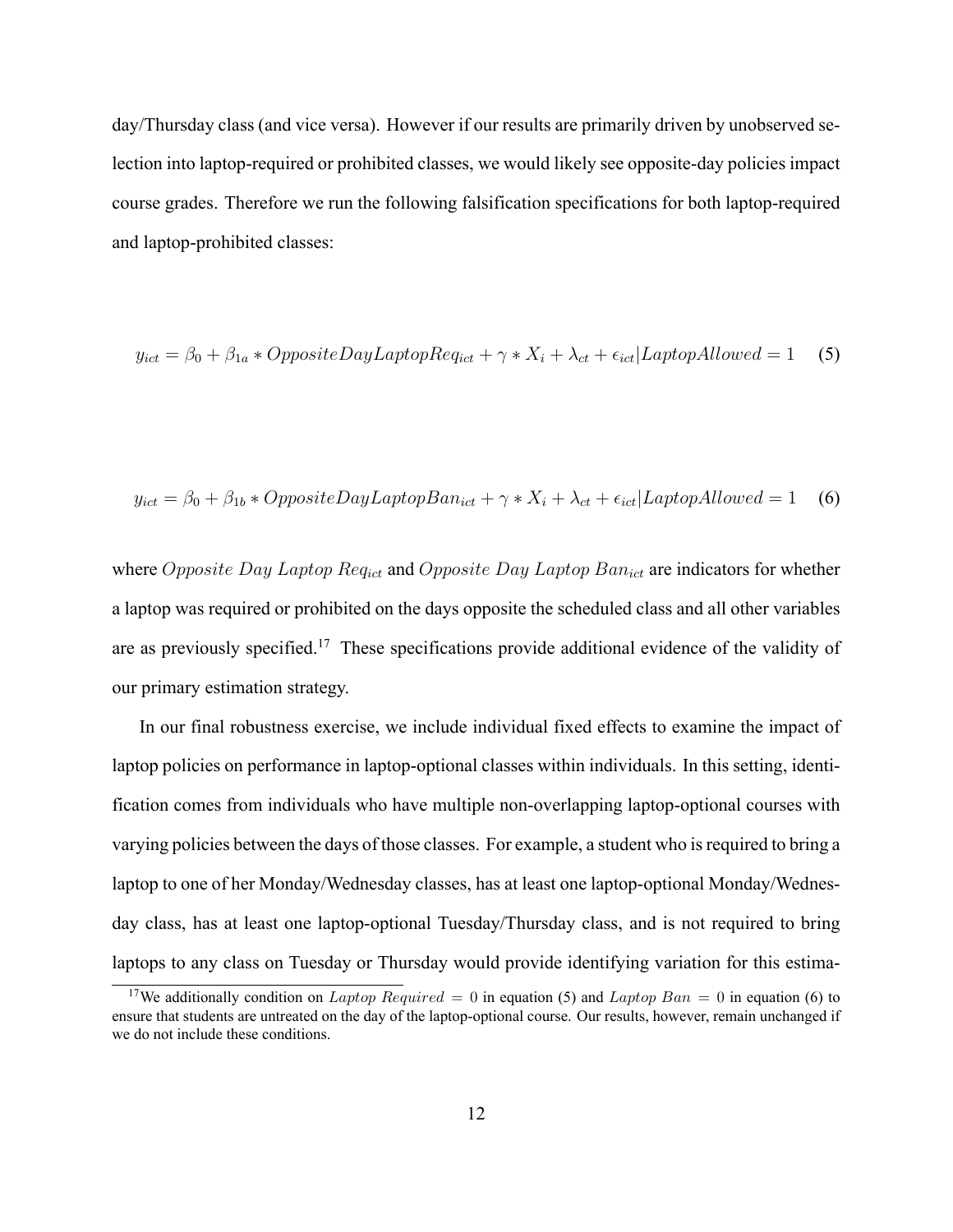day/Thursday class (and vice versa). However if our results are primarily driven by unobserved selection into laptop-required or prohibited classes, we would likely see opposite-day policies impact course grades. Therefore we run the following falsification specifications for both laptop-required and laptop-prohibited classes:

$$
y_{ict} = \beta_0 + \beta_{1a} * OppositeDayLaptopReg_{ict} + \gamma * X_i + \lambda_{ct} + \epsilon_{ict} |LaptopAlloved = 1 \quad (5)
$$

$$
y_{ict} = \beta_0 + \beta_{1b} * OppositeDayLaptopBan_{ict} + \gamma * X_i + \lambda_{ct} + \epsilon_{ict} |LaptopAllowed = 1 \quad (6)
$$

where Opposite Day Laptop Req<sub>ict</sub> and Opposite Day Laptop Ban<sub>ict</sub> are indicators for whether a laptop was required or prohibited on the days opposite the scheduled class and all other variables are as previously specified.<sup>17</sup> These specifications provide additional evidence of the validity of our primary estimation strategy.

In our final robustness exercise, we include individual fixed effects to examine the impact of laptop policies on performance in laptop-optional classes within individuals. In this setting, identification comes from individuals who have multiple non-overlapping laptop-optional courses with varying policies between the days of those classes. For example, a student who is required to bring a laptop to one of her Monday/Wednesday classes, has at least one laptop-optional Monday/Wednesday class, has at least one laptop-optional Tuesday/Thursday class, and is not required to bring laptops to any class on Tuesday or Thursday would provide identifying variation for this estima-

<sup>&</sup>lt;sup>17</sup>We additionally condition on *Laptop Required* = 0 in equation (5) and *Laptop Ban* = 0 in equation (6) to ensure that students are untreated on the day of the laptop-optional course. Our results, however, remain unchanged if we do not include these conditions.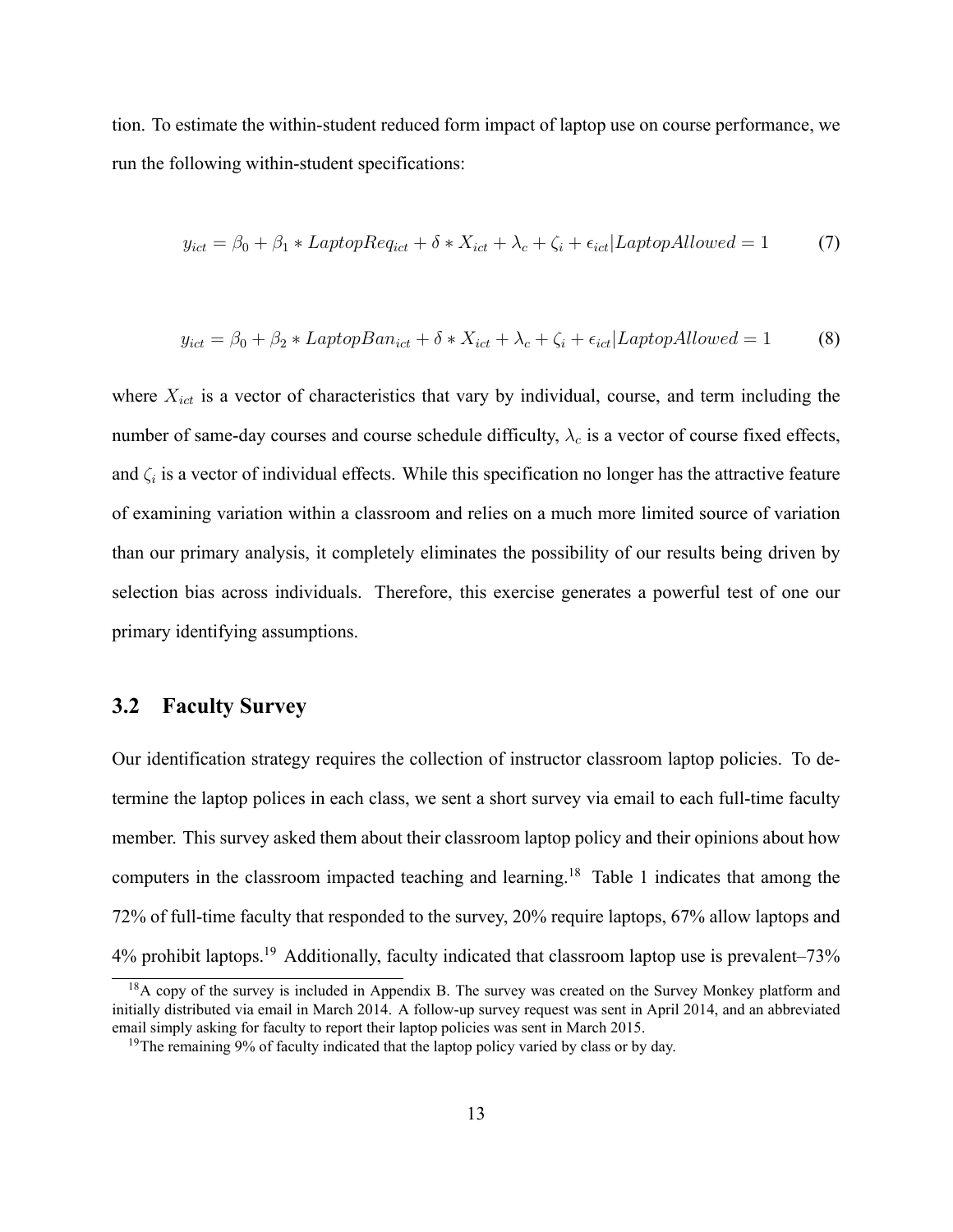tion. To estimate the within-student reduced form impact of laptop use on course performance, we run the following within-student specifications:

$$
y_{ict} = \beta_0 + \beta_1 * \text{LaptopReg}_{ict} + \delta * X_{ict} + \lambda_c + \zeta_i + \epsilon_{ict} | \text{LaptopAllowed} = 1 \tag{7}
$$

$$
y_{ict} = \beta_0 + \beta_2 * \text{LaptopB}an_{ict} + \delta * X_{ict} + \lambda_c + \zeta_i + \epsilon_{ict} | \text{Laptop}allowed = 1
$$
 (8)

where  $X_{ict}$  is a vector of characteristics that vary by individual, course, and term including the number of same-day courses and course schedule difficulty,  $\lambda_c$  is a vector of course fixed effects, and  $\zeta_i$  is a vector of individual effects. While this specification no longer has the attractive feature of examining variation within a classroom and relies on a much more limited source of variation than our primary analysis, it completely eliminates the possibility of our results being driven by selection bias across individuals. Therefore, this exercise generates a powerful test of one our primary identifying assumptions.

### **3.2 Faculty Survey**

Our identification strategy requires the collection of instructor classroom laptop policies. To determine the laptop polices in each class, we sent a short survey via email to each full-time faculty member. This survey asked them about their classroom laptop policy and their opinions about how computers in the classroom impacted teaching and learning.<sup>18</sup> Table 1 indicates that among the 72% of full-time faculty that responded to the survey, 20% require laptops, 67% allow laptops and 4% prohibit laptops.<sup>19</sup> Additionally, faculty indicated that classroom laptop use is prevalent–73%

<sup>&</sup>lt;sup>18</sup>A copy of the survey is included in Appendix B. The survey was created on the Survey Monkey platform and initially distributed via email in March 2014. A follow-up survey request was sent in April 2014, and an abbreviated email simply asking for faculty to report their laptop policies was sent in March 2015.

 $19$ <sup>19</sup>The remaining 9% of faculty indicated that the laptop policy varied by class or by day.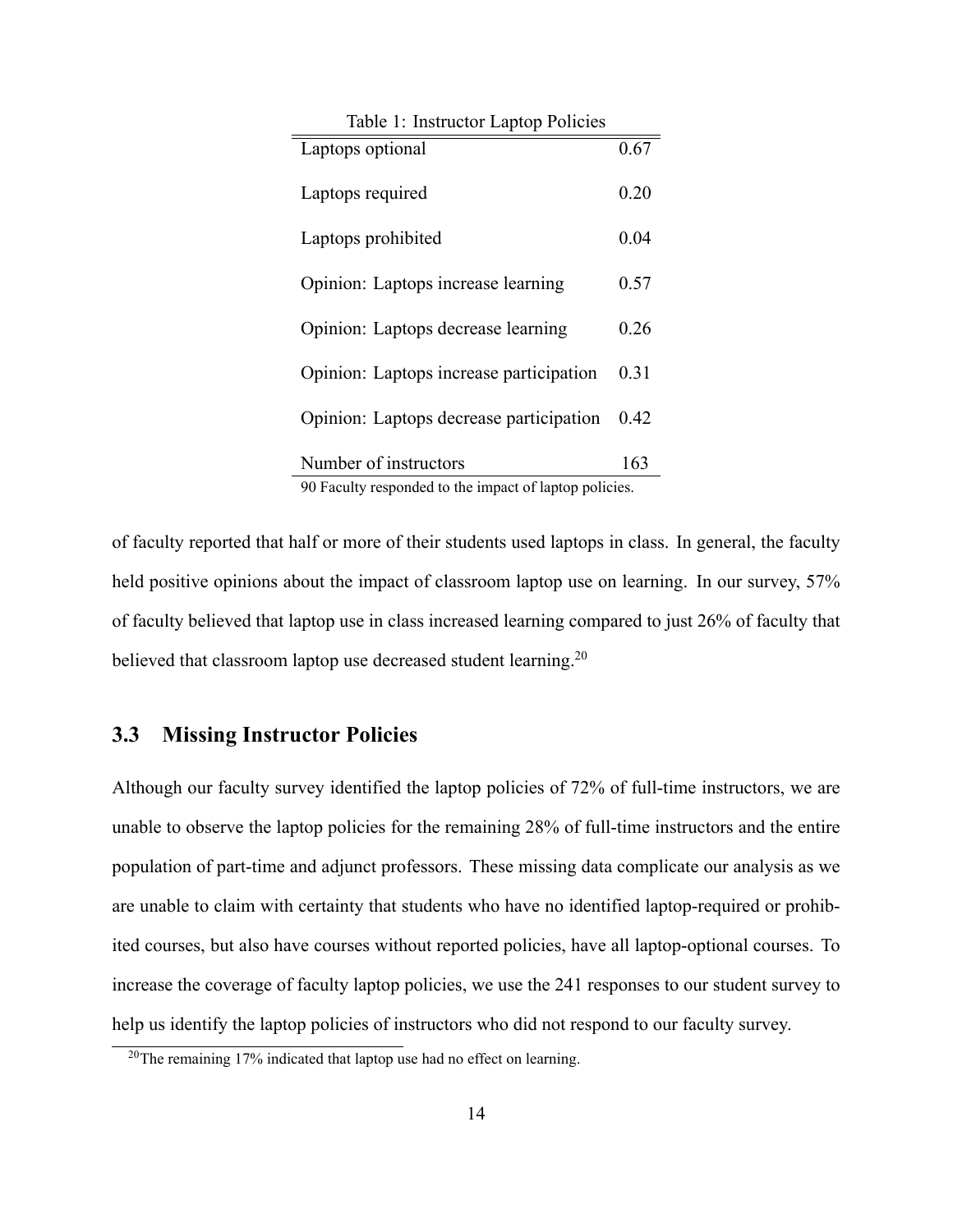| Table 1: Instructor Laptop Policies                                                     |      |
|-----------------------------------------------------------------------------------------|------|
| Laptops optional                                                                        | 0.67 |
| Laptops required                                                                        | 0.20 |
| Laptops prohibited                                                                      | 0.04 |
| Opinion: Laptops increase learning                                                      | 0.57 |
| Opinion: Laptops decrease learning                                                      | 0.26 |
| Opinion: Laptops increase participation                                                 | 0.31 |
| Opinion: Laptops decrease participation                                                 | 0.42 |
| Number of instructors<br>00. Equillar proposante data de cinema et a filamboni pallados | 163  |

90 Faculty responded to the impact of laptop policies.

of faculty reported that half or more of their students used laptops in class. In general, the faculty held positive opinions about the impact of classroom laptop use on learning. In our survey, 57% of faculty believed that laptop use in class increased learning compared to just 26% of faculty that believed that classroom laptop use decreased student learning.<sup>20</sup>

## **3.3 Missing Instructor Policies**

Although our faculty survey identified the laptop policies of 72% of full-time instructors, we are unable to observe the laptop policies for the remaining 28% of full-time instructors and the entire population of part-time and adjunct professors. These missing data complicate our analysis as we are unable to claim with certainty that students who have no identified laptop-required or prohibited courses, but also have courses without reported policies, have all laptop-optional courses. To increase the coverage of faculty laptop policies, we use the 241 responses to our student survey to help us identify the laptop policies of instructors who did not respond to our faculty survey.

<sup>&</sup>lt;sup>20</sup>The remaining 17% indicated that laptop use had no effect on learning.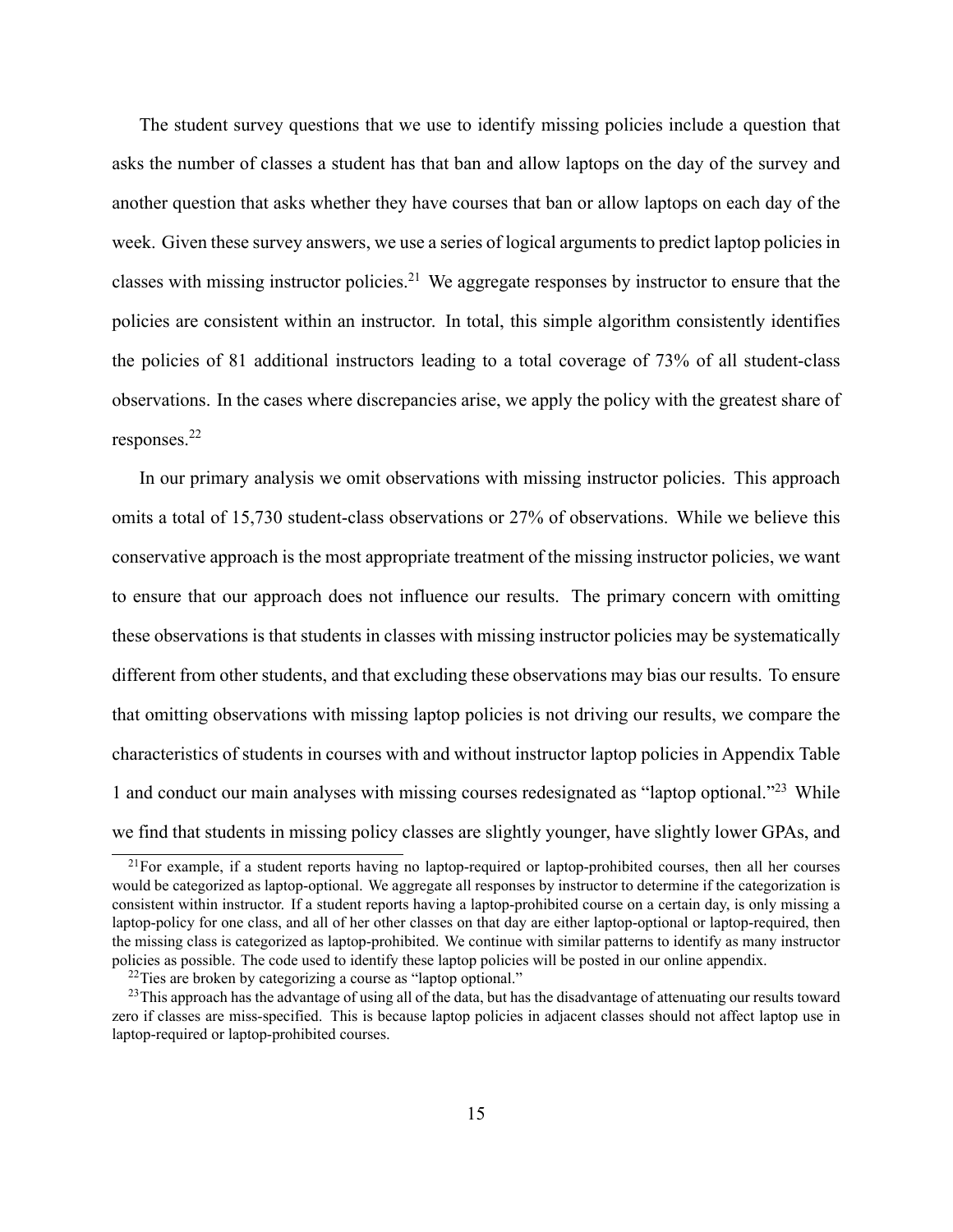The student survey questions that we use to identify missing policies include a question that asks the number of classes a student has that ban and allow laptops on the day of the survey and another question that asks whether they have courses that ban or allow laptops on each day of the week. Given these survey answers, we use a series of logical arguments to predict laptop policies in classes with missing instructor policies.<sup>21</sup> We aggregate responses by instructor to ensure that the policies are consistent within an instructor. In total, this simple algorithm consistently identifies the policies of 81 additional instructors leading to a total coverage of 73% of all student-class observations. In the cases where discrepancies arise, we apply the policy with the greatest share of responses.<sup>22</sup>

In our primary analysis we omit observations with missing instructor policies. This approach omits a total of 15,730 student-class observations or 27% of observations. While we believe this conservative approach is the most appropriate treatment of the missing instructor policies, we want to ensure that our approach does not influence our results. The primary concern with omitting these observations is that students in classes with missing instructor policies may be systematically different from other students, and that excluding these observations may bias our results. To ensure that omitting observations with missing laptop policies is not driving our results, we compare the characteristics of students in courses with and without instructor laptop policies in Appendix Table 1 and conduct our main analyses with missing courses redesignated as "laptop optional."<sup>23</sup> While we find that students in missing policy classes are slightly younger, have slightly lower GPAs, and

 $21$  For example, if a student reports having no laptop-required or laptop-prohibited courses, then all her courses would be categorized as laptop-optional. We aggregate all responses by instructor to determine if the categorization is consistent within instructor. If a student reports having a laptop-prohibited course on a certain day, is only missing a laptop-policy for one class, and all of her other classes on that day are either laptop-optional or laptop-required, then the missing class is categorized as laptop-prohibited. We continue with similar patterns to identify as many instructor policies as possible. The code used to identify these laptop policies will be posted in our online appendix.

<sup>&</sup>lt;sup>22</sup>Ties are broken by categorizing a course as "laptop optional."

<sup>&</sup>lt;sup>23</sup>This approach has the advantage of using all of the data, but has the disadvantage of attenuating our results toward zero if classes are miss-specified. This is because laptop policies in adjacent classes should not affect laptop use in laptop-required or laptop-prohibited courses.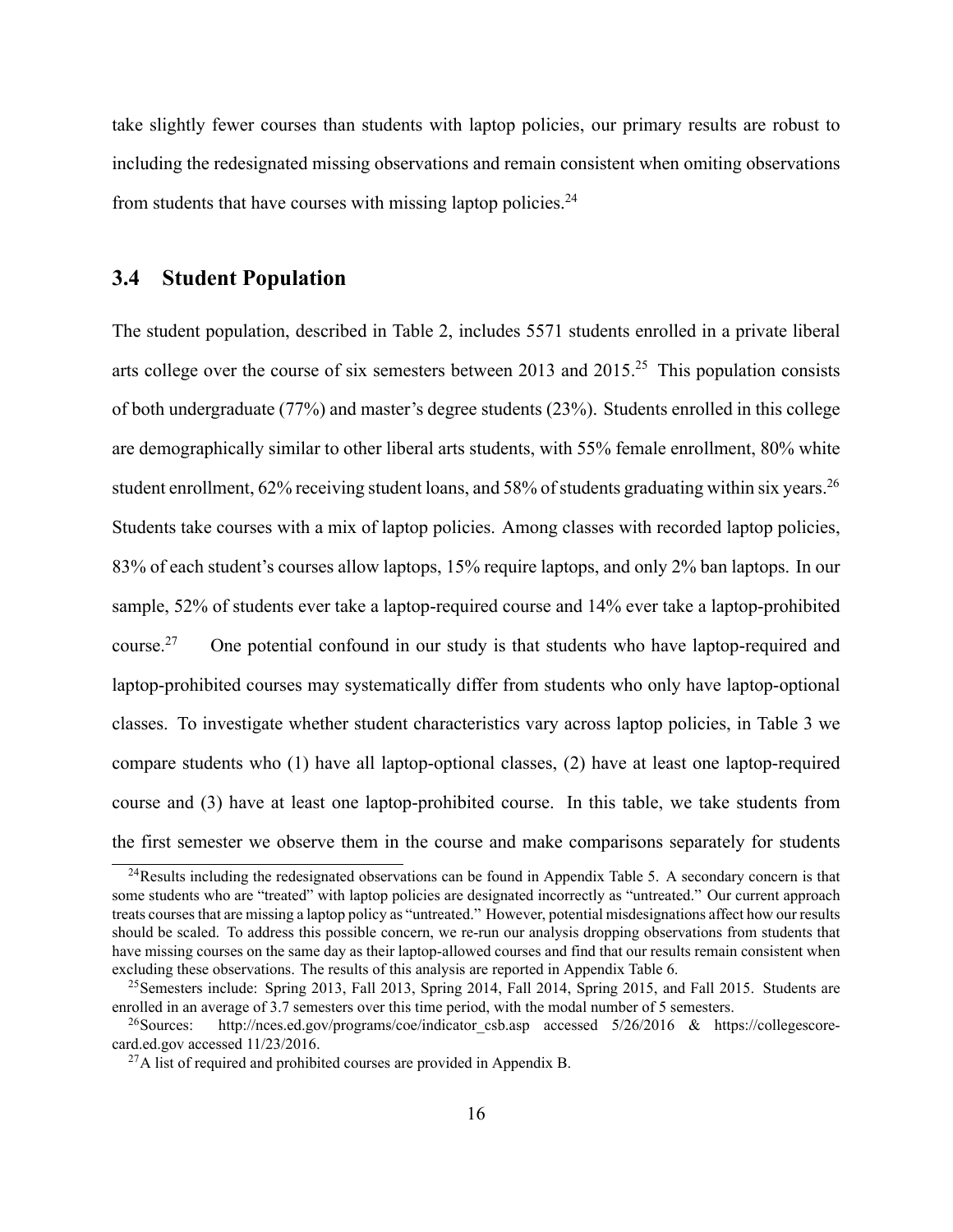take slightly fewer courses than students with laptop policies, our primary results are robust to including the redesignated missing observations and remain consistent when omiting observations from students that have courses with missing laptop policies. $24$ 

## **3.4 Student Population**

The student population, described in Table 2, includes 5571 students enrolled in a private liberal arts college over the course of six semesters between 2013 and  $2015$ <sup>25</sup>. This population consists of both undergraduate (77%) and master's degree students (23%). Students enrolled in this college are demographically similar to other liberal arts students, with 55% female enrollment, 80% white student enrollment, 62% receiving student loans, and 58% of students graduating within six years.<sup>26</sup> Students take courses with a mix of laptop policies. Among classes with recorded laptop policies, 83% of each student's courses allow laptops, 15% require laptops, and only 2% ban laptops. In our sample, 52% of students ever take a laptop-required course and 14% ever take a laptop-prohibited course.<sup>27</sup> One potential confound in our study is that students who have laptop-required and laptop-prohibited courses may systematically differ from students who only have laptop-optional classes. To investigate whether student characteristics vary across laptop policies, in Table 3 we compare students who (1) have all laptop-optional classes, (2) have at least one laptop-required course and (3) have at least one laptop-prohibited course. In this table, we take students from the first semester we observe them in the course and make comparisons separately for students

<sup>&</sup>lt;sup>24</sup>Results including the redesignated observations can be found in Appendix Table 5. A secondary concern is that some students who are "treated" with laptop policies are designated incorrectly as "untreated." Our current approach treats courses that are missing a laptop policy as "untreated." However, potential misdesignations affect how our results should be scaled. To address this possible concern, we re-run our analysis dropping observations from students that have missing courses on the same day as their laptop-allowed courses and find that our results remain consistent when excluding these observations. The results of this analysis are reported in Appendix Table 6.

<sup>&</sup>lt;sup>25</sup>Semesters include: Spring 2013, Fall 2013, Spring 2014, Fall 2014, Spring 2015, and Fall 2015. Students are enrolled in an average of 3.7 semesters over this time period, with the modal number of 5 semesters.

<sup>&</sup>lt;sup>26</sup>Sources: http://nces.ed.gov/programs/coe/indicator\_csb.asp accessed 5/26/2016 & https://collegescorecard.ed.gov accessed 11/23/2016.

 $^{27}$ A list of required and prohibited courses are provided in Appendix B.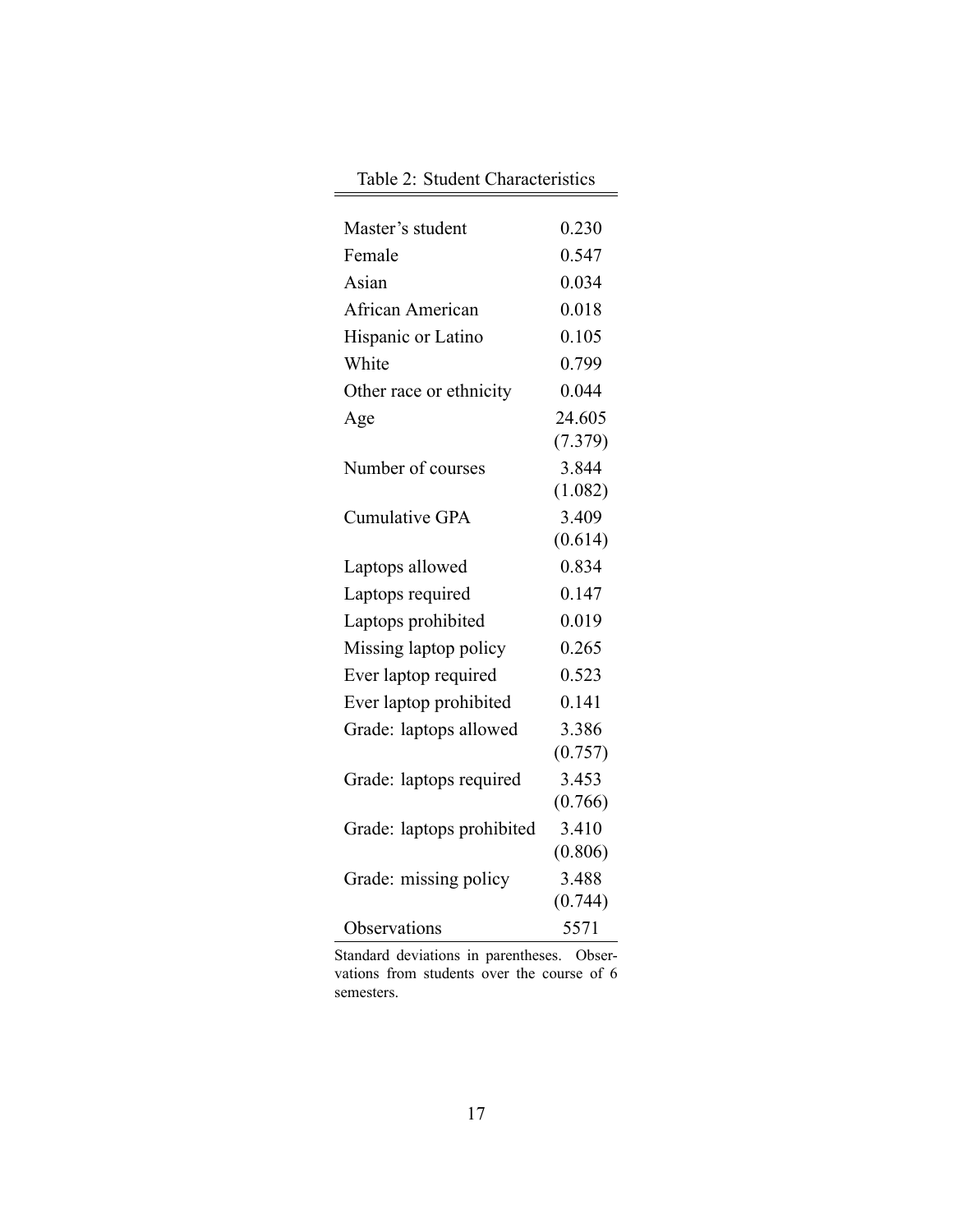$=$ 

 $\equiv$ 

| Master's student          | 0.230   |
|---------------------------|---------|
| Female                    | 0.547   |
| Asian                     | 0.034   |
| African American          | 0.018   |
| Hispanic or Latino        | 0.105   |
| White                     | 0.799   |
| Other race or ethnicity   | 0.044   |
| Age                       | 24.605  |
|                           | (7.379) |
| Number of courses         | 3.844   |
|                           | (1.082) |
| <b>Cumulative GPA</b>     | 3.409   |
|                           | (0.614) |
| Laptops allowed           | 0.834   |
| Laptops required          | 0.147   |
| Laptops prohibited        | 0.019   |
| Missing laptop policy     | 0.265   |
| Ever laptop required      | 0.523   |
| Ever laptop prohibited    | 0.141   |
| Grade: laptops allowed    | 3.386   |
|                           | (0.757) |
| Grade: laptops required   | 3.453   |
|                           | (0.766) |
| Grade: laptops prohibited | 3.410   |
|                           | (0.806) |
| Grade: missing policy     | 3.488   |
|                           | (0.744) |
| Observations              | 5571    |

Standard deviations in parentheses. Observations from students over the course of 6 semesters.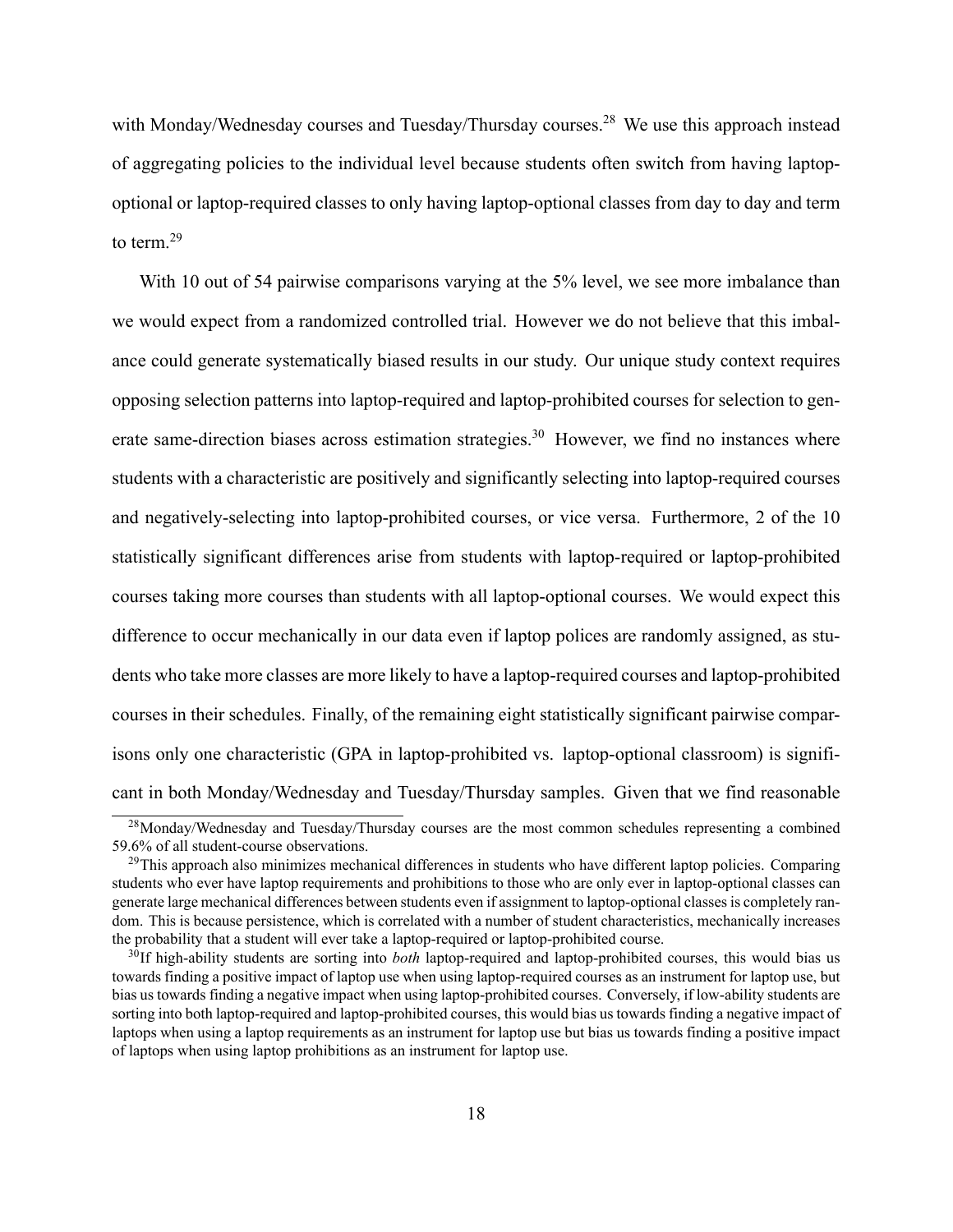with Monday/Wednesday courses and Tuesday/Thursday courses.<sup>28</sup> We use this approach instead of aggregating policies to the individual level because students often switch from having laptopoptional or laptop-required classes to only having laptop-optional classes from day to day and term to term  $29$ 

With 10 out of 54 pairwise comparisons varying at the 5% level, we see more imbalance than we would expect from a randomized controlled trial. However we do not believe that this imbalance could generate systematically biased results in our study. Our unique study context requires opposing selection patterns into laptop-required and laptop-prohibited courses for selection to generate same-direction biases across estimation strategies.<sup>30</sup> However, we find no instances where students with a characteristic are positively and significantly selecting into laptop-required courses and negatively-selecting into laptop-prohibited courses, or vice versa. Furthermore, 2 of the 10 statistically significant differences arise from students with laptop-required or laptop-prohibited courses taking more courses than students with all laptop-optional courses. We would expect this difference to occur mechanically in our data even if laptop polices are randomly assigned, as students who take more classes are more likely to have a laptop-required courses and laptop-prohibited courses in their schedules. Finally, of the remaining eight statistically significant pairwise comparisons only one characteristic (GPA in laptop-prohibited vs. laptop-optional classroom) is significant in both Monday/Wednesday and Tuesday/Thursday samples. Given that we find reasonable

<sup>&</sup>lt;sup>28</sup>Monday/Wednesday and Tuesday/Thursday courses are the most common schedules representing a combined 59.6% of all student-course observations.

<sup>&</sup>lt;sup>29</sup>This approach also minimizes mechanical differences in students who have different laptop policies. Comparing students who ever have laptop requirements and prohibitions to those who are only ever in laptop-optional classes can generate large mechanical differences between students even if assignment to laptop-optional classes is completely random. This is because persistence, which is correlated with a number of student characteristics, mechanically increases the probability that a student will ever take a laptop-required or laptop-prohibited course.

<sup>30</sup>If high-ability students are sorting into *both* laptop-required and laptop-prohibited courses, this would bias us towards finding a positive impact of laptop use when using laptop-required courses as an instrument for laptop use, but bias us towards finding a negative impact when using laptop-prohibited courses. Conversely, if low-ability students are sorting into both laptop-required and laptop-prohibited courses, this would bias us towards finding a negative impact of laptops when using a laptop requirements as an instrument for laptop use but bias us towards finding a positive impact of laptops when using laptop prohibitions as an instrument for laptop use.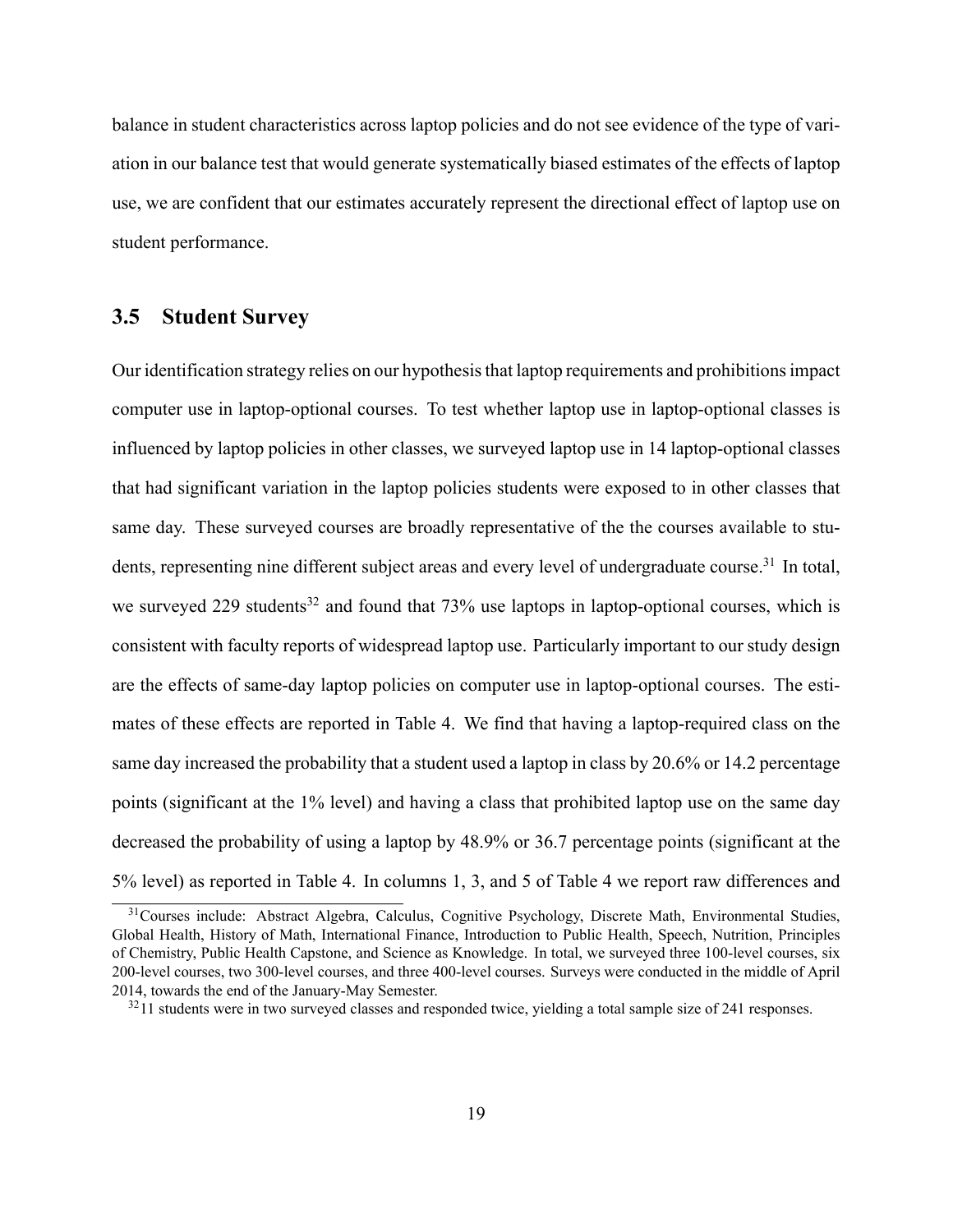balance in student characteristics across laptop policies and do not see evidence of the type of variation in our balance test that would generate systematically biased estimates of the effects of laptop use, we are confident that our estimates accurately represent the directional effect of laptop use on student performance.

## **3.5 Student Survey**

Our identification strategy relies on our hypothesis that laptop requirements and prohibitions impact computer use in laptop-optional courses. To test whether laptop use in laptop-optional classes is influenced by laptop policies in other classes, we surveyed laptop use in 14 laptop-optional classes that had significant variation in the laptop policies students were exposed to in other classes that same day. These surveyed courses are broadly representative of the the courses available to students, representing nine different subject areas and every level of undergraduate course.<sup>31</sup> In total, we surveyed 229 students<sup>32</sup> and found that  $73\%$  use laptops in laptop-optional courses, which is consistent with faculty reports of widespread laptop use. Particularly important to our study design are the effects of same-day laptop policies on computer use in laptop-optional courses. The estimates of these effects are reported in Table 4. We find that having a laptop-required class on the same day increased the probability that a student used a laptop in class by 20.6% or 14.2 percentage points (significant at the 1% level) and having a class that prohibited laptop use on the same day decreased the probability of using a laptop by 48.9% or 36.7 percentage points (significant at the 5% level) as reported in Table 4. In columns 1, 3, and 5 of Table 4 we report raw differences and

<sup>&</sup>lt;sup>31</sup>Courses include: Abstract Algebra, Calculus, Cognitive Psychology, Discrete Math, Environmental Studies, Global Health, History of Math, International Finance, Introduction to Public Health, Speech, Nutrition, Principles of Chemistry, Public Health Capstone, and Science as Knowledge. In total, we surveyed three 100-level courses, six 200-level courses, two 300-level courses, and three 400-level courses. Surveys were conducted in the middle of April 2014, towards the end of the January-May Semester.

<sup>&</sup>lt;sup>32</sup>11 students were in two surveyed classes and responded twice, yielding a total sample size of 241 responses.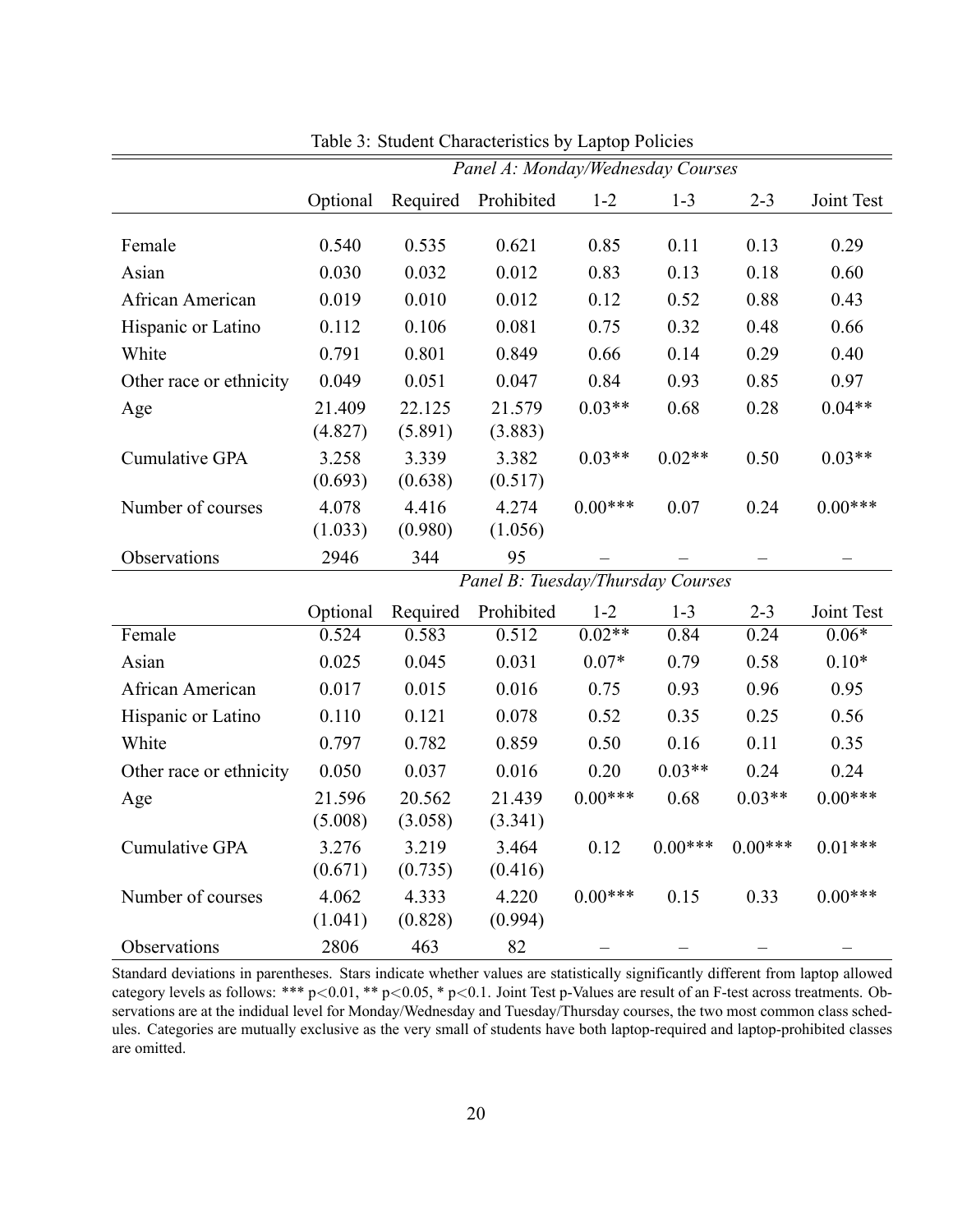|                         | Panel A: Monday/Wednesday Courses |          |                                          |           |           |           |            |  |
|-------------------------|-----------------------------------|----------|------------------------------------------|-----------|-----------|-----------|------------|--|
|                         | Optional                          | Required | Prohibited                               | $1 - 2$   | $1 - 3$   | $2 - 3$   | Joint Test |  |
|                         |                                   |          |                                          |           |           |           |            |  |
| Female                  | 0.540                             | 0.535    | 0.621                                    | 0.85      | 0.11      | 0.13      | 0.29       |  |
| Asian                   | 0.030                             | 0.032    | 0.012                                    | 0.83      | 0.13      | 0.18      | 0.60       |  |
| African American        | 0.019                             | 0.010    | 0.012                                    | 0.12      | 0.52      | 0.88      | 0.43       |  |
| Hispanic or Latino      | 0.112                             | 0.106    | 0.081                                    | 0.75      | 0.32      | 0.48      | 0.66       |  |
| White                   | 0.791                             | 0.801    | 0.849                                    | 0.66      | 0.14      | 0.29      | 0.40       |  |
| Other race or ethnicity | 0.049                             | 0.051    | 0.047                                    | 0.84      | 0.93      | 0.85      | 0.97       |  |
| Age                     | 21.409                            | 22.125   | 21.579                                   | $0.03**$  | 0.68      | 0.28      | $0.04**$   |  |
|                         | (4.827)                           | (5.891)  | (3.883)                                  |           |           |           |            |  |
| Cumulative GPA          | 3.258                             | 3.339    | 3.382                                    | $0.03**$  | $0.02**$  | 0.50      | $0.03**$   |  |
|                         | (0.693)                           | (0.638)  | (0.517)                                  |           |           |           |            |  |
| Number of courses       | 4.078                             | 4.416    | 4.274                                    | $0.00***$ | 0.07      | 0.24      | $0.00***$  |  |
|                         | (1.033)                           | (0.980)  | (1.056)                                  |           |           |           |            |  |
| Observations            | 2946                              | 344      | 95                                       |           |           |           |            |  |
|                         |                                   |          | <b>Panel B: Tuesday/Thursday Courses</b> |           |           |           |            |  |
|                         | Optional                          | Required | Prohibited                               | $1 - 2$   | $1 - 3$   | $2 - 3$   | Joint Test |  |
| Female                  | 0.524                             | 0.583    | 0.512                                    | $0.02**$  | 0.84      | 0.24      | $0.06*$    |  |
| Asian                   | 0.025                             | 0.045    | 0.031                                    | $0.07*$   | 0.79      | 0.58      | $0.10*$    |  |
| African American        | 0.017                             | 0.015    | 0.016                                    | 0.75      | 0.93      | 0.96      | 0.95       |  |
| Hispanic or Latino      | 0.110                             | 0.121    | 0.078                                    | 0.52      | 0.35      | 0.25      | 0.56       |  |
| White                   | 0.797                             | 0.782    | 0.859                                    | 0.50      | 0.16      | 0.11      | 0.35       |  |
| Other race or ethnicity | 0.050                             | 0.037    | 0.016                                    | 0.20      | $0.03**$  | 0.24      | 0.24       |  |
| Age                     | 21.596                            | 20.562   | 21.439                                   | $0.00***$ | 0.68      | $0.03**$  | $0.00***$  |  |
|                         | (5.008)                           | (3.058)  | (3.341)                                  |           |           |           |            |  |
| Cumulative GPA          | 3.276                             | 3.219    | 3.464                                    | 0.12      | $0.00***$ | $0.00***$ | $0.01***$  |  |
|                         | (0.671)                           | (0.735)  | (0.416)                                  |           |           |           |            |  |
| Number of courses       | 4.062                             | 4.333    | 4.220                                    | $0.00***$ | 0.15      | 0.33      | $0.00***$  |  |
|                         | (1.041)                           | (0.828)  | (0.994)                                  |           |           |           |            |  |
| Observations            | 2806                              | 463      | 82                                       |           |           |           |            |  |

Table 3: Student Characteristics by Laptop Policies

Standard deviations in parentheses. Stars indicate whether values are statistically significantly different from laptop allowed category levels as follows: \*\*\* p<0.01, \*\* p<0.05, \* p<0.1. Joint Test p-Values are result of an F-test across treatments. Observations are at the indidual level for Monday/Wednesday and Tuesday/Thursday courses, the two most common class schedules. Categories are mutually exclusive as the very small of students have both laptop-required and laptop-prohibited classes are omitted.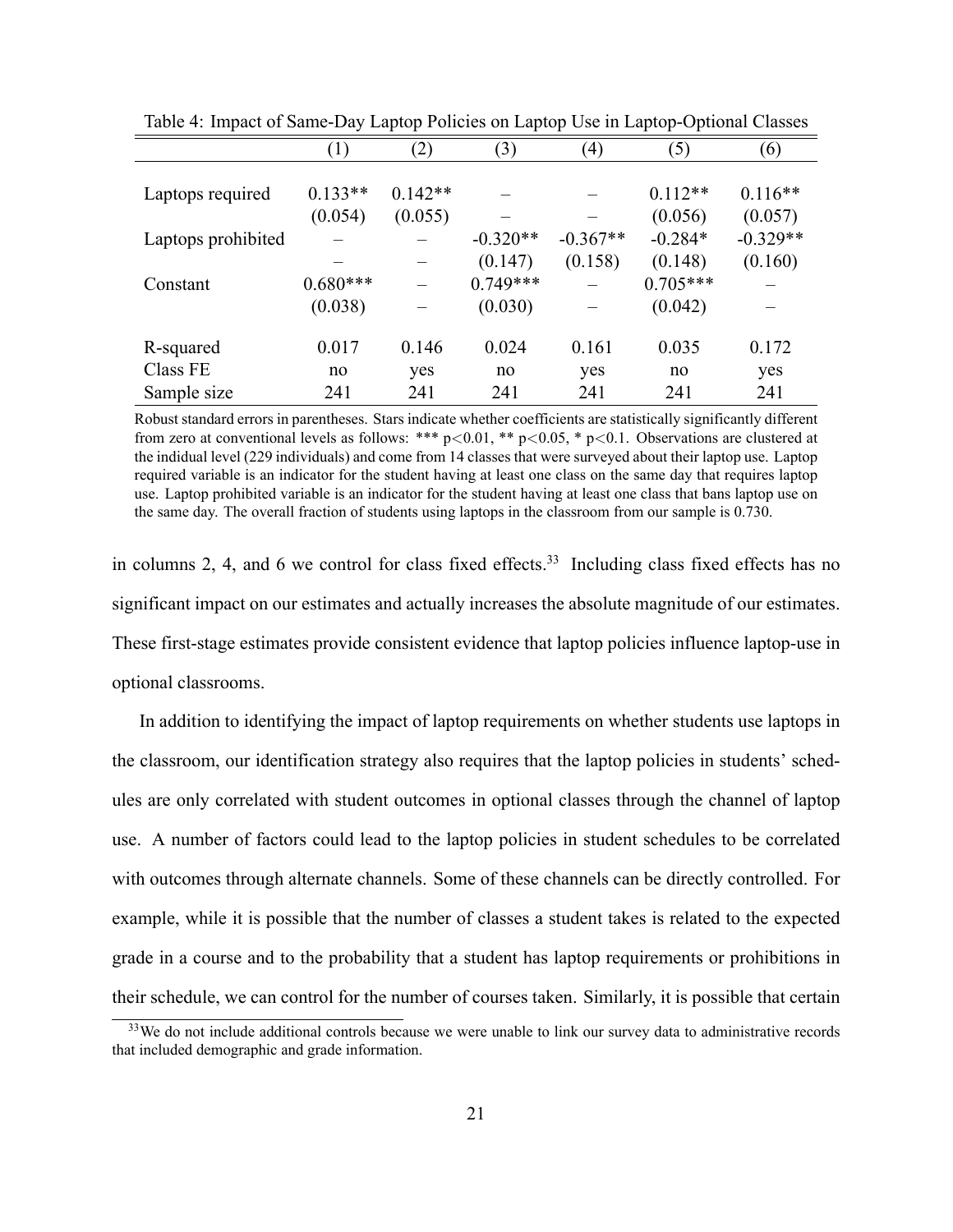|                    | (1)        | (2)       | (3)        | $\left( 4\right)$ | (5)        | (6)        |
|--------------------|------------|-----------|------------|-------------------|------------|------------|
|                    |            |           |            |                   |            |            |
| Laptops required   | $0.133**$  | $0.142**$ |            |                   | $0.112**$  | $0.116**$  |
|                    | (0.054)    | (0.055)   |            |                   | (0.056)    | (0.057)    |
| Laptops prohibited |            |           | $-0.320**$ | $-0.367**$        | $-0.284*$  | $-0.329**$ |
|                    |            |           | (0.147)    | (0.158)           | (0.148)    | (0.160)    |
| Constant           | $0.680***$ |           | $0.749***$ |                   | $0.705***$ |            |
|                    | (0.038)    |           | (0.030)    |                   | (0.042)    |            |
| R-squared          | 0.017      | 0.146     | 0.024      | 0.161             | 0.035      | 0.172      |
| Class FE           | no         | yes       | no         | yes               | no         | yes        |
| Sample size        | 241        | 241       | 241        | 241               | 241        | 241        |

Table 4: Impact of Same-Day Laptop Policies on Laptop Use in Laptop-Optional Classes

Robust standard errors in parentheses. Stars indicate whether coefficients are statistically significantly different from zero at conventional levels as follows: \*\*\*  $p<0.01$ , \*\*  $p<0.05$ , \*  $p<0.1$ . Observations are clustered at the indidual level (229 individuals) and come from 14 classes that were surveyed about their laptop use. Laptop required variable is an indicator for the student having at least one class on the same day that requires laptop use. Laptop prohibited variable is an indicator for the student having at least one class that bans laptop use on the same day. The overall fraction of students using laptops in the classroom from our sample is 0.730.

in columns 2, 4, and 6 we control for class fixed effects.<sup>33</sup> Including class fixed effects has no significant impact on our estimates and actually increases the absolute magnitude of our estimates. These first-stage estimates provide consistent evidence that laptop policies influence laptop-use in optional classrooms.

In addition to identifying the impact of laptop requirements on whether students use laptops in the classroom, our identification strategy also requires that the laptop policies in students' schedules are only correlated with student outcomes in optional classes through the channel of laptop use. A number of factors could lead to the laptop policies in student schedules to be correlated with outcomes through alternate channels. Some of these channels can be directly controlled. For example, while it is possible that the number of classes a student takes is related to the expected grade in a course and to the probability that a student has laptop requirements or prohibitions in their schedule, we can control for the number of courses taken. Similarly, it is possible that certain

<sup>&</sup>lt;sup>33</sup>We do not include additional controls because we were unable to link our survey data to administrative records that included demographic and grade information.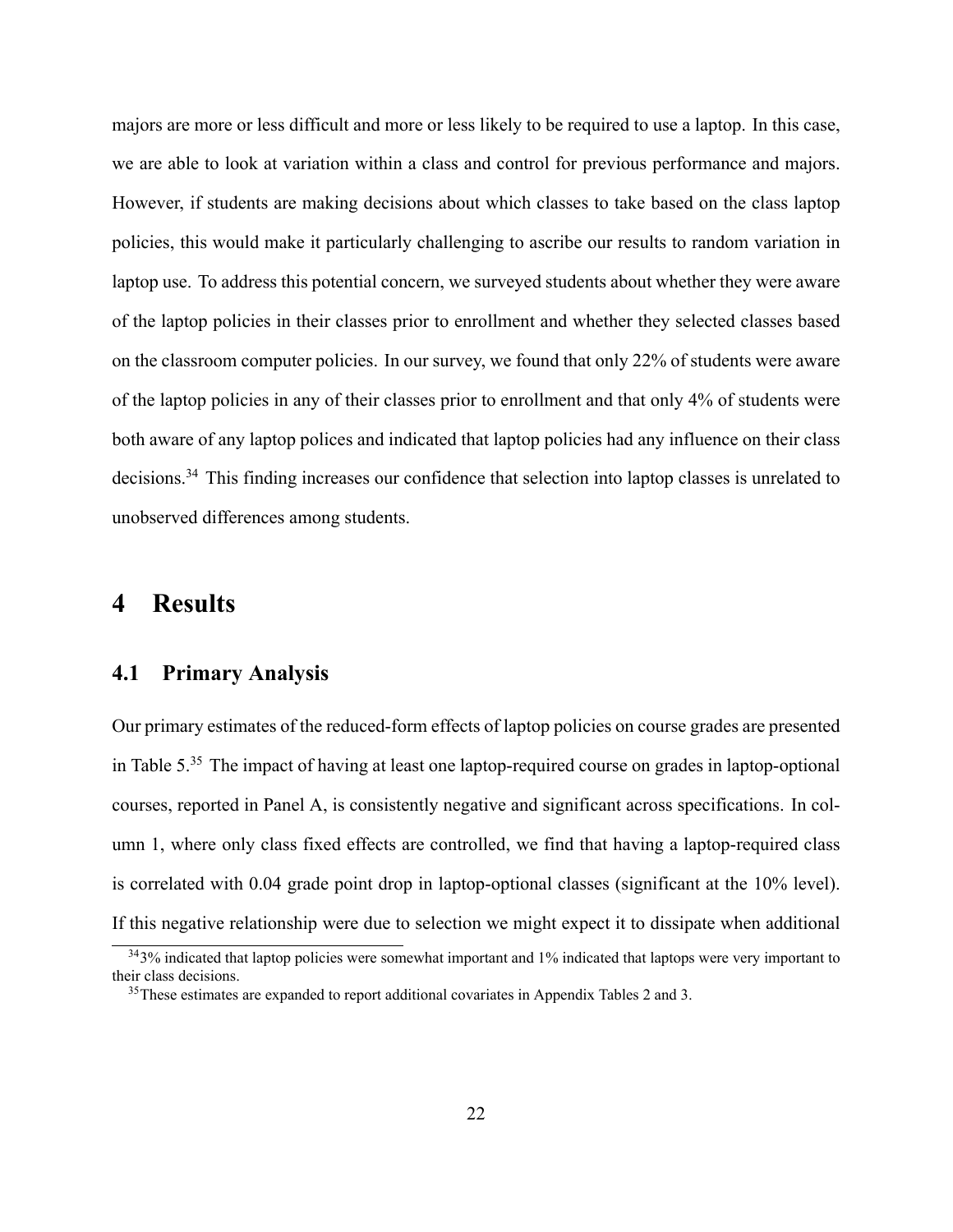majors are more or less difficult and more or less likely to be required to use a laptop. In this case, we are able to look at variation within a class and control for previous performance and majors. However, if students are making decisions about which classes to take based on the class laptop policies, this would make it particularly challenging to ascribe our results to random variation in laptop use. To address this potential concern, we surveyed students about whether they were aware of the laptop policies in their classes prior to enrollment and whether they selected classes based on the classroom computer policies. In our survey, we found that only 22% of students were aware of the laptop policies in any of their classes prior to enrollment and that only 4% of students were both aware of any laptop polices and indicated that laptop policies had any influence on their class decisions.<sup>34</sup> This finding increases our confidence that selection into laptop classes is unrelated to unobserved differences among students.

## **4 Results**

## **4.1 Primary Analysis**

Our primary estimates of the reduced-form effects of laptop policies on course grades are presented in Table 5.<sup>35</sup> The impact of having at least one laptop-required course on grades in laptop-optional courses, reported in Panel A, is consistently negative and significant across specifications. In column 1, where only class fixed effects are controlled, we find that having a laptop-required class is correlated with 0.04 grade point drop in laptop-optional classes (significant at the 10% level). If this negative relationship were due to selection we might expect it to dissipate when additional

<sup>&</sup>lt;sup>34</sup>3% indicated that laptop policies were somewhat important and 1% indicated that laptops were very important to their class decisions.

<sup>&</sup>lt;sup>35</sup>These estimates are expanded to report additional covariates in Appendix Tables 2 and 3.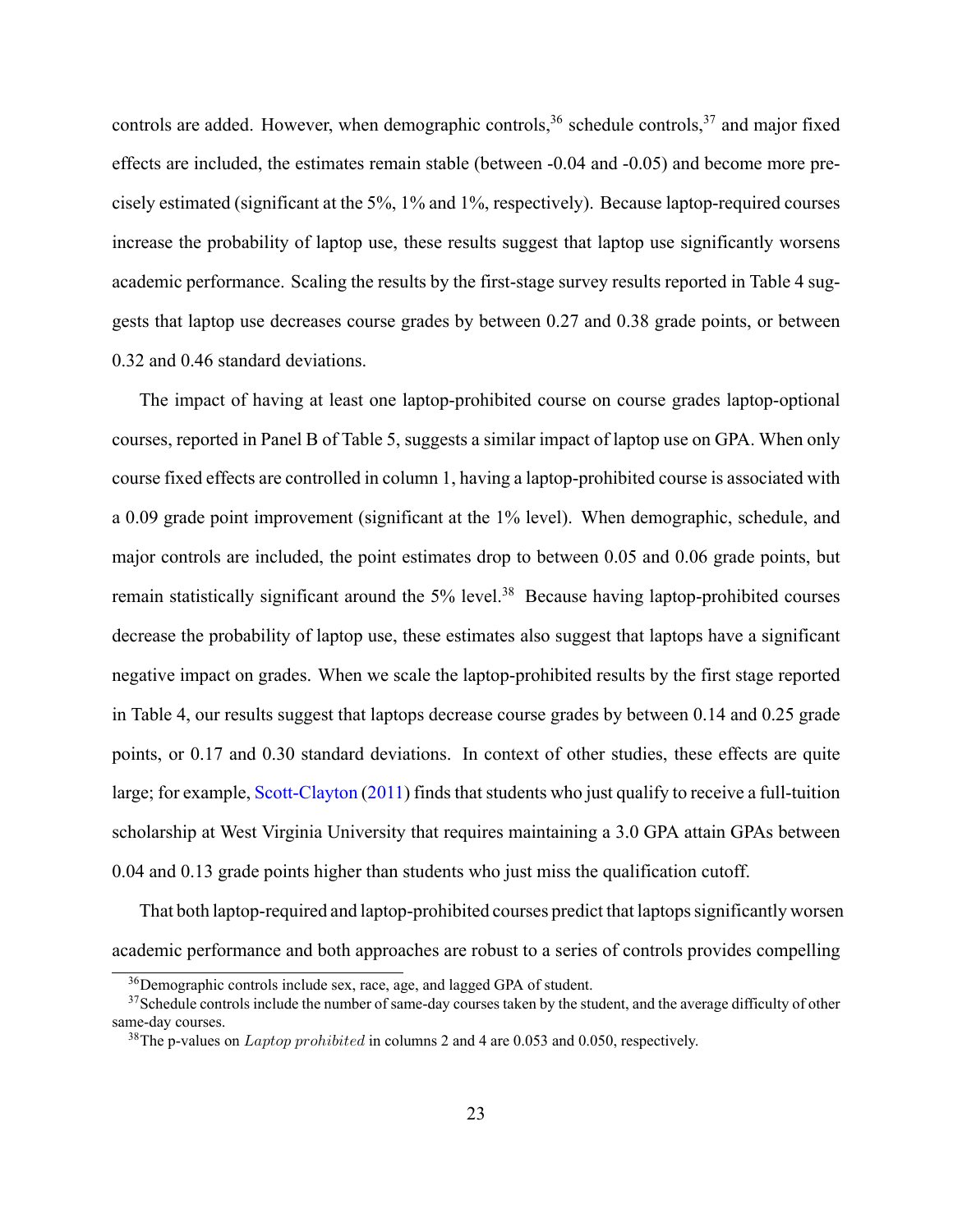controls are added. However, when demographic controls,  $36$  schedule controls,  $37$  and major fixed effects are included, the estimates remain stable (between -0.04 and -0.05) and become more precisely estimated (significant at the 5%, 1% and 1%, respectively). Because laptop-required courses increase the probability of laptop use, these results suggest that laptop use significantly worsens academic performance. Scaling the results by the first-stage survey results reported in Table 4 suggests that laptop use decreases course grades by between 0.27 and 0.38 grade points, or between 0.32 and 0.46 standard deviations.

The impact of having at least one laptop-prohibited course on course grades laptop-optional courses, reported in Panel B of Table 5, suggests a similar impact of laptop use on GPA. When only course fixed effects are controlled in column 1, having a laptop-prohibited course is associated with a 0.09 grade point improvement (significant at the 1% level). When demographic, schedule, and major controls are included, the point estimates drop to between 0.05 and 0.06 grade points, but remain statistically significant around the  $5\%$  level.<sup>38</sup> Because having laptop-prohibited courses decrease the probability of laptop use, these estimates also suggest that laptops have a significant negative impact on grades. When we scale the laptop-prohibited results by the first stage reported in Table 4, our results suggest that laptops decrease course grades by between 0.14 and 0.25 grade points, or 0.17 and 0.30 standard deviations. In context of other studies, these effects are quite large; for example, Scott-Clayton (2011) finds that students who just qualify to receive a full-tuition scholarship at West Virginia University that requires maintaining a 3.0 GPA attain GPAs between 0.04 and 0.13 grade points higher than students who just miss the qualification cutoff.

That both laptop-required and laptop-prohibited courses predict that laptops significantly worsen academic performance and both approaches are robust to a series of controls provides compelling

<sup>36</sup>Demographic controls include sex, race, age, and lagged GPA of student.

<sup>&</sup>lt;sup>37</sup>Schedule controls include the number of same-day courses taken by the student, and the average difficulty of other same-day courses.

<sup>&</sup>lt;sup>38</sup>The p-values on *Laptop prohibited* in columns 2 and 4 are 0.053 and 0.050, respectively.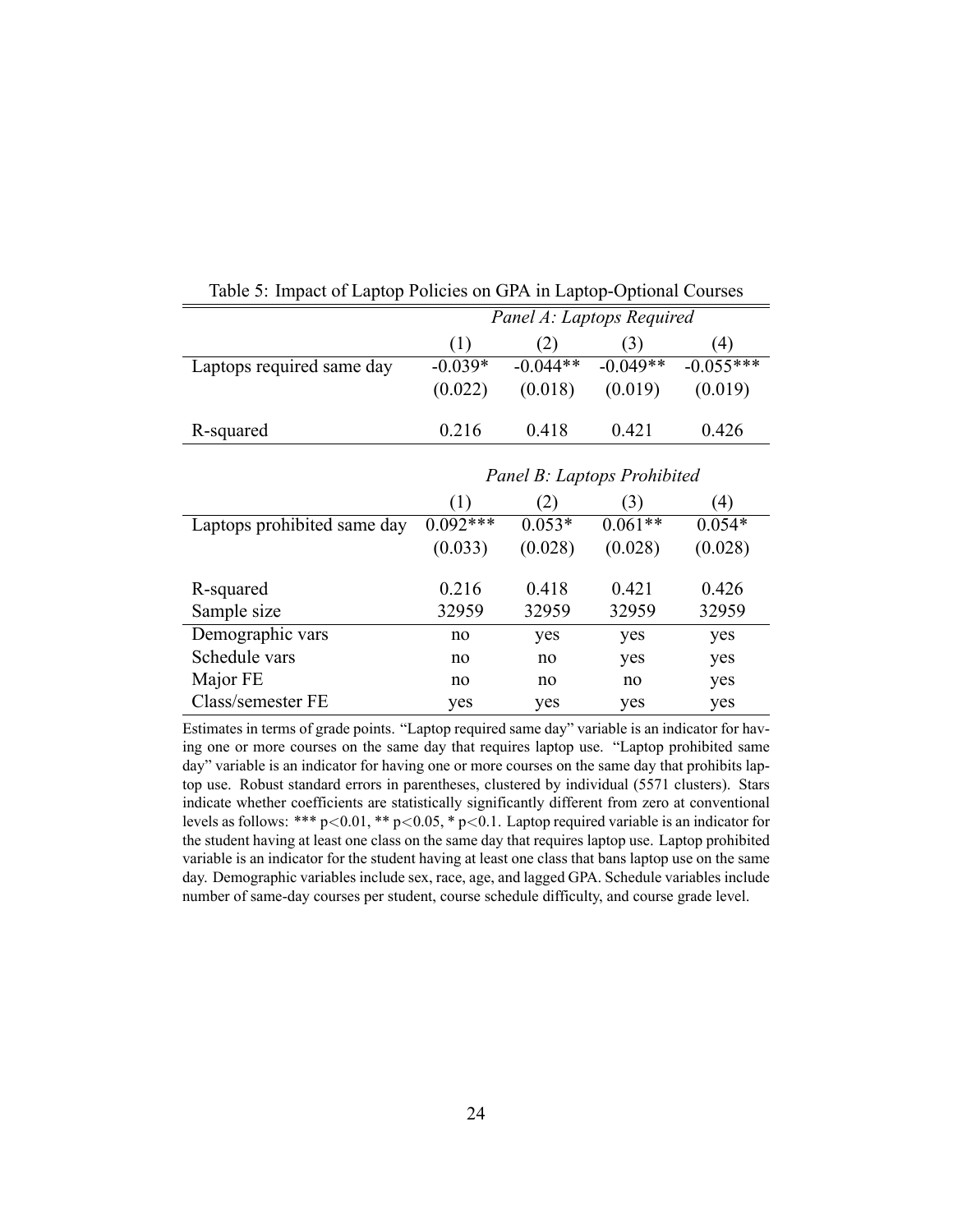|                             | Panel A: Laptops Required   |            |            |                  |  |  |
|-----------------------------|-----------------------------|------------|------------|------------------|--|--|
|                             | (1)                         | (2)        | (3)        | $\left(4\right)$ |  |  |
| Laptops required same day   | $-0.039*$                   | $-0.044**$ | $-0.049**$ | $-0.055***$      |  |  |
|                             | (0.022)                     | (0.018)    | (0.019)    | (0.019)          |  |  |
|                             |                             |            |            |                  |  |  |
| R-squared                   | 0.216                       | 0.418      | 0.421      | 0.426            |  |  |
|                             | Panel B: Laptops Prohibited |            |            |                  |  |  |
|                             |                             |            |            |                  |  |  |
|                             | (1)                         | (2)        | (3)        | (4)              |  |  |
| Laptops prohibited same day | $0.092***$                  | $0.053*$   | $0.061**$  | $0.054*$         |  |  |
|                             | (0.033)                     | (0.028)    | (0.028)    | (0.028)          |  |  |
| R-squared                   | 0.216                       | 0.418      | 0.421      | 0.426            |  |  |
| Sample size                 | 32959                       | 32959      | 32959      | 32959            |  |  |
| Demographic vars            | no                          | yes        | yes        | yes              |  |  |
| Schedule vars               | no                          | no         | yes        | yes              |  |  |
| Major FE                    | no                          | no         | no         | yes              |  |  |
| Class/semester FE           | yes                         | yes        | yes        | yes              |  |  |

Table 5: Impact of Laptop Policies on GPA in Laptop-Optional Courses

Estimates in terms of grade points. "Laptop required same day" variable is an indicator for having one or more courses on the same day that requires laptop use. "Laptop prohibited same day" variable is an indicator for having one or more courses on the same day that prohibits laptop use. Robust standard errors in parentheses, clustered by individual (5571 clusters). Stars indicate whether coefficients are statistically significantly different from zero at conventional levels as follows: \*\*\* p<0.01, \*\* p<0.05, \* p<0.1. Laptop required variable is an indicator for the student having at least one class on the same day that requires laptop use. Laptop prohibited variable is an indicator for the student having at least one class that bans laptop use on the same day. Demographic variables include sex, race, age, and lagged GPA. Schedule variables include number of same-day courses per student, course schedule difficulty, and course grade level.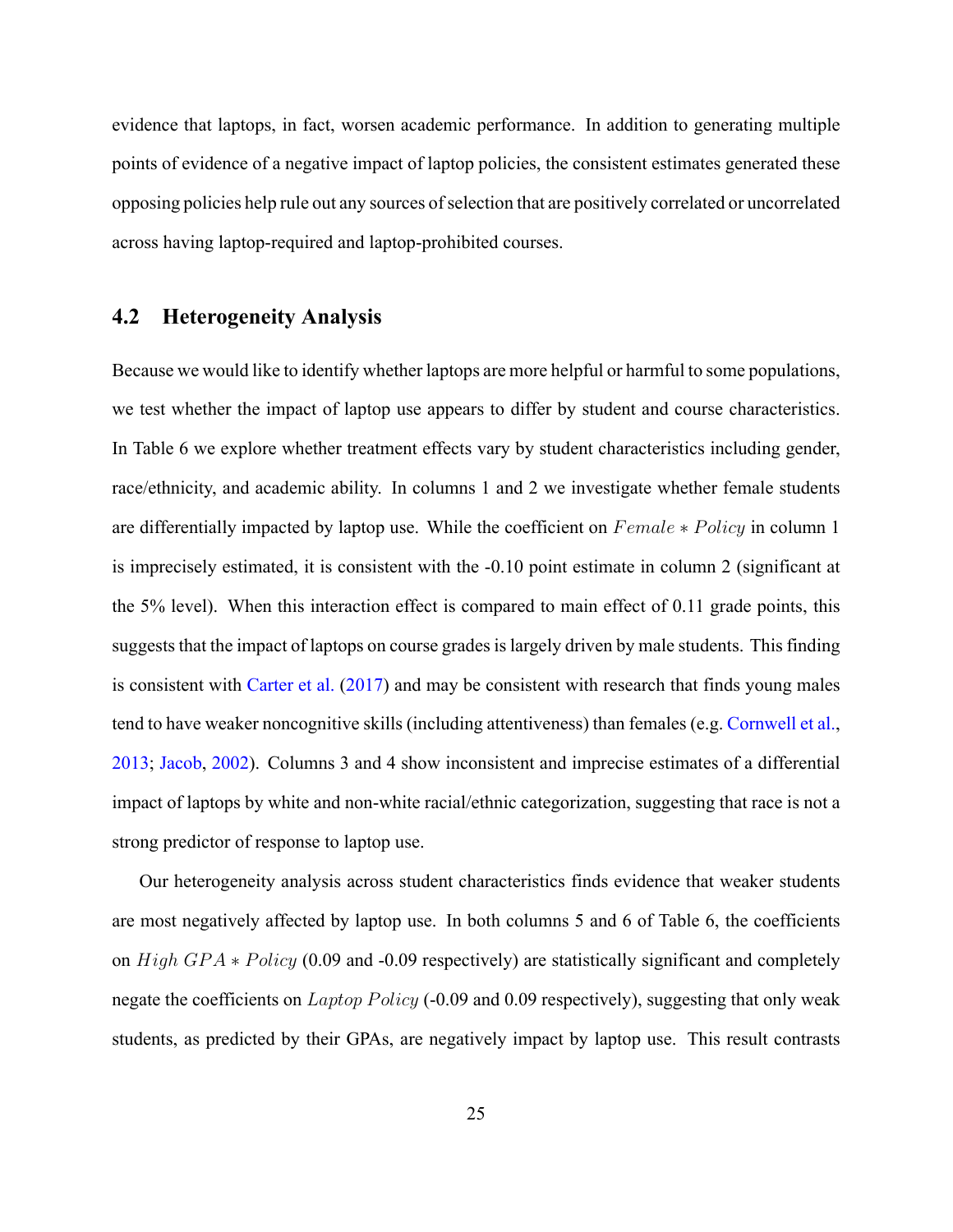evidence that laptops, in fact, worsen academic performance. In addition to generating multiple points of evidence of a negative impact of laptop policies, the consistent estimates generated these opposing policies help rule out any sources of selection that are positively correlated or uncorrelated across having laptop-required and laptop-prohibited courses.

### **4.2 Heterogeneity Analysis**

Because we would like to identify whether laptops are more helpful or harmful to some populations, we test whether the impact of laptop use appears to differ by student and course characteristics. In Table 6 we explore whether treatment effects vary by student characteristics including gender, race/ethnicity, and academic ability. In columns 1 and 2 we investigate whether female students are differentially impacted by laptop use. While the coefficient on  $Female * Policy$  in column 1 is imprecisely estimated, it is consistent with the -0.10 point estimate in column 2 (significant at the 5% level). When this interaction effect is compared to main effect of 0.11 grade points, this suggests that the impact of laptops on course grades is largely driven by male students. This finding is consistent with Carter et al. (2017) and may be consistent with research that finds young males tend to have weaker noncognitive skills (including attentiveness) than females (e.g. Cornwell et al., 2013; Jacob, 2002). Columns 3 and 4 show inconsistent and imprecise estimates of a differential impact of laptops by white and non-white racial/ethnic categorization, suggesting that race is not a strong predictor of response to laptop use.

Our heterogeneity analysis across student characteristics finds evidence that weaker students are most negatively affected by laptop use. In both columns 5 and 6 of Table 6, the coefficients on  $High GPA * Policy (0.09 and -0.09 respectively)$  are statistically significant and completely negate the coefficients on *Laptop Policy* (-0.09 and 0.09 respectively), suggesting that only weak students, as predicted by their GPAs, are negatively impact by laptop use. This result contrasts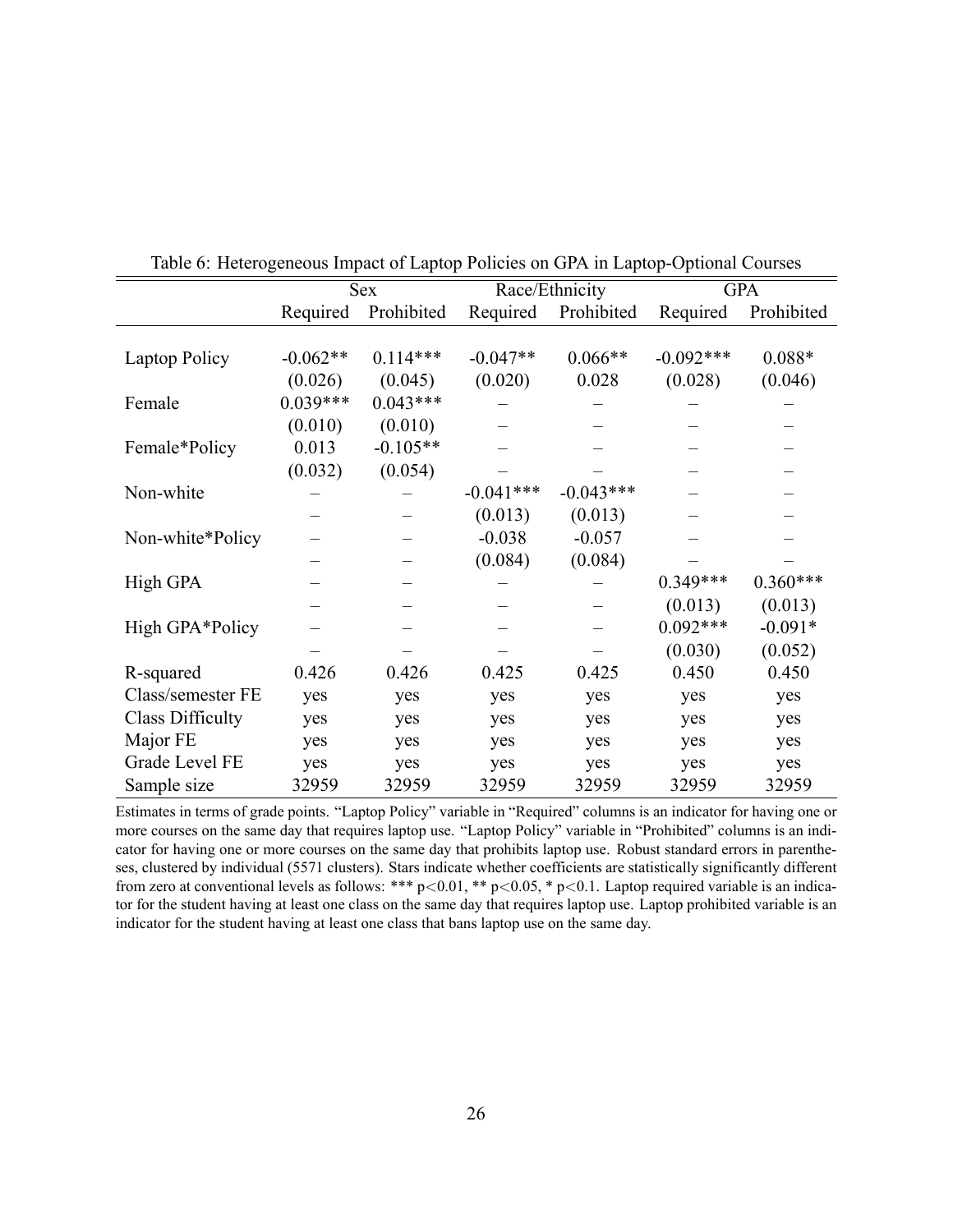|                         |            | Sex        |             | Race/Ethnicity |             | <b>GPA</b> |  |
|-------------------------|------------|------------|-------------|----------------|-------------|------------|--|
|                         | Required   | Prohibited | Required    | Prohibited     | Required    | Prohibited |  |
|                         |            |            |             |                |             |            |  |
| <b>Laptop Policy</b>    | $-0.062**$ | $0.114***$ | $-0.047**$  | $0.066**$      | $-0.092***$ | $0.088*$   |  |
|                         | (0.026)    | (0.045)    | (0.020)     | 0.028          | (0.028)     | (0.046)    |  |
| Female                  | $0.039***$ | $0.043***$ |             |                |             |            |  |
|                         | (0.010)    | (0.010)    |             |                |             |            |  |
| Female*Policy           | 0.013      | $-0.105**$ |             |                |             |            |  |
|                         | (0.032)    | (0.054)    |             |                |             |            |  |
| Non-white               |            |            | $-0.041***$ | $-0.043***$    |             |            |  |
|                         |            |            | (0.013)     | (0.013)        |             |            |  |
| Non-white*Policy        |            |            | $-0.038$    | $-0.057$       |             |            |  |
|                         |            |            | (0.084)     | (0.084)        |             |            |  |
| High GPA                |            |            |             |                | $0.349***$  | $0.360***$ |  |
|                         |            |            |             |                | (0.013)     | (0.013)    |  |
| High GPA*Policy         |            |            |             |                | $0.092***$  | $-0.091*$  |  |
|                         |            |            |             |                | (0.030)     | (0.052)    |  |
| R-squared               | 0.426      | 0.426      | 0.425       | 0.425          | 0.450       | 0.450      |  |
| Class/semester FE       | yes        | yes        | yes         | yes            | yes         | yes        |  |
| <b>Class Difficulty</b> | yes        | yes        | yes         | yes            | yes         | yes        |  |
| Major FE                | yes        | yes        | yes         | yes            | yes         | yes        |  |
| Grade Level FE          | yes        | yes        | yes         | yes            | yes         | yes        |  |
| Sample size             | 32959      | 32959      | 32959       | 32959          | 32959       | 32959      |  |

Table 6: Heterogeneous Impact of Laptop Policies on GPA in Laptop-Optional Courses

Estimates in terms of grade points. "Laptop Policy" variable in "Required" columns is an indicator for having one or more courses on the same day that requires laptop use. "Laptop Policy" variable in "Prohibited" columns is an indicator for having one or more courses on the same day that prohibits laptop use. Robust standard errors in parentheses, clustered by individual (5571 clusters). Stars indicate whether coefficients are statistically significantly different from zero at conventional levels as follows: \*\*\* p<0.01, \*\* p<0.05, \* p<0.1. Laptop required variable is an indicator for the student having at least one class on the same day that requires laptop use. Laptop prohibited variable is an indicator for the student having at least one class that bans laptop use on the same day.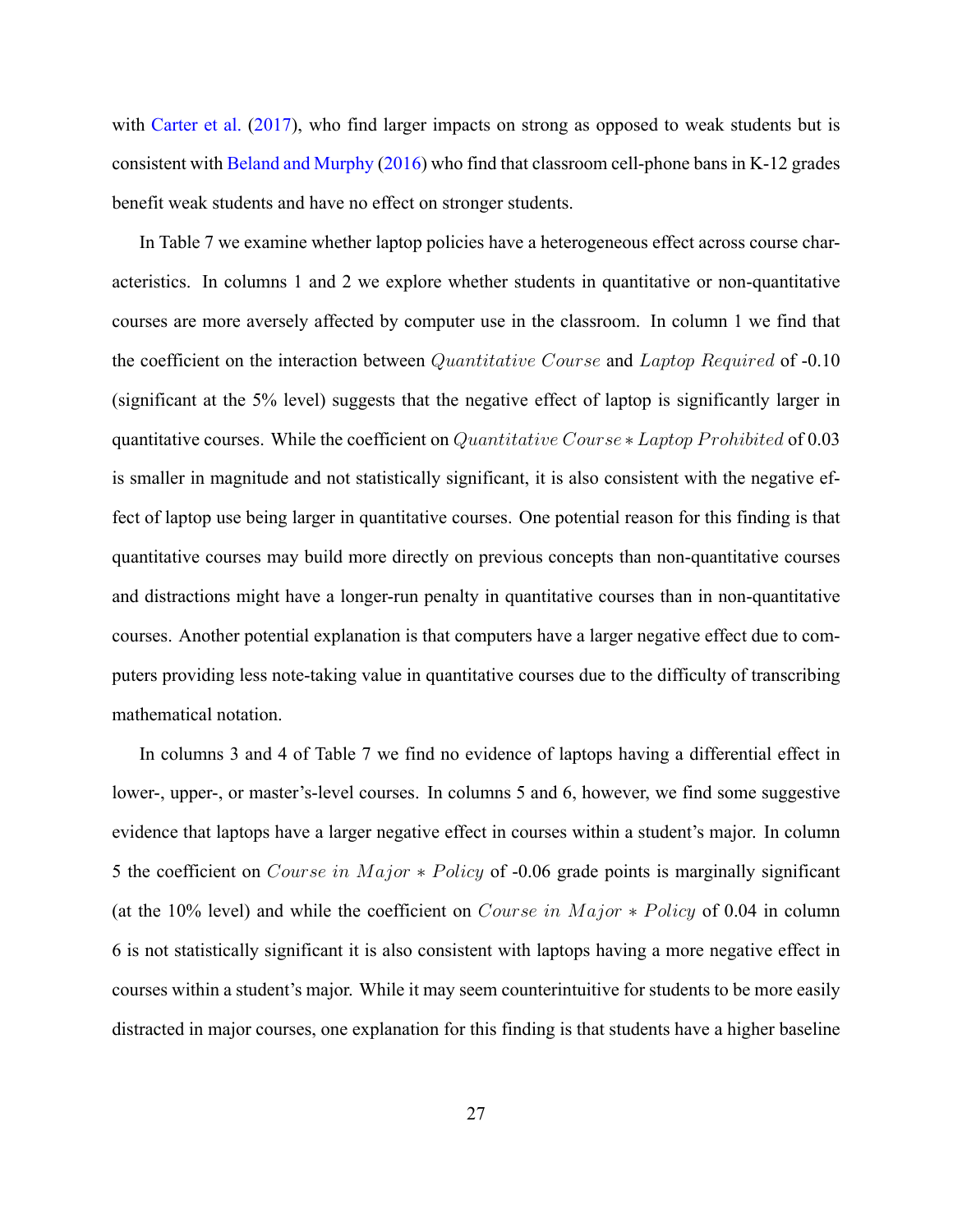with Carter et al. (2017), who find larger impacts on strong as opposed to weak students but is consistent with Beland and Murphy (2016) who find that classroom cell-phone bans in K-12 grades benefit weak students and have no effect on stronger students.

In Table 7 we examine whether laptop policies have a heterogeneous effect across course characteristics. In columns 1 and 2 we explore whether students in quantitative or non-quantitative courses are more aversely affected by computer use in the classroom. In column 1 we find that the coefficient on the interaction between Quantitative Course and Laptop Required of -0.10 (significant at the 5% level) suggests that the negative effect of laptop is significantly larger in quantitative courses. While the coefficient on  $Quantitative \, Course * Laptop \, Problem \, of \, 0.03$ is smaller in magnitude and not statistically significant, it is also consistent with the negative effect of laptop use being larger in quantitative courses. One potential reason for this finding is that quantitative courses may build more directly on previous concepts than non-quantitative courses and distractions might have a longer-run penalty in quantitative courses than in non-quantitative courses. Another potential explanation is that computers have a larger negative effect due to computers providing less note-taking value in quantitative courses due to the difficulty of transcribing mathematical notation.

In columns 3 and 4 of Table 7 we find no evidence of laptops having a differential effect in lower-, upper-, or master's-level courses. In columns 5 and 6, however, we find some suggestive evidence that laptops have a larger negative effect in courses within a student's major. In column 5 the coefficient on *Course in Major ∗ Policy* of -0.06 grade points is marginally significant (at the 10% level) and while the coefficient on *Course in Major*  $*$  *Policy* of 0.04 in column 6 is not statistically significant it is also consistent with laptops having a more negative effect in courses within a student's major. While it may seem counterintuitive for students to be more easily distracted in major courses, one explanation for this finding is that students have a higher baseline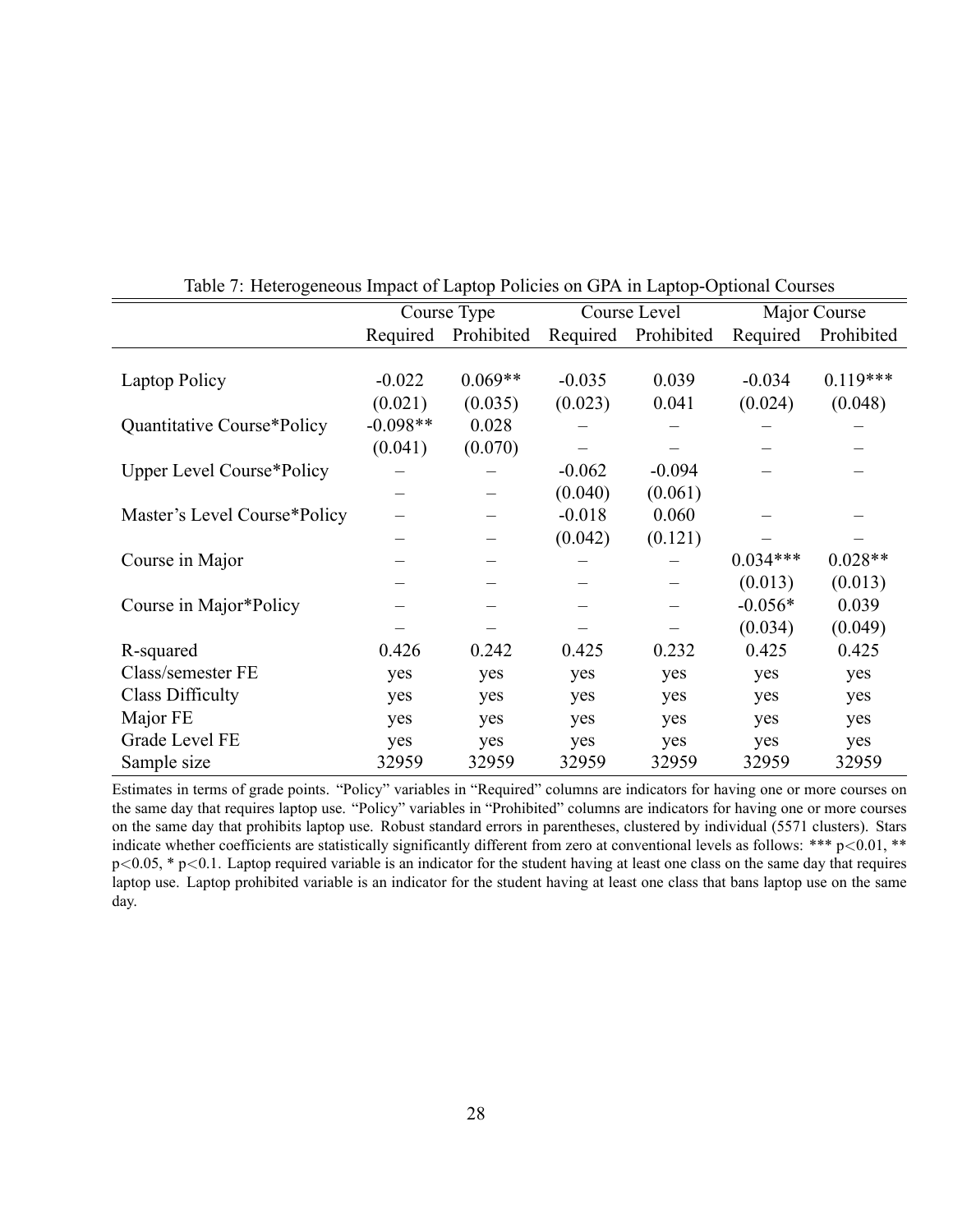|                              | Course Type |            |          | Course Level | Major Course |            |
|------------------------------|-------------|------------|----------|--------------|--------------|------------|
|                              | Required    | Prohibited | Required | Prohibited   | Required     | Prohibited |
|                              |             |            |          |              |              |            |
| <b>Laptop Policy</b>         | $-0.022$    | $0.069**$  | $-0.035$ | 0.039        | $-0.034$     | $0.119***$ |
|                              | (0.021)     | (0.035)    | (0.023)  | 0.041        | (0.024)      | (0.048)    |
| Quantitative Course*Policy   | $-0.098**$  | 0.028      |          |              |              |            |
|                              | (0.041)     | (0.070)    |          |              |              |            |
| Upper Level Course*Policy    |             |            | $-0.062$ | $-0.094$     |              |            |
|                              |             |            | (0.040)  | (0.061)      |              |            |
| Master's Level Course*Policy |             |            | $-0.018$ | 0.060        |              |            |
|                              |             |            | (0.042)  | (0.121)      |              |            |
| Course in Major              |             |            |          |              | $0.034***$   | $0.028**$  |
|                              |             |            |          |              | (0.013)      | (0.013)    |
| Course in Major*Policy       |             |            |          |              | $-0.056*$    | 0.039      |
|                              |             |            |          |              | (0.034)      | (0.049)    |
| R-squared                    | 0.426       | 0.242      | 0.425    | 0.232        | 0.425        | 0.425      |
| Class/semester FE            | yes         | yes        | yes      | yes          | yes          | yes        |
| <b>Class Difficulty</b>      | yes         | yes        | yes      | yes          | yes          | yes        |
| Major FE                     | yes         | yes        | yes      | yes          | yes          | yes        |
| Grade Level FE               | yes         | yes        | yes      | yes          | yes          | yes        |
| Sample size                  | 32959       | 32959      | 32959    | 32959        | 32959        | 32959      |

Table 7: Heterogeneous Impact of Laptop Policies on GPA in Laptop-Optional Courses

Estimates in terms of grade points. "Policy" variables in "Required" columns are indicators for having one or more courses on the same day that requires laptop use. "Policy" variables in "Prohibited" columns are indicators for having one or more courses on the same day that prohibits laptop use. Robust standard errors in parentheses, clustered by individual (5571 clusters). Stars indicate whether coefficients are statistically significantly different from zero at conventional levels as follows: \*\*\* p<0.01, \*\* p<0.05, \* p<0.1. Laptop required variable is an indicator for the student having at least one class on the same day that requires laptop use. Laptop prohibited variable is an indicator for the student having at least one class that bans laptop use on the same day.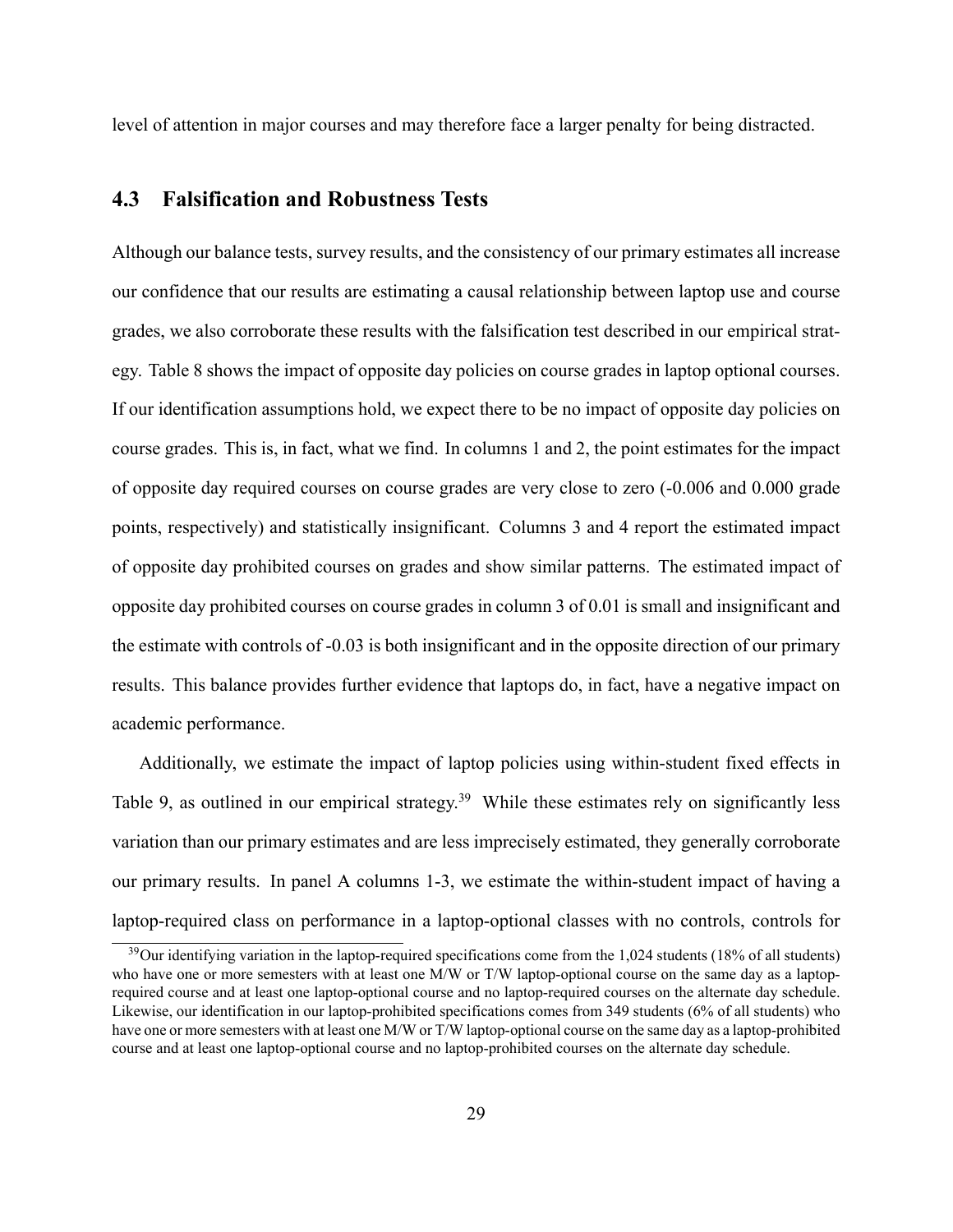level of attention in major courses and may therefore face a larger penalty for being distracted.

### **4.3 Falsification and Robustness Tests**

Although our balance tests, survey results, and the consistency of our primary estimates all increase our confidence that our results are estimating a causal relationship between laptop use and course grades, we also corroborate these results with the falsification test described in our empirical strategy. Table 8 shows the impact of opposite day policies on course grades in laptop optional courses. If our identification assumptions hold, we expect there to be no impact of opposite day policies on course grades. This is, in fact, what we find. In columns 1 and 2, the point estimates for the impact of opposite day required courses on course grades are very close to zero (-0.006 and 0.000 grade points, respectively) and statistically insignificant. Columns 3 and 4 report the estimated impact of opposite day prohibited courses on grades and show similar patterns. The estimated impact of opposite day prohibited courses on course grades in column 3 of 0.01 is small and insignificant and the estimate with controls of -0.03 is both insignificant and in the opposite direction of our primary results. This balance provides further evidence that laptops do, in fact, have a negative impact on academic performance.

Additionally, we estimate the impact of laptop policies using within-student fixed effects in Table 9, as outlined in our empirical strategy.<sup>39</sup> While these estimates rely on significantly less variation than our primary estimates and are less imprecisely estimated, they generally corroborate our primary results. In panel A columns 1-3, we estimate the within-student impact of having a laptop-required class on performance in a laptop-optional classes with no controls, controls for

 $39$ Our identifying variation in the laptop-required specifications come from the 1,024 students (18% of all students) who have one or more semesters with at least one M/W or T/W laptop-optional course on the same day as a laptoprequired course and at least one laptop-optional course and no laptop-required courses on the alternate day schedule. Likewise, our identification in our laptop-prohibited specifications comes from 349 students (6% of all students) who have one or more semesters with at least one M/W or T/W laptop-optional course on the same day as a laptop-prohibited course and at least one laptop-optional course and no laptop-prohibited courses on the alternate day schedule.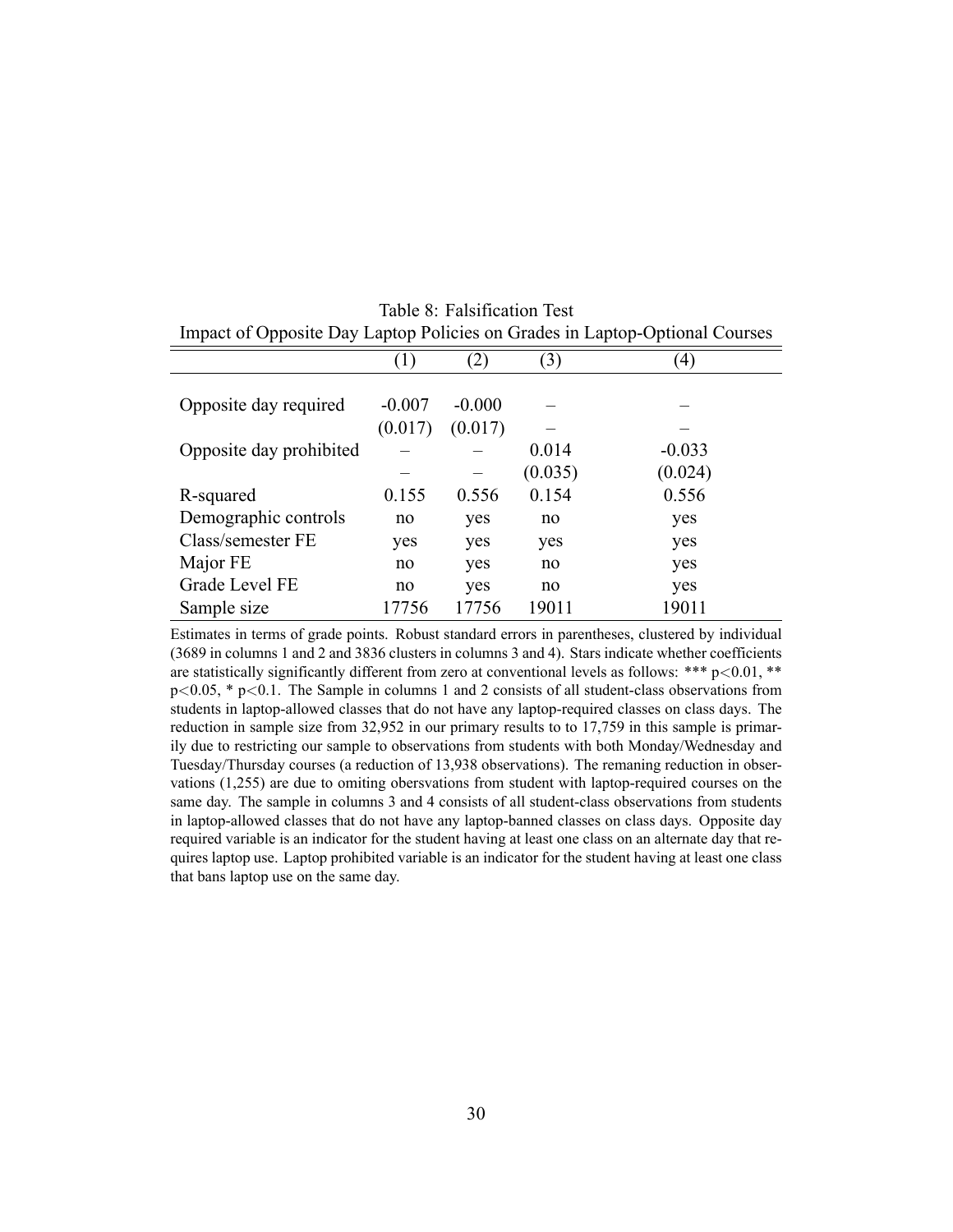|                         | (1)      | $\mathbf{2})$ | (3)     | (4)      |
|-------------------------|----------|---------------|---------|----------|
|                         |          |               |         |          |
| Opposite day required   | $-0.007$ | $-0.000$      |         |          |
|                         | (0.017)  | (0.017)       |         |          |
| Opposite day prohibited |          |               | 0.014   | $-0.033$ |
|                         |          |               | (0.035) | (0.024)  |
| R-squared               | 0.155    | 0.556         | 0.154   | 0.556    |
| Demographic controls    | no       | yes           | no      | yes      |
| Class/semester FE       | yes      | yes           | yes     | yes      |
| Major FE                | no       | yes           | no      | yes      |
| Grade Level FE          | no       | yes           | no      | yes      |
| Sample size             | .7756    | 17756         | 19011   | 19011    |

Table 8: Falsification Test Impact of Opposite Day Laptop Policies on Grades in Laptop-Optional Courses

Estimates in terms of grade points. Robust standard errors in parentheses, clustered by individual (3689 in columns 1 and 2 and 3836 clusters in columns 3 and 4). Stars indicate whether coefficients are statistically significantly different from zero at conventional levels as follows: \*\*\*  $p < 0.01$ , \*\*  $p<0.05$ , \*  $p<0.1$ . The Sample in columns 1 and 2 consists of all student-class observations from students in laptop-allowed classes that do not have any laptop-required classes on class days. The reduction in sample size from 32,952 in our primary results to to 17,759 in this sample is primarily due to restricting our sample to observations from students with both Monday/Wednesday and Tuesday/Thursday courses (a reduction of 13,938 observations). The remaning reduction in observations (1,255) are due to omiting obersvations from student with laptop-required courses on the same day. The sample in columns 3 and 4 consists of all student-class observations from students in laptop-allowed classes that do not have any laptop-banned classes on class days. Opposite day required variable is an indicator for the student having at least one class on an alternate day that requires laptop use. Laptop prohibited variable is an indicator for the student having at least one class that bans laptop use on the same day.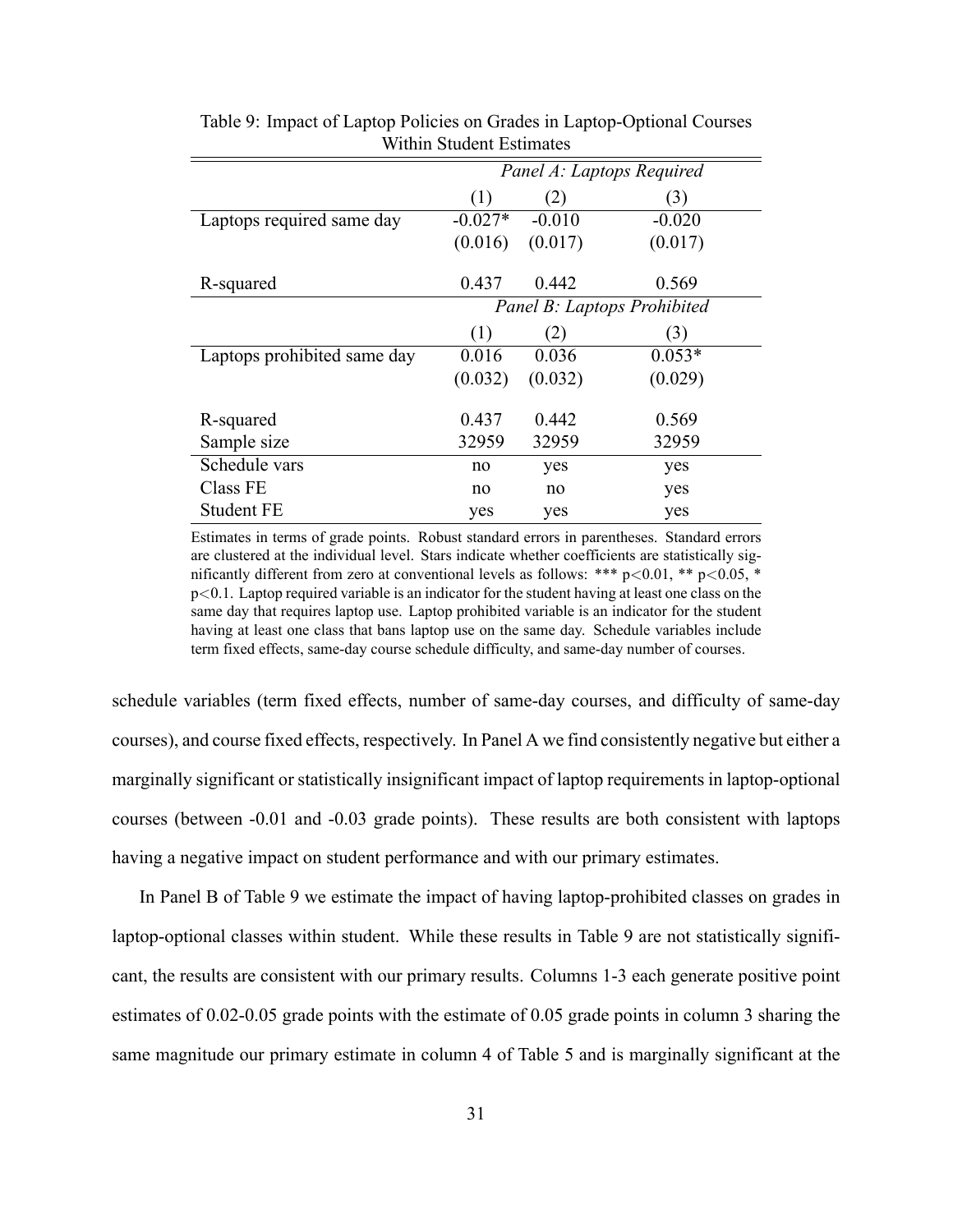|                             | Panel A: Laptops Required   |          |          |  |  |  |
|-----------------------------|-----------------------------|----------|----------|--|--|--|
|                             | (1)                         | (2)      | (3)      |  |  |  |
| Laptops required same day   | $-0.027*$                   | $-0.010$ | $-0.020$ |  |  |  |
|                             | (0.016)                     | (0.017)  | (0.017)  |  |  |  |
| R-squared                   | 0.437                       | 0.442    | 0.569    |  |  |  |
|                             | Panel B: Laptops Prohibited |          |          |  |  |  |
|                             | (1)                         | (2)      | (3)      |  |  |  |
| Laptops prohibited same day | 0.016                       | 0.036    | $0.053*$ |  |  |  |
|                             | (0.032)                     | (0.032)  | (0.029)  |  |  |  |
| R-squared                   | 0.437                       | 0.442    | 0.569    |  |  |  |
| Sample size                 | 32959                       | 32959    | 32959    |  |  |  |
| Schedule vars               | no                          | yes      | yes      |  |  |  |
| Class FE                    | no                          | no       | yes      |  |  |  |
| <b>Student FE</b>           | yes                         | yes      | yes      |  |  |  |

Table 9: Impact of Laptop Policies on Grades in Laptop-Optional Courses Within Student Estimates

Estimates in terms of grade points. Robust standard errors in parentheses. Standard errors are clustered at the individual level. Stars indicate whether coefficients are statistically significantly different from zero at conventional levels as follows: \*\*\*  $p < 0.01$ , \*\*  $p < 0.05$ , \* p<0.1. Laptop required variable is an indicator for the student having at least one class on the same day that requires laptop use. Laptop prohibited variable is an indicator for the student having at least one class that bans laptop use on the same day. Schedule variables include term fixed effects, same-day course schedule difficulty, and same-day number of courses.

schedule variables (term fixed effects, number of same-day courses, and difficulty of same-day courses), and course fixed effects, respectively. In Panel A we find consistently negative but either a marginally significant or statistically insignificant impact of laptop requirements in laptop-optional courses (between -0.01 and -0.03 grade points). These results are both consistent with laptops having a negative impact on student performance and with our primary estimates.

In Panel B of Table 9 we estimate the impact of having laptop-prohibited classes on grades in laptop-optional classes within student. While these results in Table 9 are not statistically significant, the results are consistent with our primary results. Columns 1-3 each generate positive point estimates of 0.02-0.05 grade points with the estimate of 0.05 grade points in column 3 sharing the same magnitude our primary estimate in column 4 of Table 5 and is marginally significant at the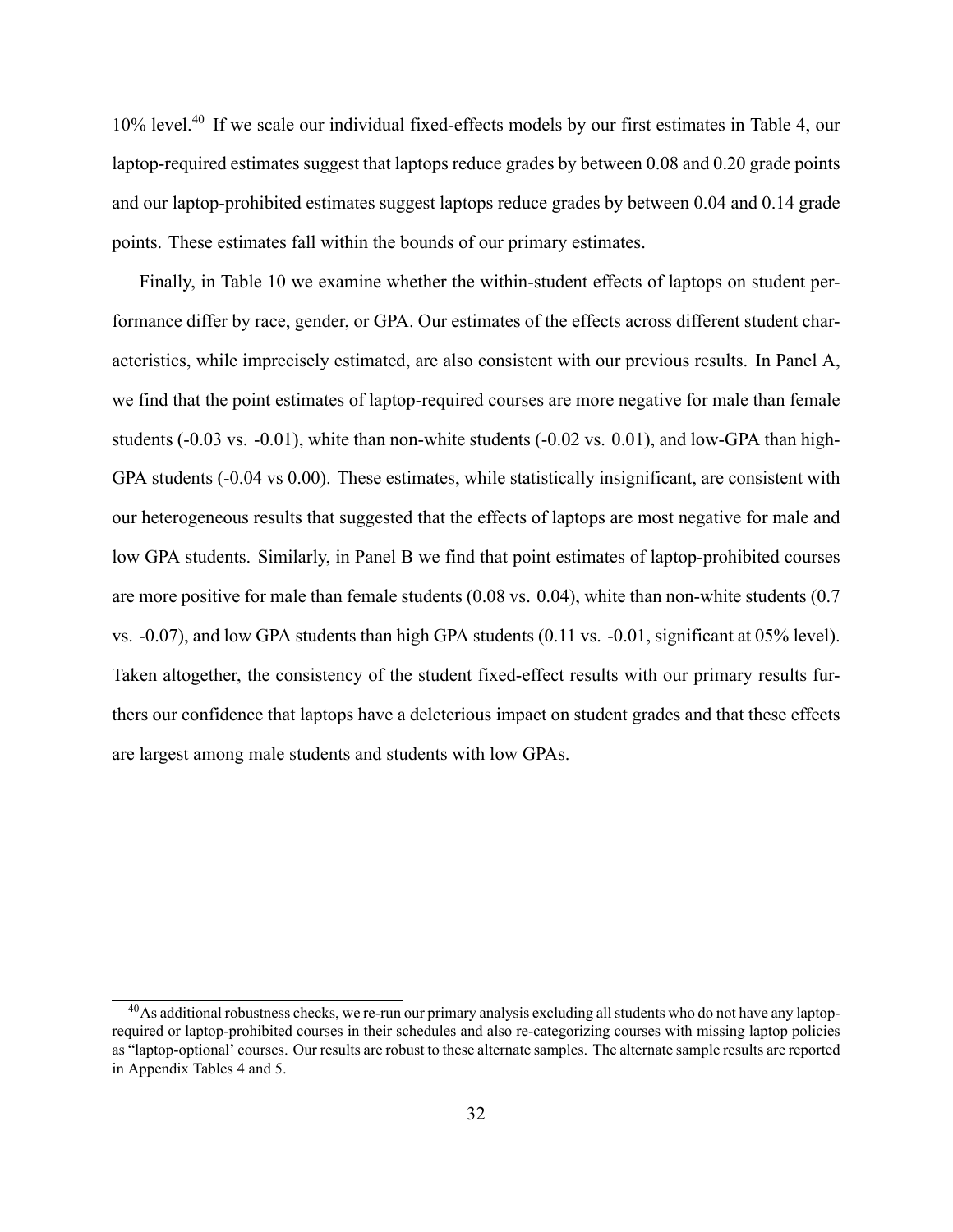10% level.<sup>40</sup> If we scale our individual fixed-effects models by our first estimates in Table 4, our laptop-required estimates suggest that laptops reduce grades by between 0.08 and 0.20 grade points and our laptop-prohibited estimates suggest laptops reduce grades by between 0.04 and 0.14 grade points. These estimates fall within the bounds of our primary estimates.

Finally, in Table 10 we examine whether the within-student effects of laptops on student performance differ by race, gender, or GPA. Our estimates of the effects across different student characteristics, while imprecisely estimated, are also consistent with our previous results. In Panel A, we find that the point estimates of laptop-required courses are more negative for male than female students  $(-0.03 \text{ vs. } -0.01)$ , white than non-white students  $(-0.02 \text{ vs. } 0.01)$ , and low-GPA than high-GPA students (-0.04 vs 0.00). These estimates, while statistically insignificant, are consistent with our heterogeneous results that suggested that the effects of laptops are most negative for male and low GPA students. Similarly, in Panel B we find that point estimates of laptop-prohibited courses are more positive for male than female students (0.08 vs. 0.04), white than non-white students (0.7 vs. -0.07), and low GPA students than high GPA students (0.11 vs. -0.01, significant at 05% level). Taken altogether, the consistency of the student fixed-effect results with our primary results furthers our confidence that laptops have a deleterious impact on student grades and that these effects are largest among male students and students with low GPAs.

 $^{40}$ As additional robustness checks, we re-run our primary analysis excluding all students who do not have any laptoprequired or laptop-prohibited courses in their schedules and also re-categorizing courses with missing laptop policies as "laptop-optional' courses. Our results are robust to these alternate samples. The alternate sample results are reported in Appendix Tables 4 and 5.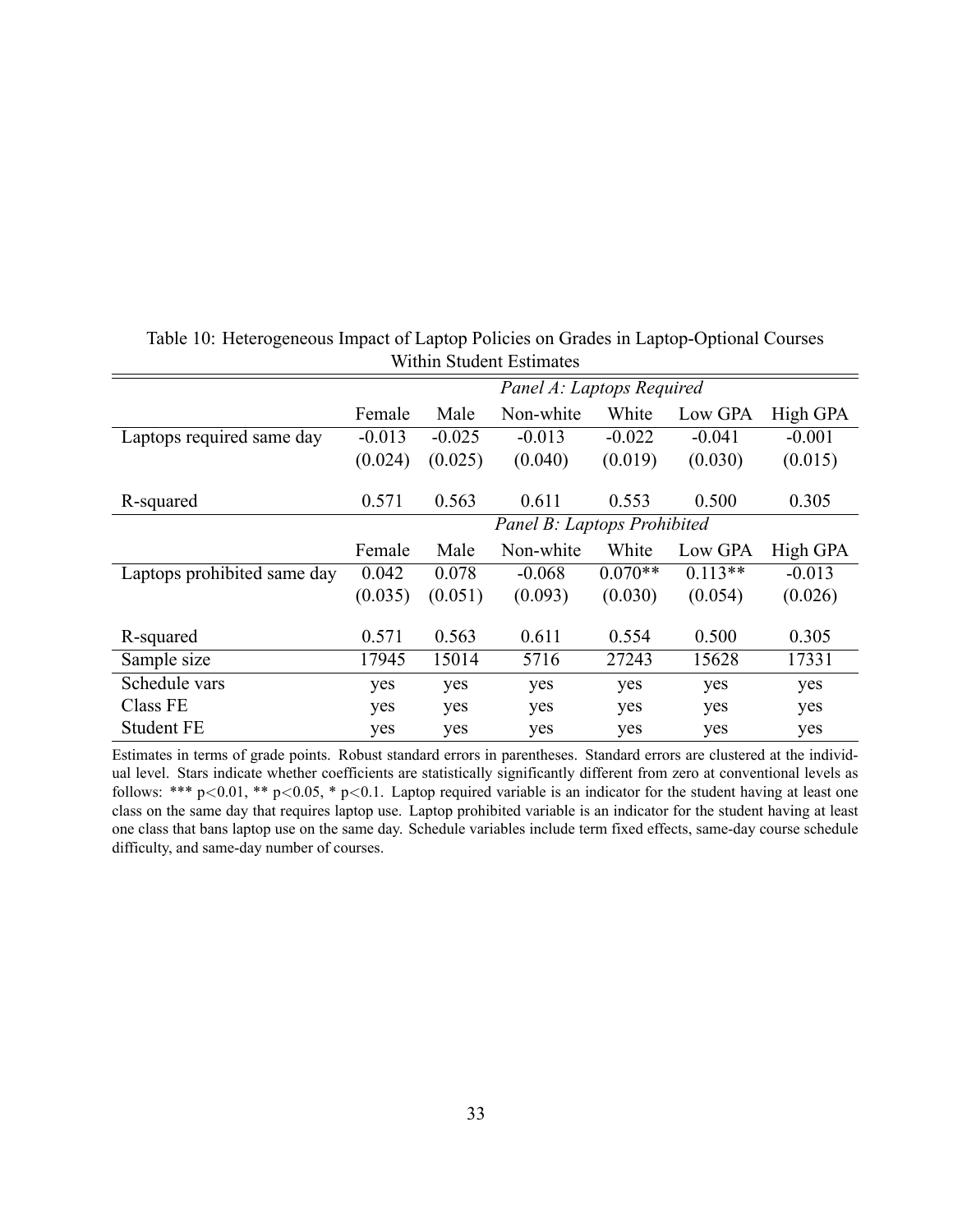|                             | Panel A: Laptops Required   |          |           |           |           |          |
|-----------------------------|-----------------------------|----------|-----------|-----------|-----------|----------|
|                             | Female                      | Male     | Non-white | White     | Low GPA   | High GPA |
| Laptops required same day   | $-0.013$                    | $-0.025$ | $-0.013$  | $-0.022$  | $-0.041$  | $-0.001$ |
|                             | (0.024)                     | (0.025)  | (0.040)   | (0.019)   | (0.030)   | (0.015)  |
|                             |                             |          |           |           |           |          |
| R-squared                   | 0.571                       | 0.563    | 0.611     | 0.553     | 0.500     | 0.305    |
|                             | Panel B: Laptops Prohibited |          |           |           |           |          |
|                             | Female                      | Male     | Non-white | White     | Low GPA   | High GPA |
| Laptops prohibited same day | 0.042                       | 0.078    | $-0.068$  | $0.070**$ | $0.113**$ | $-0.013$ |
|                             | (0.035)                     | (0.051)  | (0.093)   | (0.030)   | (0.054)   | (0.026)  |
|                             |                             |          |           |           |           |          |
| R-squared                   | 0.571                       | 0.563    | 0.611     | 0.554     | 0.500     | 0.305    |
| Sample size                 | 17945                       | 15014    | 5716      | 27243     | 15628     | 17331    |
| Schedule vars               | yes                         | yes      | yes       | yes       | yes       | yes      |
| <b>Class FE</b>             | yes                         | yes      | yes       | yes       | yes       | yes      |
| <b>Student FE</b>           | yes                         | yes      | yes       | yes       | yes       | yes      |

### Table 10: Heterogeneous Impact of Laptop Policies on Grades in Laptop-Optional Courses Within Student Estimates

Estimates in terms of grade points. Robust standard errors in parentheses. Standard errors are clustered at the individual level. Stars indicate whether coefficients are statistically significantly different from zero at conventional levels as follows: \*\*\*  $p < 0.01$ , \*\*  $p < 0.05$ , \*  $p < 0.1$ . Laptop required variable is an indicator for the student having at least one class on the same day that requires laptop use. Laptop prohibited variable is an indicator for the student having at least one class that bans laptop use on the same day. Schedule variables include term fixed effects, same-day course schedule difficulty, and same-day number of courses.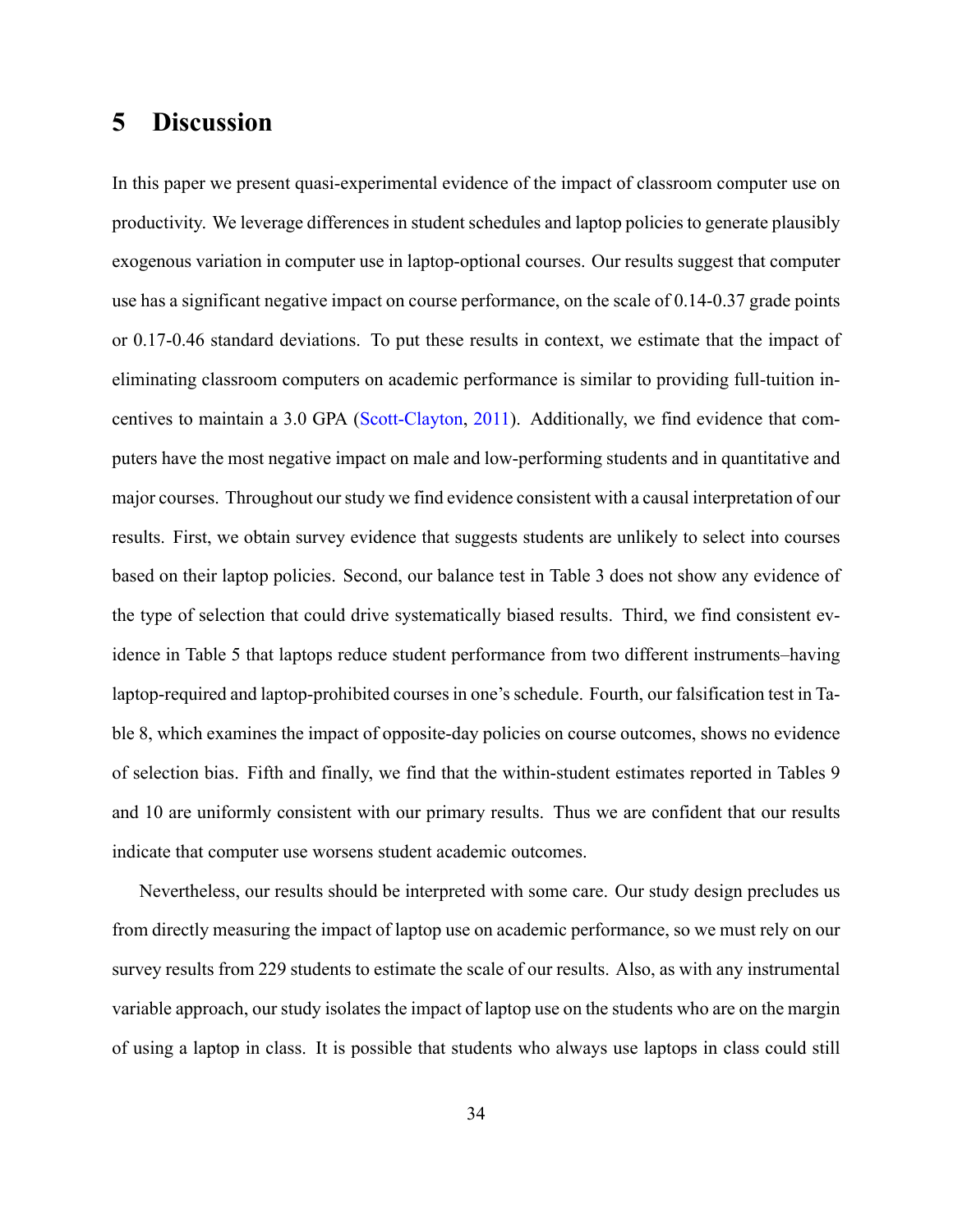## **5 Discussion**

In this paper we present quasi-experimental evidence of the impact of classroom computer use on productivity. We leverage differences in student schedules and laptop policies to generate plausibly exogenous variation in computer use in laptop-optional courses. Our results suggest that computer use has a significant negative impact on course performance, on the scale of 0.14-0.37 grade points or 0.17-0.46 standard deviations. To put these results in context, we estimate that the impact of eliminating classroom computers on academic performance is similar to providing full-tuition incentives to maintain a 3.0 GPA (Scott-Clayton, 2011). Additionally, we find evidence that computers have the most negative impact on male and low-performing students and in quantitative and major courses. Throughout our study we find evidence consistent with a causal interpretation of our results. First, we obtain survey evidence that suggests students are unlikely to select into courses based on their laptop policies. Second, our balance test in Table 3 does not show any evidence of the type of selection that could drive systematically biased results. Third, we find consistent evidence in Table 5 that laptops reduce student performance from two different instruments–having laptop-required and laptop-prohibited courses in one's schedule. Fourth, our falsification test in Table 8, which examines the impact of opposite-day policies on course outcomes, shows no evidence of selection bias. Fifth and finally, we find that the within-student estimates reported in Tables 9 and 10 are uniformly consistent with our primary results. Thus we are confident that our results indicate that computer use worsens student academic outcomes.

Nevertheless, our results should be interpreted with some care. Our study design precludes us from directly measuring the impact of laptop use on academic performance, so we must rely on our survey results from 229 students to estimate the scale of our results. Also, as with any instrumental variable approach, our study isolates the impact of laptop use on the students who are on the margin of using a laptop in class. It is possible that students who always use laptops in class could still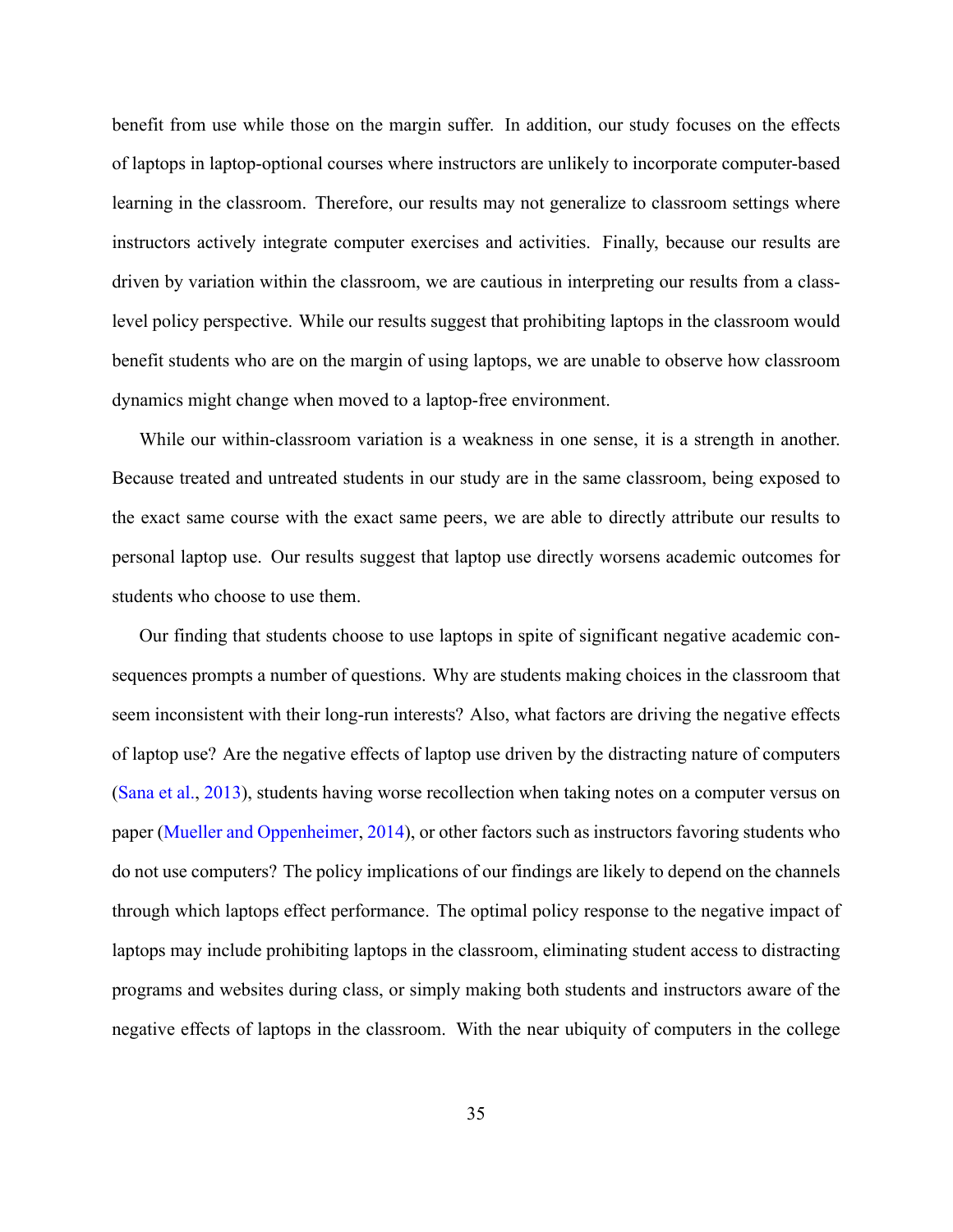benefit from use while those on the margin suffer. In addition, our study focuses on the effects of laptops in laptop-optional courses where instructors are unlikely to incorporate computer-based learning in the classroom. Therefore, our results may not generalize to classroom settings where instructors actively integrate computer exercises and activities. Finally, because our results are driven by variation within the classroom, we are cautious in interpreting our results from a classlevel policy perspective. While our results suggest that prohibiting laptops in the classroom would benefit students who are on the margin of using laptops, we are unable to observe how classroom dynamics might change when moved to a laptop-free environment.

While our within-classroom variation is a weakness in one sense, it is a strength in another. Because treated and untreated students in our study are in the same classroom, being exposed to the exact same course with the exact same peers, we are able to directly attribute our results to personal laptop use. Our results suggest that laptop use directly worsens academic outcomes for students who choose to use them.

Our finding that students choose to use laptops in spite of significant negative academic consequences prompts a number of questions. Why are students making choices in the classroom that seem inconsistent with their long-run interests? Also, what factors are driving the negative effects of laptop use? Are the negative effects of laptop use driven by the distracting nature of computers (Sana et al., 2013), students having worse recollection when taking notes on a computer versus on paper (Mueller and Oppenheimer, 2014), or other factors such as instructors favoring students who do not use computers? The policy implications of our findings are likely to depend on the channels through which laptops effect performance. The optimal policy response to the negative impact of laptops may include prohibiting laptops in the classroom, eliminating student access to distracting programs and websites during class, or simply making both students and instructors aware of the negative effects of laptops in the classroom. With the near ubiquity of computers in the college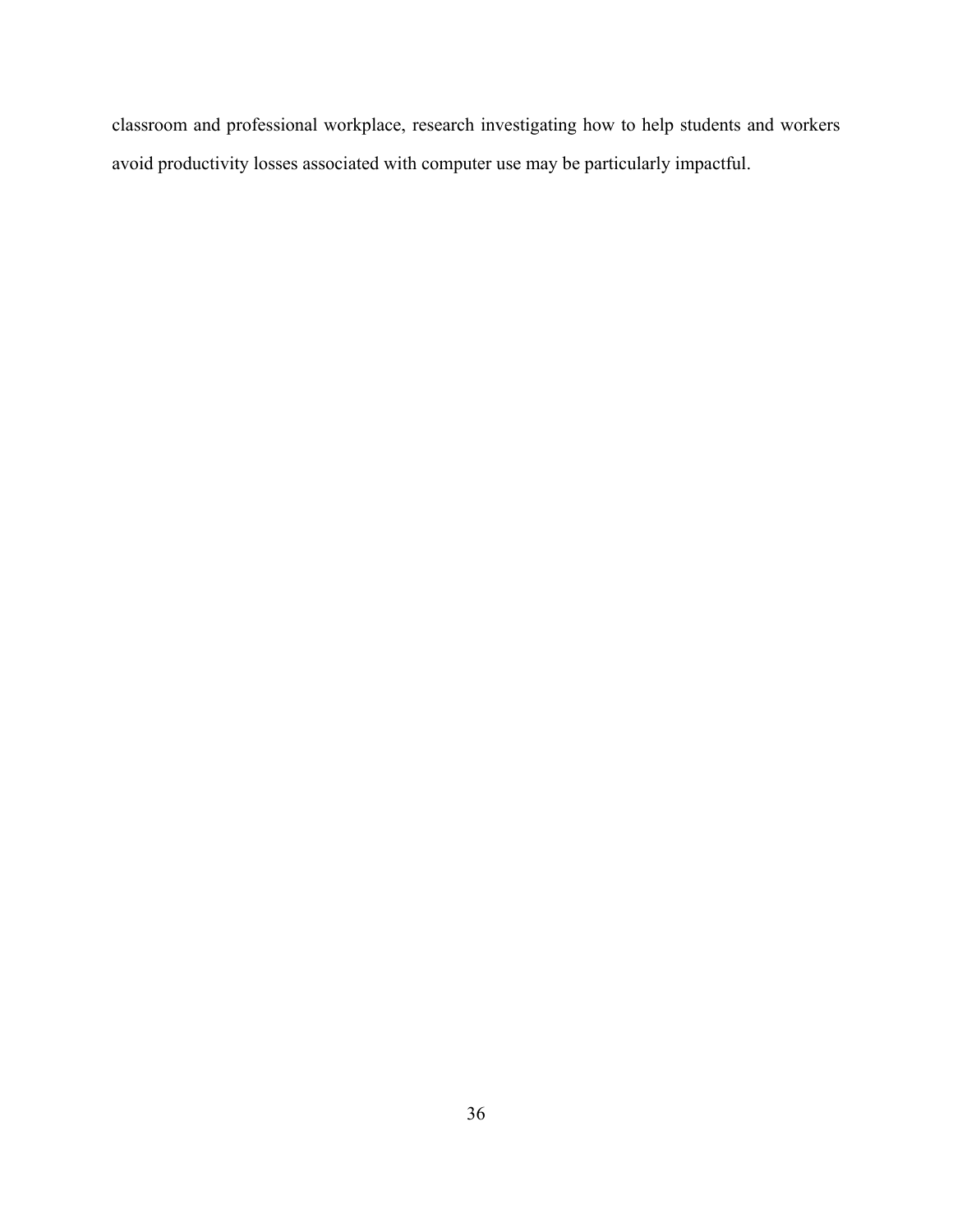classroom and professional workplace, research investigating how to help students and workers avoid productivity losses associated with computer use may be particularly impactful.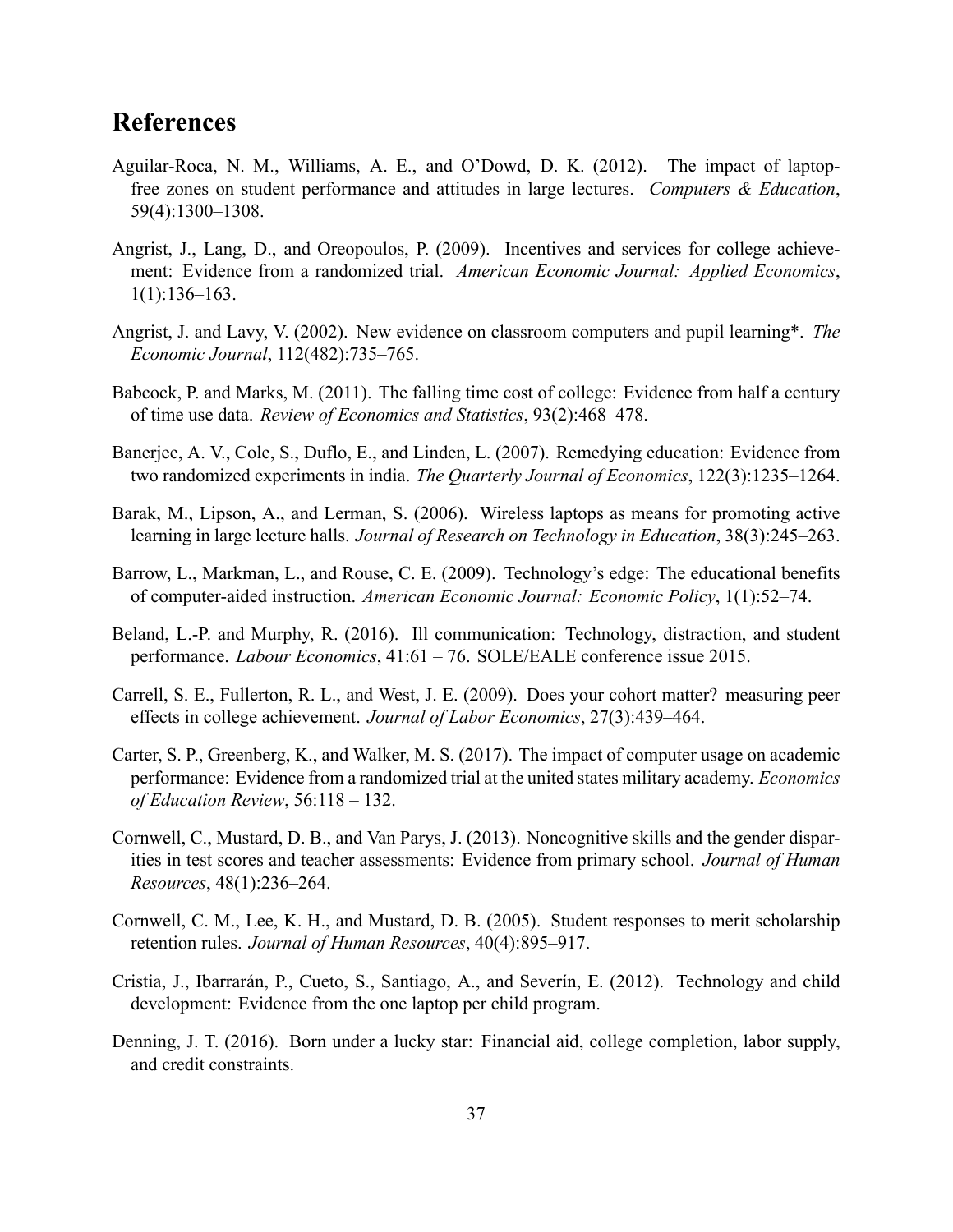## **References**

- Aguilar-Roca, N. M., Williams, A. E., and O'Dowd, D. K. (2012). The impact of laptopfree zones on student performance and attitudes in large lectures. *Computers & Education*, 59(4):1300–1308.
- Angrist, J., Lang, D., and Oreopoulos, P. (2009). Incentives and services for college achievement: Evidence from a randomized trial. *American Economic Journal: Applied Economics*, 1(1):136–163.
- Angrist, J. and Lavy, V. (2002). New evidence on classroom computers and pupil learning\*. *The Economic Journal*, 112(482):735–765.
- Babcock, P. and Marks, M. (2011). The falling time cost of college: Evidence from half a century of time use data. *Review of Economics and Statistics*, 93(2):468–478.
- Banerjee, A. V., Cole, S., Duflo, E., and Linden, L. (2007). Remedying education: Evidence from two randomized experiments in india. *The Quarterly Journal of Economics*, 122(3):1235–1264.
- Barak, M., Lipson, A., and Lerman, S. (2006). Wireless laptops as means for promoting active learning in large lecture halls. *Journal of Research on Technology in Education*, 38(3):245–263.
- Barrow, L., Markman, L., and Rouse, C. E. (2009). Technology's edge: The educational benefits of computer-aided instruction. *American Economic Journal: Economic Policy*, 1(1):52–74.
- Beland, L.-P. and Murphy, R. (2016). Ill communication: Technology, distraction, and student performance. *Labour Economics*, 41:61 – 76. SOLE/EALE conference issue 2015.
- Carrell, S. E., Fullerton, R. L., and West, J. E. (2009). Does your cohort matter? measuring peer effects in college achievement. *Journal of Labor Economics*, 27(3):439–464.
- Carter, S. P., Greenberg, K., and Walker, M. S. (2017). The impact of computer usage on academic performance: Evidence from a randomized trial at the united states military academy. *Economics of Education Review*, 56:118 – 132.
- Cornwell, C., Mustard, D. B., and Van Parys, J. (2013). Noncognitive skills and the gender disparities in test scores and teacher assessments: Evidence from primary school. *Journal of Human Resources*, 48(1):236–264.
- Cornwell, C. M., Lee, K. H., and Mustard, D. B. (2005). Student responses to merit scholarship retention rules. *Journal of Human Resources*, 40(4):895–917.
- Cristia, J., Ibarrarán, P., Cueto, S., Santiago, A., and Severín, E. (2012). Technology and child development: Evidence from the one laptop per child program.
- Denning, J. T. (2016). Born under a lucky star: Financial aid, college completion, labor supply, and credit constraints.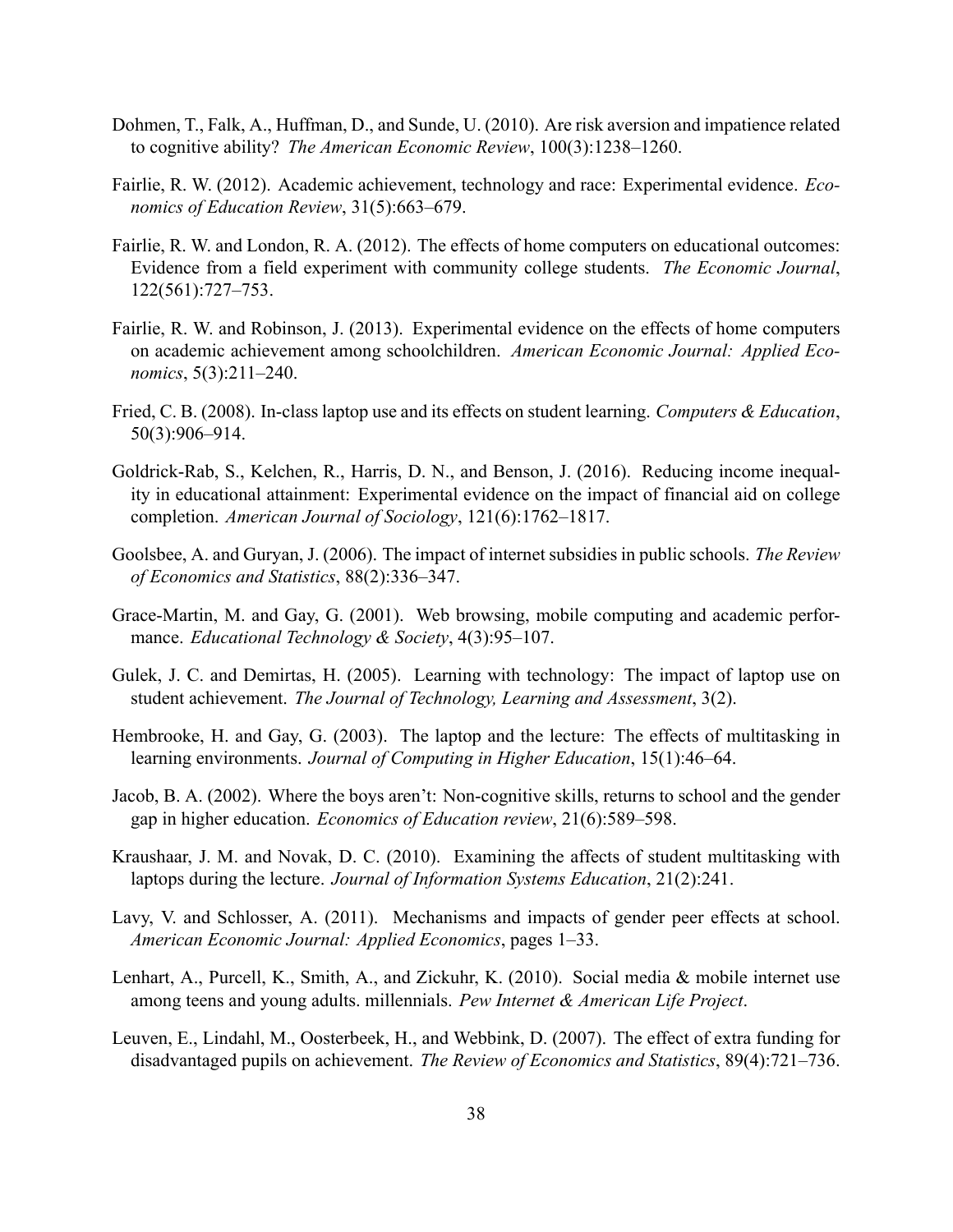- Dohmen, T., Falk, A., Huffman, D., and Sunde, U. (2010). Are risk aversion and impatience related to cognitive ability? *The American Economic Review*, 100(3):1238–1260.
- Fairlie, R. W. (2012). Academic achievement, technology and race: Experimental evidence. *Economics of Education Review*, 31(5):663–679.
- Fairlie, R. W. and London, R. A. (2012). The effects of home computers on educational outcomes: Evidence from a field experiment with community college students. *The Economic Journal*, 122(561):727–753.
- Fairlie, R. W. and Robinson, J. (2013). Experimental evidence on the effects of home computers on academic achievement among schoolchildren. *American Economic Journal: Applied Economics*, 5(3):211–240.
- Fried, C. B. (2008). In-class laptop use and its effects on student learning. *Computers & Education*, 50(3):906–914.
- Goldrick-Rab, S., Kelchen, R., Harris, D. N., and Benson, J. (2016). Reducing income inequality in educational attainment: Experimental evidence on the impact of financial aid on college completion. *American Journal of Sociology*, 121(6):1762–1817.
- Goolsbee, A. and Guryan, J. (2006). The impact of internet subsidies in public schools. *The Review of Economics and Statistics*, 88(2):336–347.
- Grace-Martin, M. and Gay, G. (2001). Web browsing, mobile computing and academic performance. *Educational Technology & Society*, 4(3):95–107.
- Gulek, J. C. and Demirtas, H. (2005). Learning with technology: The impact of laptop use on student achievement. *The Journal of Technology, Learning and Assessment*, 3(2).
- Hembrooke, H. and Gay, G. (2003). The laptop and the lecture: The effects of multitasking in learning environments. *Journal of Computing in Higher Education*, 15(1):46–64.
- Jacob, B. A. (2002). Where the boys aren't: Non-cognitive skills, returns to school and the gender gap in higher education. *Economics of Education review*, 21(6):589–598.
- Kraushaar, J. M. and Novak, D. C. (2010). Examining the affects of student multitasking with laptops during the lecture. *Journal of Information Systems Education*, 21(2):241.
- Lavy, V. and Schlosser, A. (2011). Mechanisms and impacts of gender peer effects at school. *American Economic Journal: Applied Economics*, pages 1–33.
- Lenhart, A., Purcell, K., Smith, A., and Zickuhr, K. (2010). Social media & mobile internet use among teens and young adults. millennials. *Pew Internet & American Life Project*.
- Leuven, E., Lindahl, M., Oosterbeek, H., and Webbink, D. (2007). The effect of extra funding for disadvantaged pupils on achievement. *The Review of Economics and Statistics*, 89(4):721–736.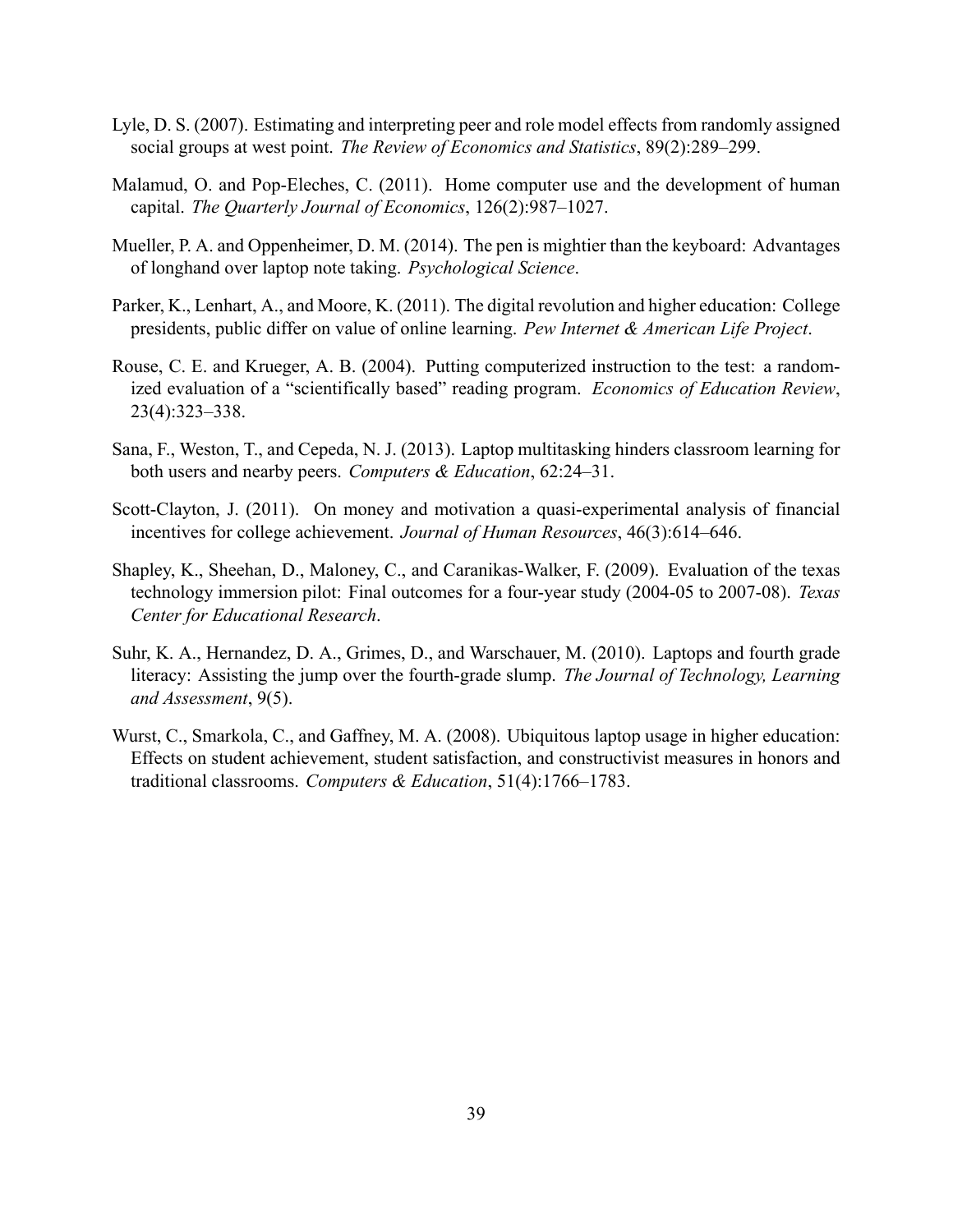- Lyle, D. S. (2007). Estimating and interpreting peer and role model effects from randomly assigned social groups at west point. *The Review of Economics and Statistics*, 89(2):289–299.
- Malamud, O. and Pop-Eleches, C. (2011). Home computer use and the development of human capital. *The Quarterly Journal of Economics*, 126(2):987–1027.
- Mueller, P. A. and Oppenheimer, D. M. (2014). The pen is mightier than the keyboard: Advantages of longhand over laptop note taking. *Psychological Science*.
- Parker, K., Lenhart, A., and Moore, K. (2011). The digital revolution and higher education: College presidents, public differ on value of online learning. *Pew Internet & American Life Project*.
- Rouse, C. E. and Krueger, A. B. (2004). Putting computerized instruction to the test: a randomized evaluation of a "scientifically based" reading program. *Economics of Education Review*, 23(4):323–338.
- Sana, F., Weston, T., and Cepeda, N. J. (2013). Laptop multitasking hinders classroom learning for both users and nearby peers. *Computers & Education*, 62:24–31.
- Scott-Clayton, J. (2011). On money and motivation a quasi-experimental analysis of financial incentives for college achievement. *Journal of Human Resources*, 46(3):614–646.
- Shapley, K., Sheehan, D., Maloney, C., and Caranikas-Walker, F. (2009). Evaluation of the texas technology immersion pilot: Final outcomes for a four-year study (2004-05 to 2007-08). *Texas Center for Educational Research*.
- Suhr, K. A., Hernandez, D. A., Grimes, D., and Warschauer, M. (2010). Laptops and fourth grade literacy: Assisting the jump over the fourth-grade slump. *The Journal of Technology, Learning and Assessment*, 9(5).
- Wurst, C., Smarkola, C., and Gaffney, M. A. (2008). Ubiquitous laptop usage in higher education: Effects on student achievement, student satisfaction, and constructivist measures in honors and traditional classrooms. *Computers & Education*, 51(4):1766–1783.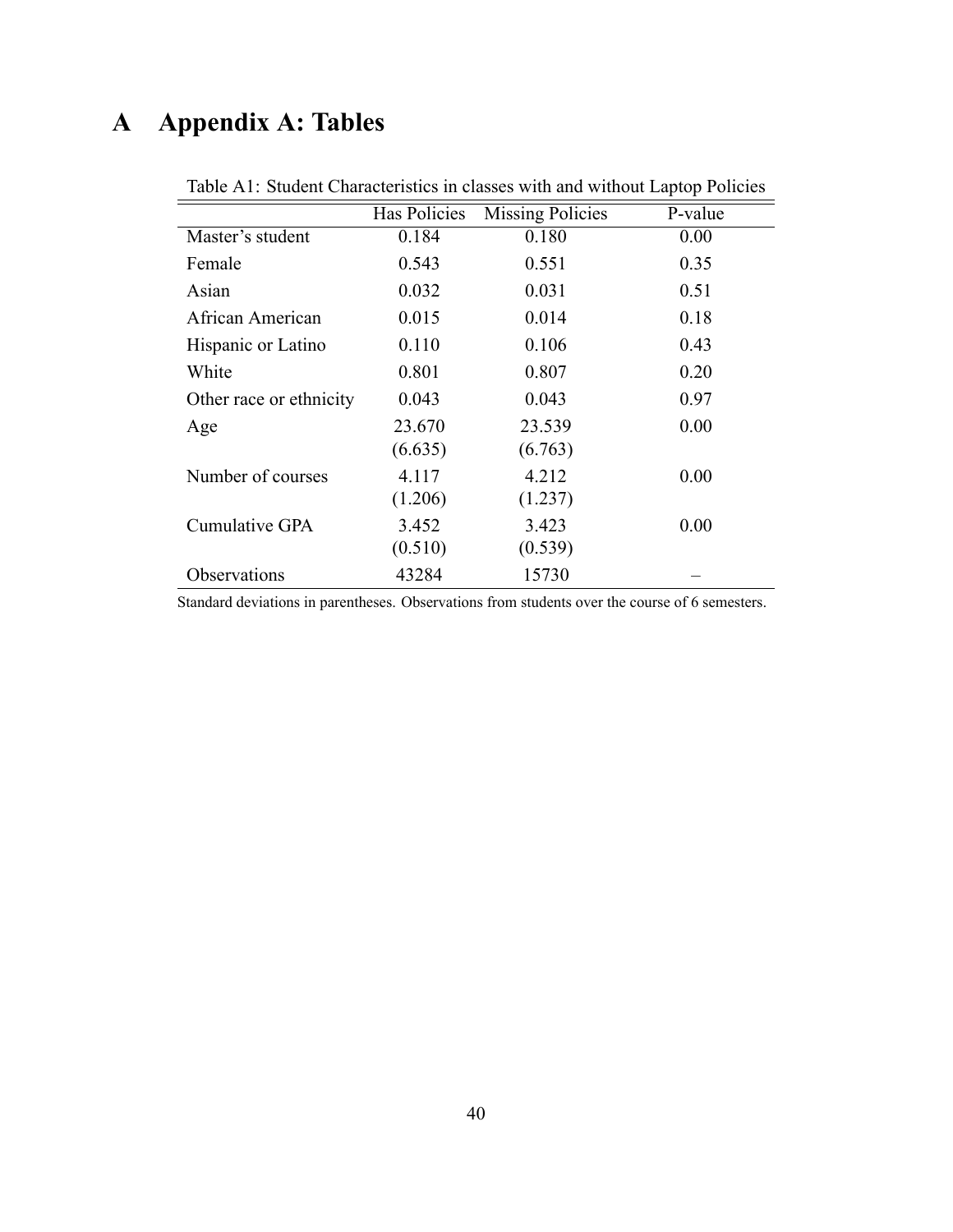# **A Appendix A: Tables**

|                         | <b>Has Policies</b> | <b>Missing Policies</b> | P-value |
|-------------------------|---------------------|-------------------------|---------|
| Master's student        | 0.184               | 0.180                   | 0.00    |
| Female                  | 0.543               | 0.551                   | 0.35    |
| Asian                   | 0.032               | 0.031                   | 0.51    |
| African American        | 0.015               | 0.014                   | 0.18    |
| Hispanic or Latino      | 0.110               | 0.106                   | 0.43    |
| White                   | 0.801               | 0.807                   | 0.20    |
| Other race or ethnicity | 0.043               | 0.043                   | 0.97    |
| Age                     | 23.670<br>(6.635)   | 23.539<br>(6.763)       | 0.00    |
| Number of courses       | 4.117<br>(1.206)    | 4.212<br>(1.237)        | 0.00    |
| Cumulative GPA          | 3.452<br>(0.510)    | 3.423<br>(0.539)        | 0.00    |
| Observations            | 43284               | 15730                   |         |

Table A1: Student Characteristics in classes with and without Laptop Policies

Standard deviations in parentheses. Observations from students over the course of 6 semesters.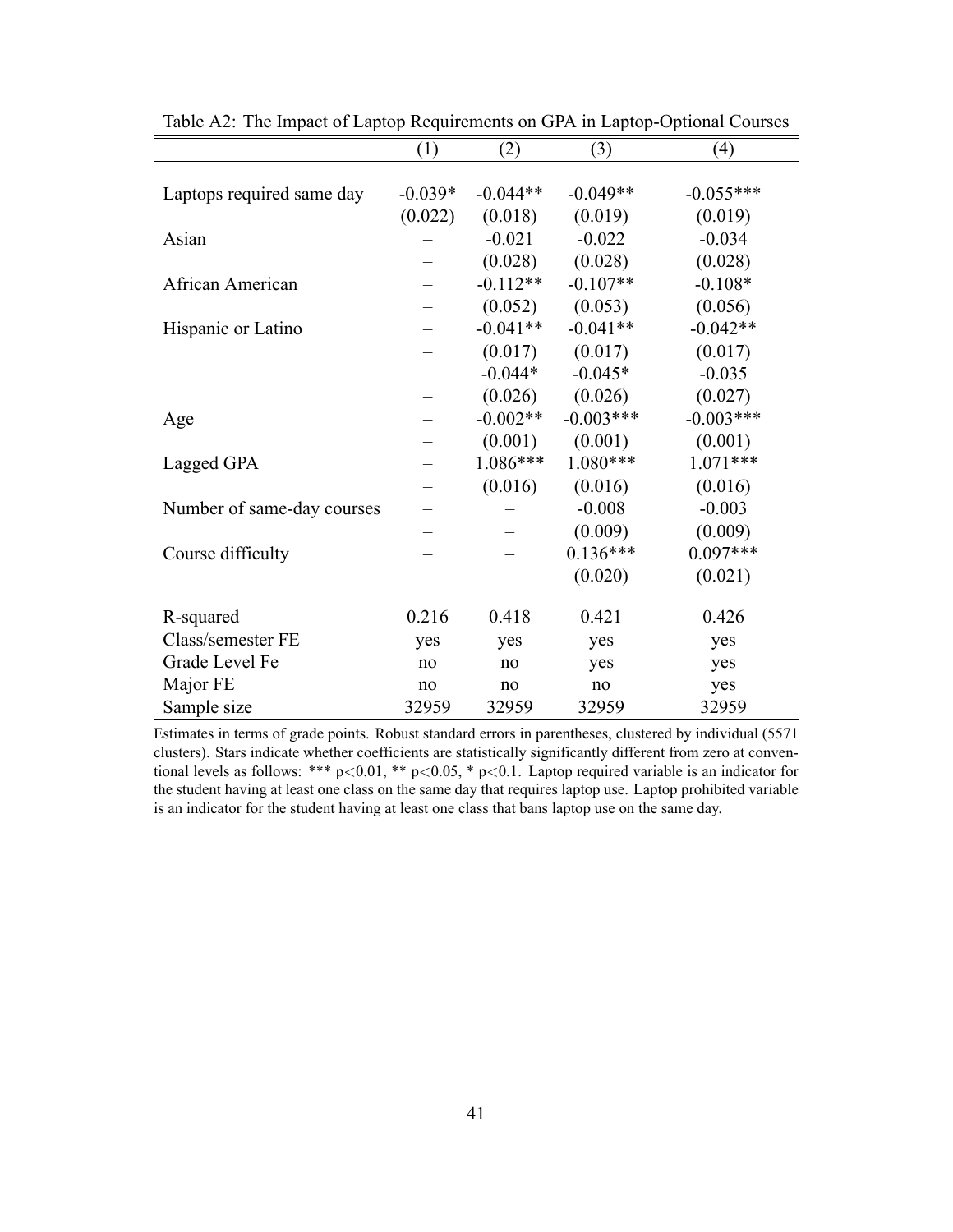|                            | (1)       | (2)        | (3)         | (4)         |
|----------------------------|-----------|------------|-------------|-------------|
|                            |           |            |             |             |
| Laptops required same day  | $-0.039*$ | $-0.044**$ | $-0.049**$  | $-0.055***$ |
|                            | (0.022)   | (0.018)    | (0.019)     | (0.019)     |
| Asian                      |           | $-0.021$   | $-0.022$    | $-0.034$    |
|                            |           | (0.028)    | (0.028)     | (0.028)     |
| African American           |           | $-0.112**$ | $-0.107**$  | $-0.108*$   |
|                            |           | (0.052)    | (0.053)     | (0.056)     |
| Hispanic or Latino         |           | $-0.041**$ | $-0.041**$  | $-0.042**$  |
|                            |           | (0.017)    | (0.017)     | (0.017)     |
|                            |           | $-0.044*$  | $-0.045*$   | $-0.035$    |
|                            |           | (0.026)    | (0.026)     | (0.027)     |
| Age                        |           | $-0.002**$ | $-0.003***$ | $-0.003***$ |
|                            |           | (0.001)    | (0.001)     | (0.001)     |
| Lagged GPA                 |           | $1.086***$ | 1.080***    | $1.071***$  |
|                            |           | (0.016)    | (0.016)     | (0.016)     |
| Number of same-day courses |           |            | $-0.008$    | $-0.003$    |
|                            |           |            | (0.009)     | (0.009)     |
| Course difficulty          |           |            | $0.136***$  | $0.097***$  |
|                            |           |            | (0.020)     | (0.021)     |
|                            |           |            |             |             |
| R-squared                  | 0.216     | 0.418      | 0.421       | 0.426       |
| Class/semester FE          | yes       | yes        | yes         | yes         |
| Grade Level Fe             | no        | no         | yes         | yes         |
| Major FE                   | no        | no         | no          | yes         |
| Sample size                | 32959     | 32959      | 32959       | 32959       |

Table A2: The Impact of Laptop Requirements on GPA in Laptop-Optional Courses

Estimates in terms of grade points. Robust standard errors in parentheses, clustered by individual (5571 clusters). Stars indicate whether coefficients are statistically significantly different from zero at conventional levels as follows: \*\*\*  $p<0.01$ , \*\*  $p<0.05$ , \*  $p<0.1$ . Laptop required variable is an indicator for the student having at least one class on the same day that requires laptop use. Laptop prohibited variable is an indicator for the student having at least one class that bans laptop use on the same day.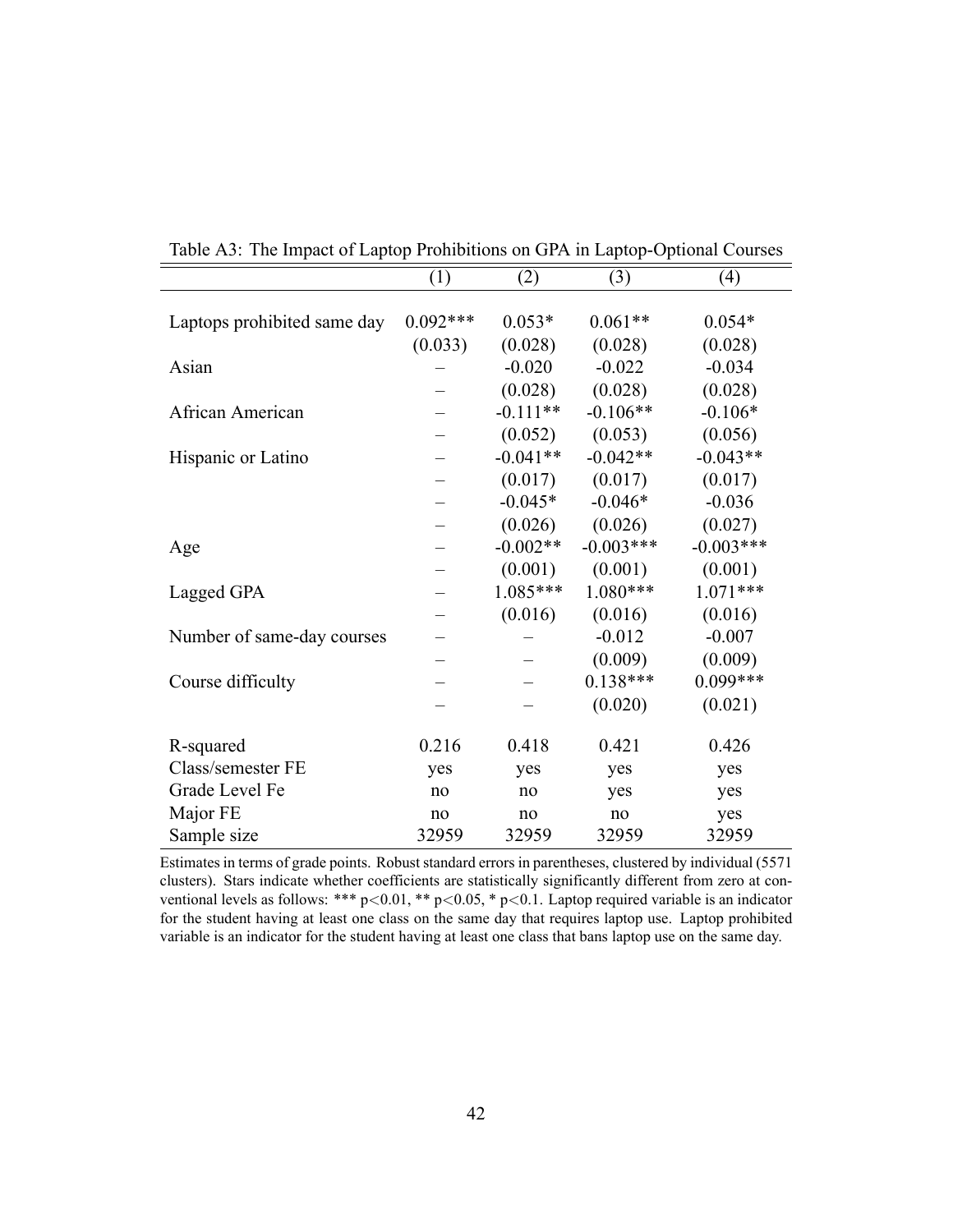| Table A.). The impact of Eaplep Frombutions on OTA in Eaplop-Optional Courses |            |            |             |             |  |  |
|-------------------------------------------------------------------------------|------------|------------|-------------|-------------|--|--|
|                                                                               | (1)        | (2)        | (3)         | (4)         |  |  |
|                                                                               |            |            |             |             |  |  |
| Laptops prohibited same day                                                   | $0.092***$ | $0.053*$   | $0.061**$   | $0.054*$    |  |  |
|                                                                               | (0.033)    | (0.028)    | (0.028)     | (0.028)     |  |  |
| Asian                                                                         |            | $-0.020$   | $-0.022$    | $-0.034$    |  |  |
|                                                                               |            | (0.028)    | (0.028)     | (0.028)     |  |  |
| African American                                                              |            | $-0.111**$ | $-0.106**$  | $-0.106*$   |  |  |
|                                                                               |            | (0.052)    | (0.053)     | (0.056)     |  |  |
| Hispanic or Latino                                                            |            | $-0.041**$ | $-0.042**$  | $-0.043**$  |  |  |
|                                                                               |            | (0.017)    | (0.017)     | (0.017)     |  |  |
|                                                                               |            | $-0.045*$  | $-0.046*$   | $-0.036$    |  |  |
|                                                                               |            | (0.026)    | (0.026)     | (0.027)     |  |  |
| Age                                                                           |            | $-0.002**$ | $-0.003***$ | $-0.003***$ |  |  |
|                                                                               |            | (0.001)    | (0.001)     | (0.001)     |  |  |
| Lagged GPA                                                                    |            | $1.085***$ | $1.080***$  | $1.071***$  |  |  |
|                                                                               |            | (0.016)    | (0.016)     | (0.016)     |  |  |
| Number of same-day courses                                                    |            |            | $-0.012$    | $-0.007$    |  |  |
|                                                                               |            |            | (0.009)     | (0.009)     |  |  |
| Course difficulty                                                             |            |            | $0.138***$  | $0.099***$  |  |  |
|                                                                               |            |            | (0.020)     | (0.021)     |  |  |
|                                                                               |            |            |             |             |  |  |
| R-squared                                                                     | 0.216      | 0.418      | 0.421       | 0.426       |  |  |
| Class/semester FE                                                             | yes        | yes        | yes         | yes         |  |  |
| Grade Level Fe                                                                | no         | no         | yes         | yes         |  |  |
| Major FE                                                                      | no         | no         | no          | yes         |  |  |
| Sample size                                                                   | 32959      | 32959      | 32959       | 32959       |  |  |

Table A3: The Impact of Laptop Prohibitions on GPA in Laptop-Optional Courses

Estimates in terms of grade points. Robust standard errors in parentheses, clustered by individual (5571 clusters). Stars indicate whether coefficients are statistically significantly different from zero at conventional levels as follows: \*\*\* p<0.01, \*\* p<0.05, \* p<0.1. Laptop required variable is an indicator for the student having at least one class on the same day that requires laptop use. Laptop prohibited variable is an indicator for the student having at least one class that bans laptop use on the same day.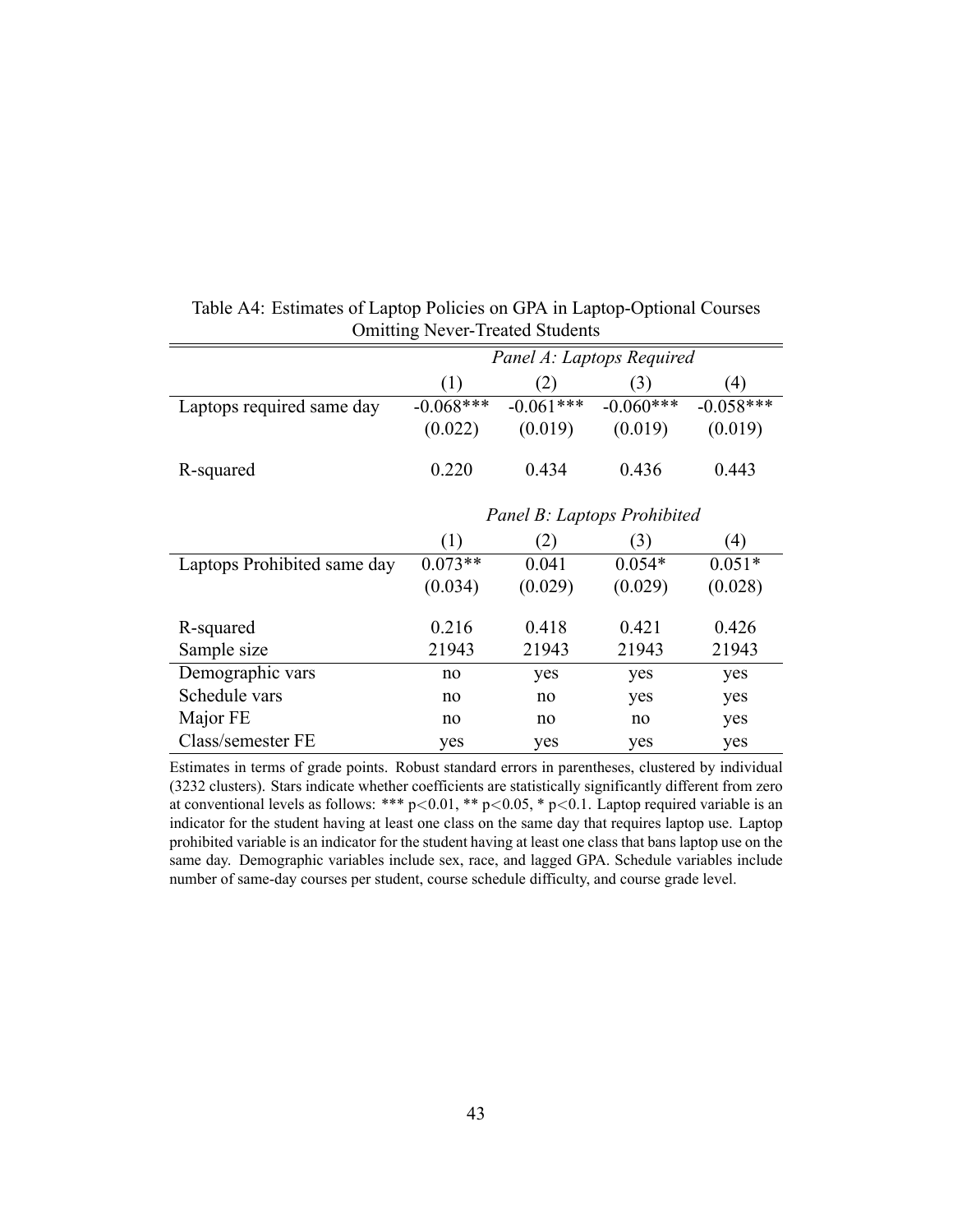|                             | Panel A: Laptops Required   |             |             |                   |
|-----------------------------|-----------------------------|-------------|-------------|-------------------|
|                             | (1)                         | (2)         | (3)         | $\left( 4\right)$ |
| Laptops required same day   | $-0.068***$                 | $-0.061***$ | $-0.060***$ | $-0.058***$       |
|                             | (0.022)                     | (0.019)     | (0.019)     | (0.019)           |
| R-squared                   | 0.220                       | 0.434       | 0.436       | 0.443             |
|                             | Panel B: Laptops Prohibited |             |             |                   |
|                             | (1)                         | (2)         | (3)         | (4)               |
| Laptops Prohibited same day | $0.073**$                   | 0.041       | $0.054*$    | $0.051*$          |
|                             | (0.034)                     | (0.029)     | (0.029)     | (0.028)           |
| R-squared                   | 0.216                       | 0.418       | 0.421       | 0.426             |
| Sample size                 | 21943                       | 21943       | 21943       | 21943             |
| Demographic vars            | no                          | yes         | yes         | yes               |
| Schedule vars               | no                          | no          | yes         | yes               |
| Major FE                    | no                          | no          | no          | yes               |
| Class/semester FE           | yes                         | yes         | yes         | yes               |

Table A4: Estimates of Laptop Policies on GPA in Laptop-Optional Courses Omitting Never-Treated Students

Estimates in terms of grade points. Robust standard errors in parentheses, clustered by individual (3232 clusters). Stars indicate whether coefficients are statistically significantly different from zero at conventional levels as follows: \*\*\*  $p<0.01$ , \*\*  $p<0.05$ , \*  $p<0.1$ . Laptop required variable is an indicator for the student having at least one class on the same day that requires laptop use. Laptop prohibited variable is an indicator for the student having at least one class that bans laptop use on the same day. Demographic variables include sex, race, and lagged GPA. Schedule variables include number of same-day courses per student, course schedule difficulty, and course grade level.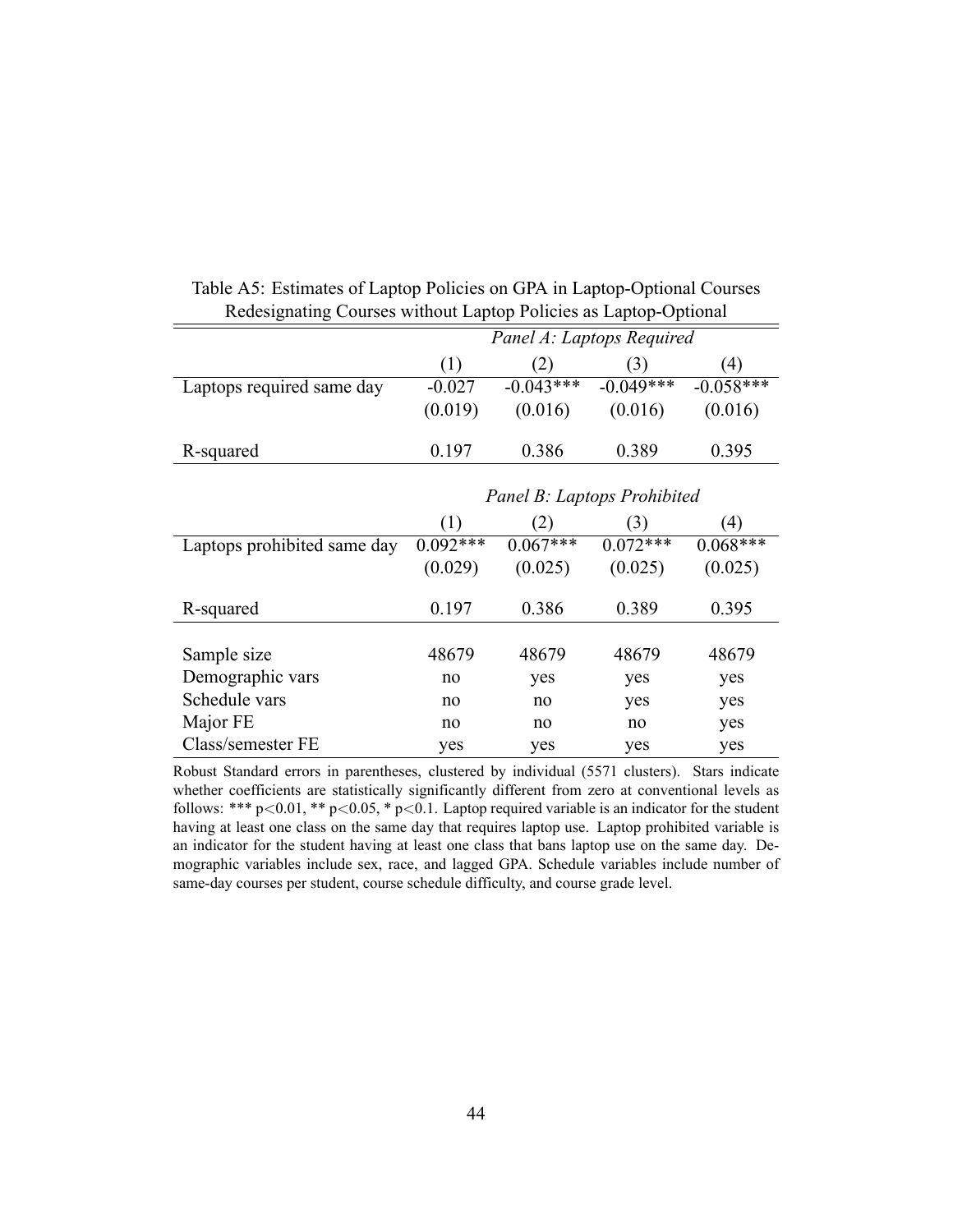|                             | Panel A: Laptops Required |                             |             |             |  |
|-----------------------------|---------------------------|-----------------------------|-------------|-------------|--|
|                             | (1)                       | (2)                         | (3)         | (4)         |  |
| Laptops required same day   | $-0.027$                  | $-0.043***$                 | $-0.049***$ | $-0.058***$ |  |
|                             | (0.019)                   | (0.016)                     | (0.016)     | (0.016)     |  |
| R-squared                   | 0.197                     | 0.386                       | 0.389       | 0.395       |  |
|                             |                           | Panel B: Laptops Prohibited |             |             |  |
|                             | (1)                       | (2)                         | (3)         | (4)         |  |
| Laptops prohibited same day | $0.092***$                | $0.067***$                  | $0.072***$  | $0.068***$  |  |
|                             | (0.029)                   | (0.025)                     | (0.025)     | (0.025)     |  |
| R-squared                   | 0.197                     | 0.386                       | 0.389       | 0.395       |  |
|                             |                           |                             |             |             |  |
| Sample size                 | 48679                     | 48679                       | 48679       | 48679       |  |
| Demographic vars            | no                        | yes                         | yes         | yes         |  |
| Schedule vars               | no                        | no                          | yes         | yes         |  |
| Major FE                    | no                        | no                          | no          | yes         |  |
| Class/semester FE           | yes                       | yes                         | yes         | yes         |  |

Table A5: Estimates of Laptop Policies on GPA in Laptop-Optional Courses Redesignating Courses without Laptop Policies as Laptop-Optional

Robust Standard errors in parentheses, clustered by individual (5571 clusters). Stars indicate whether coefficients are statistically significantly different from zero at conventional levels as follows: \*\*\*  $p<0.01$ , \*\*  $p<0.05$ , \*  $p<0.1$ . Laptop required variable is an indicator for the student having at least one class on the same day that requires laptop use. Laptop prohibited variable is an indicator for the student having at least one class that bans laptop use on the same day. Demographic variables include sex, race, and lagged GPA. Schedule variables include number of same-day courses per student, course schedule difficulty, and course grade level.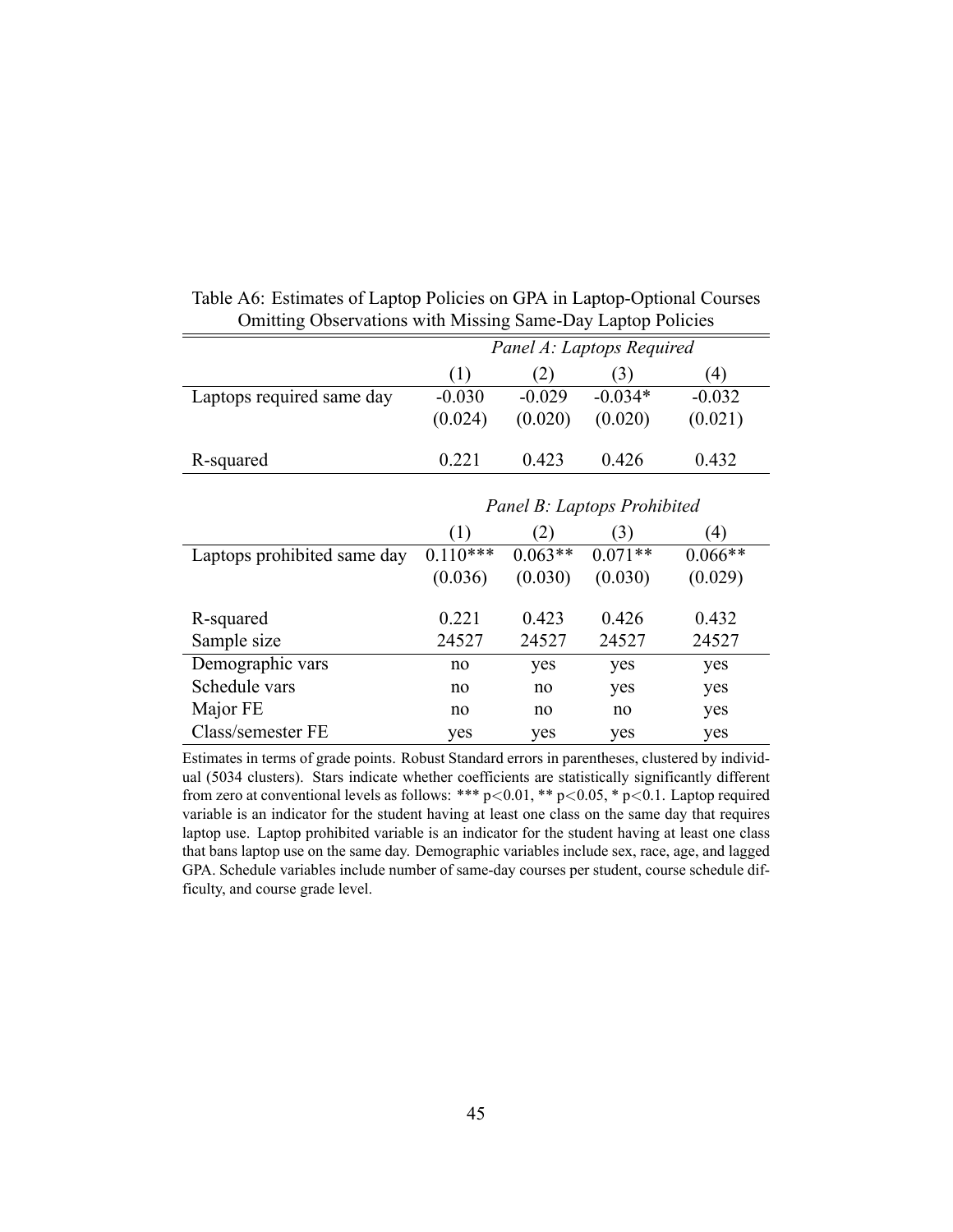|                             | Panel A: Laptops Required   |           |           |           |
|-----------------------------|-----------------------------|-----------|-----------|-----------|
|                             | (1)                         | (2)       | (3)       | (4)       |
| Laptops required same day   | $-0.030$                    | $-0.029$  | $-0.034*$ | $-0.032$  |
|                             | (0.024)                     | (0.020)   | (0.020)   | (0.021)   |
| R-squared                   | 0.221                       | 0.423     | 0.426     | 0.432     |
|                             | Panel B: Laptops Prohibited |           |           |           |
|                             | (1)                         | (2)       | (3)       | (4)       |
| Laptops prohibited same day | $0.110***$                  | $0.063**$ | $0.071**$ | $0.066**$ |
|                             | (0.036)                     | (0.030)   | (0.030)   | (0.029)   |
|                             | 0.221                       | 0.423     | 0.426     | 0.432     |
| R-squared                   |                             |           |           |           |
| Sample size                 | 24527                       | 24527     | 24527     | 24527     |
| Demographic vars            | no                          | yes       | yes       | yes       |
| Schedule vars               | no                          | no        | yes       | yes       |
| Major FE                    | no                          | no        | no        | yes       |
| Class/semester FE           | yes                         | yes       | yes       | yes       |

Table A6: Estimates of Laptop Policies on GPA in Laptop-Optional Courses Omitting Observations with Missing Same-Day Laptop Policies

Estimates in terms of grade points. Robust Standard errors in parentheses, clustered by individual (5034 clusters). Stars indicate whether coefficients are statistically significantly different from zero at conventional levels as follows: \*\*\*  $p<0.01$ , \*\*  $p<0.05$ , \*  $p<0.1$ . Laptop required variable is an indicator for the student having at least one class on the same day that requires laptop use. Laptop prohibited variable is an indicator for the student having at least one class that bans laptop use on the same day. Demographic variables include sex, race, age, and lagged GPA. Schedule variables include number of same-day courses per student, course schedule difficulty, and course grade level.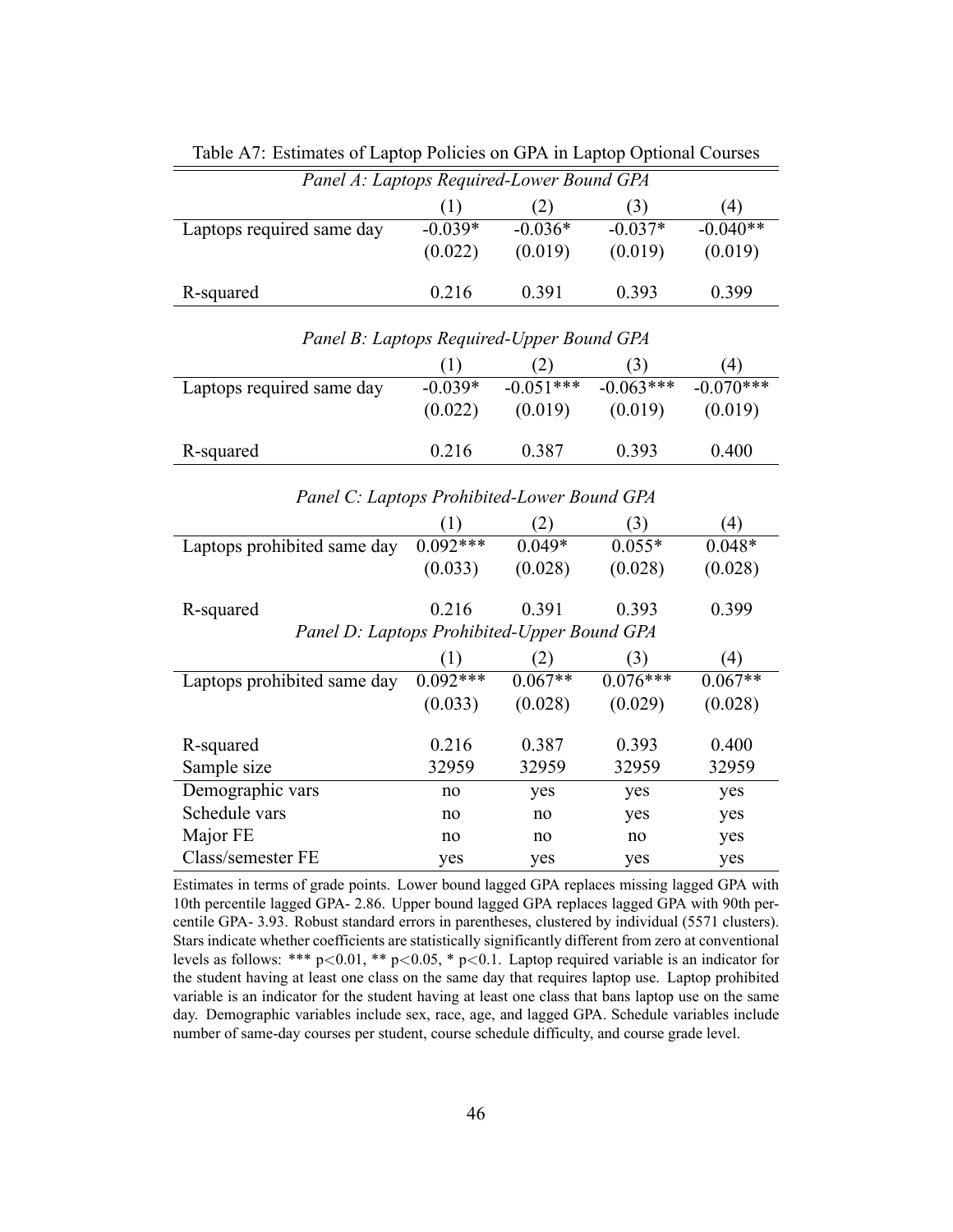| Panel A: Laptops Required-Lower Bound GPA |           |           |           |            |  |  |
|-------------------------------------------|-----------|-----------|-----------|------------|--|--|
| (4)<br>(   )<br>(2)<br>(3)                |           |           |           |            |  |  |
| Laptops required same day                 | $-0.039*$ | $-0.036*$ | $-0.037*$ | $-0.040**$ |  |  |
|                                           | (0.022)   | (0.019)   | (0.019)   | (0.019)    |  |  |
| R-squared                                 | 0.216     | 0 3 9 1   | 0.393     | 0 3 9 9    |  |  |

*Panel B: Laptops Required-Upper Bound GPA*

R-squared 0.216 0.387 0.393 0.400

Laptops required same day  $-0.039*$ 

 $\frac{(1)}{0.039*}$  (2) (3) (4)<br> $\frac{(3.039* -0.051** -0.063*** -0.070**}{0.063*}$ 

 $(0.022)$   $(0.019)$   $(0.019)$   $(0.019)$ 

Table A7: Estimates of Laptop Policies on GPA in Laptop Optional Courses

| Panel C: Laptops Prohibited-Lower Bound GPA |            |           |            |           |  |  |
|---------------------------------------------|------------|-----------|------------|-----------|--|--|
|                                             | (1)        | (2)       | (3)        | (4)       |  |  |
| Laptops prohibited same day                 | $0.092***$ | $0.049*$  | $0.055*$   | $0.048*$  |  |  |
|                                             | (0.033)    | (0.028)   | (0.028)    | (0.028)   |  |  |
| R-squared                                   | 0.216      | 0.391     | 0.393      | 0.399     |  |  |
| Panel D: Laptops Prohibited-Upper Bound GPA |            |           |            |           |  |  |
|                                             | (1)        | (2)       | (3)        | (4)       |  |  |
| Laptops prohibited same day                 | $0.092***$ | $0.067**$ | $0.076***$ | $0.067**$ |  |  |
|                                             | (0.033)    | (0.028)   | (0.029)    | (0.028)   |  |  |
| R-squared                                   | 0.216      | 0.387     | 0.393      | 0.400     |  |  |
| Sample size                                 | 32959      | 32959     | 32959      | 32959     |  |  |
| Demographic vars                            | no         | yes       | yes        | yes       |  |  |
| Schedule vars                               | no         | no        | yes        | yes       |  |  |
| Major FE                                    | no         | no        | no         | yes       |  |  |
| Class/semester FE                           | yes        | yes       | yes        | yes       |  |  |

Estimates in terms of grade points. Lower bound lagged GPA replaces missing lagged GPA with 10th percentile lagged GPA- 2.86. Upper bound lagged GPA replaces lagged GPA with 90th percentile GPA- 3.93. Robust standard errors in parentheses, clustered by individual (5571 clusters). Stars indicate whether coefficients are statistically significantly different from zero at conventional levels as follows: \*\*\*  $p < 0.01$ , \*\*  $p < 0.05$ , \*  $p < 0.1$ . Laptop required variable is an indicator for the student having at least one class on the same day that requires laptop use. Laptop prohibited variable is an indicator for the student having at least one class that bans laptop use on the same day. Demographic variables include sex, race, age, and lagged GPA. Schedule variables include number of same-day courses per student, course schedule difficulty, and course grade level.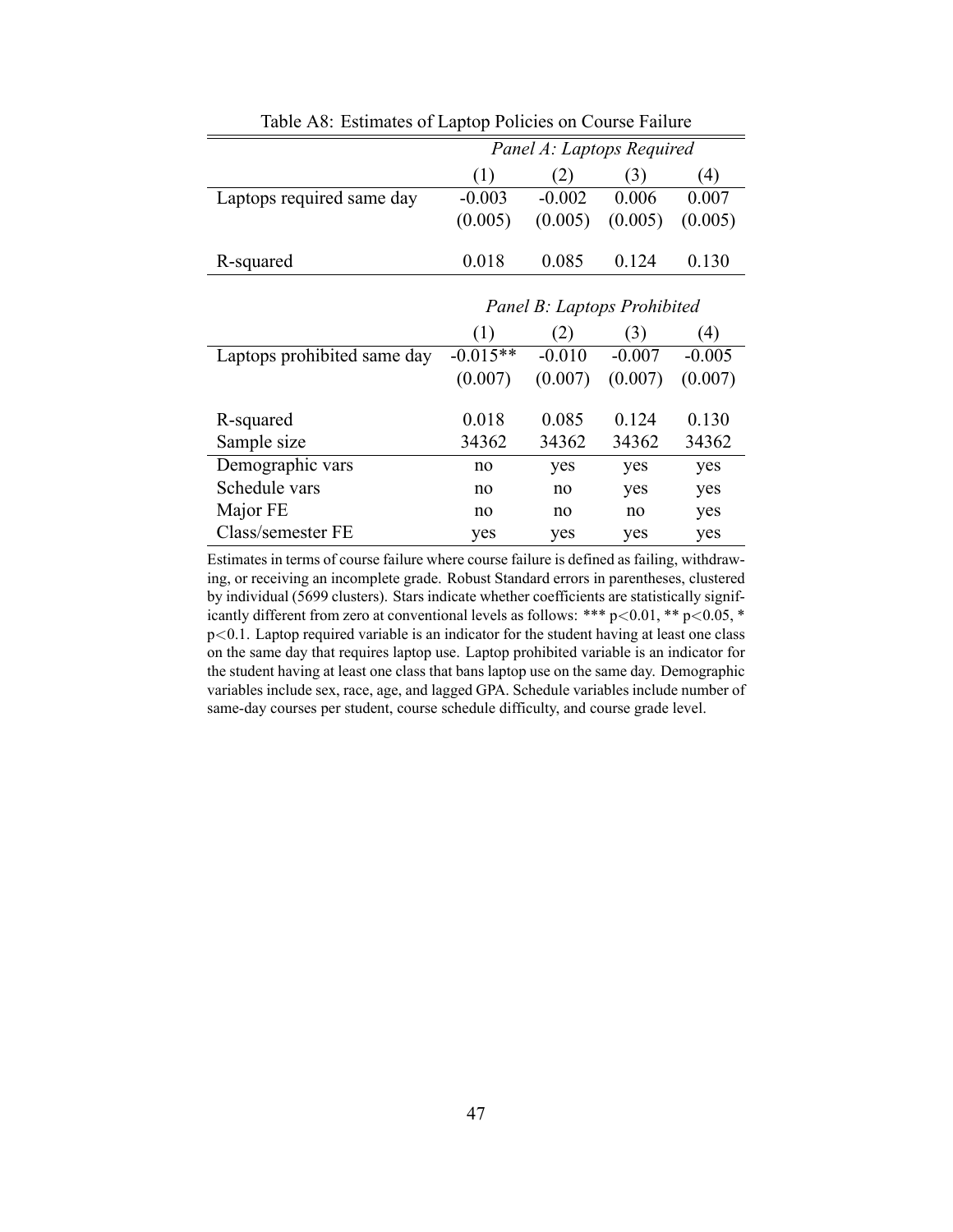|                             | Panel A: Laptops Required |                             |          |          |
|-----------------------------|---------------------------|-----------------------------|----------|----------|
|                             | (1)                       | (2)                         | (3)      | (4)      |
| Laptops required same day   | $-0.003$                  | $-0.002$                    | 0.006    | 0.007    |
|                             | (0.005)                   | (0.005)                     | (0.005)  | (0.005)  |
|                             |                           |                             |          |          |
| R-squared                   | 0.018                     | 0.085                       | 0.124    | 0.130    |
|                             |                           |                             |          |          |
|                             |                           | Panel B: Laptops Prohibited |          |          |
|                             | (1)                       | (2)                         | (3)      | (4)      |
| Laptops prohibited same day | $-0.015**$                | $-0.010$                    | $-0.007$ | $-0.005$ |
|                             | (0.007)                   | (0.007)                     | (0.007)  | (0.007)  |
|                             |                           |                             |          |          |
| R-squared                   | 0.018                     | 0.085                       | 0.124    | 0.130    |
| Sample size                 | 34362                     | 34362                       | 34362    | 34362    |
| Demographic vars            | no                        | yes                         | yes      | yes      |
| Schedule vars               | no                        | no                          | yes      | yes      |
| Major FE                    | no                        | no                          | no       | yes      |
| Class/semester FE           | yes                       | yes                         | yes      | yes      |

Table A8: Estimates of Laptop Policies on Course Failure

Estimates in terms of course failure where course failure is defined as failing, withdrawing, or receiving an incomplete grade. Robust Standard errors in parentheses, clustered by individual (5699 clusters). Stars indicate whether coefficients are statistically significantly different from zero at conventional levels as follows: \*\*\* p<0.01, \*\* p<0.05, \* p<0.1. Laptop required variable is an indicator for the student having at least one class on the same day that requires laptop use. Laptop prohibited variable is an indicator for the student having at least one class that bans laptop use on the same day. Demographic variables include sex, race, age, and lagged GPA. Schedule variables include number of same-day courses per student, course schedule difficulty, and course grade level.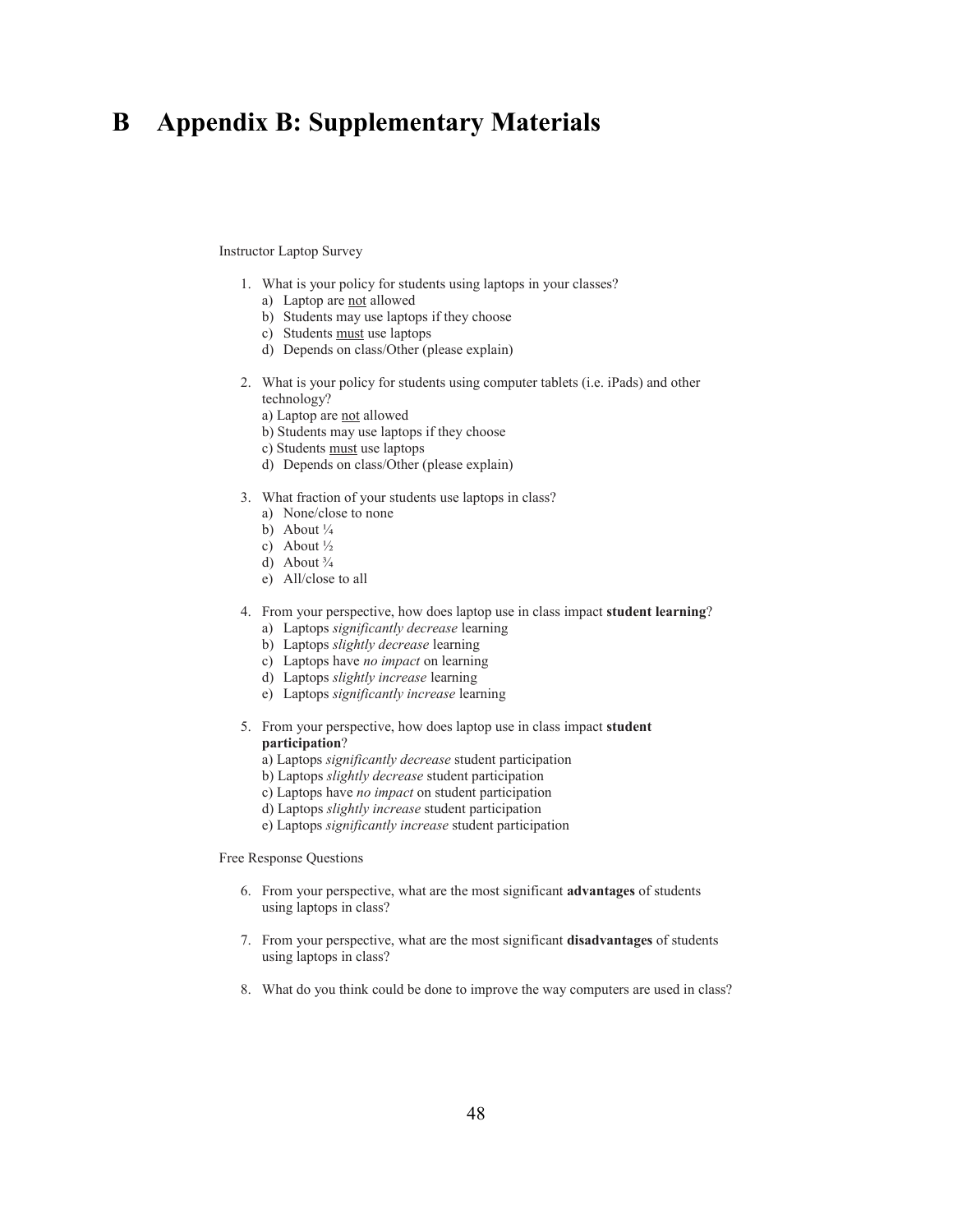## **B Appendix B: Supplementary Materials**

Instructor Laptop Survey

- 1. What is your policy for students using laptops in your classes?
	- a) Laptop are not allowed
	- b) Students may use laptops if they choose
	- c) Students must use laptops
	- d) Depends on class/Other (please explain)
- 2. What is your policy for students using computer tablets (i.e. iPads) and other technology?
	- a) Laptop are not allowed
	- b) Students may use laptops if they choose
	- c) Students must use laptops
	- d) Depends on class/Other (please explain)
- 3. What fraction of your students use laptops in class?
	- a) None/close to none
	- b) About  $\frac{1}{4}$
	- c) About ½
	- d) About  $\frac{3}{4}$
	- e) All/close to all
- 4. From your perspective, how does laptop use in class impact **student learning**?
	- a) Laptops *significantly decrease* learning
	- b) Laptops *slightly decrease* learning
	- c) Laptops have *no impact* on learning
	- d) Laptops *slightly increase* learning
	- e) Laptops *significantly increase* learning
- 5. From your perspective, how does laptop use in class impact **student participation**?
	- a) Laptops *significantly decrease* student participation
	- b) Laptops *slightly decrease* student participation
	- c) Laptops have *no impact* on student participation
	- d) Laptops *slightly increase* student participation
	- e) Laptops *significantly increase* student participation

Free Response Questions

- 6. From your perspective, what are the most significant **advantages** of students using laptops in class?
- 7. From your perspective, what are the most significant **disadvantages** of students using laptops in class?
- 8. What do you think could be done to improve the way computers are used in class?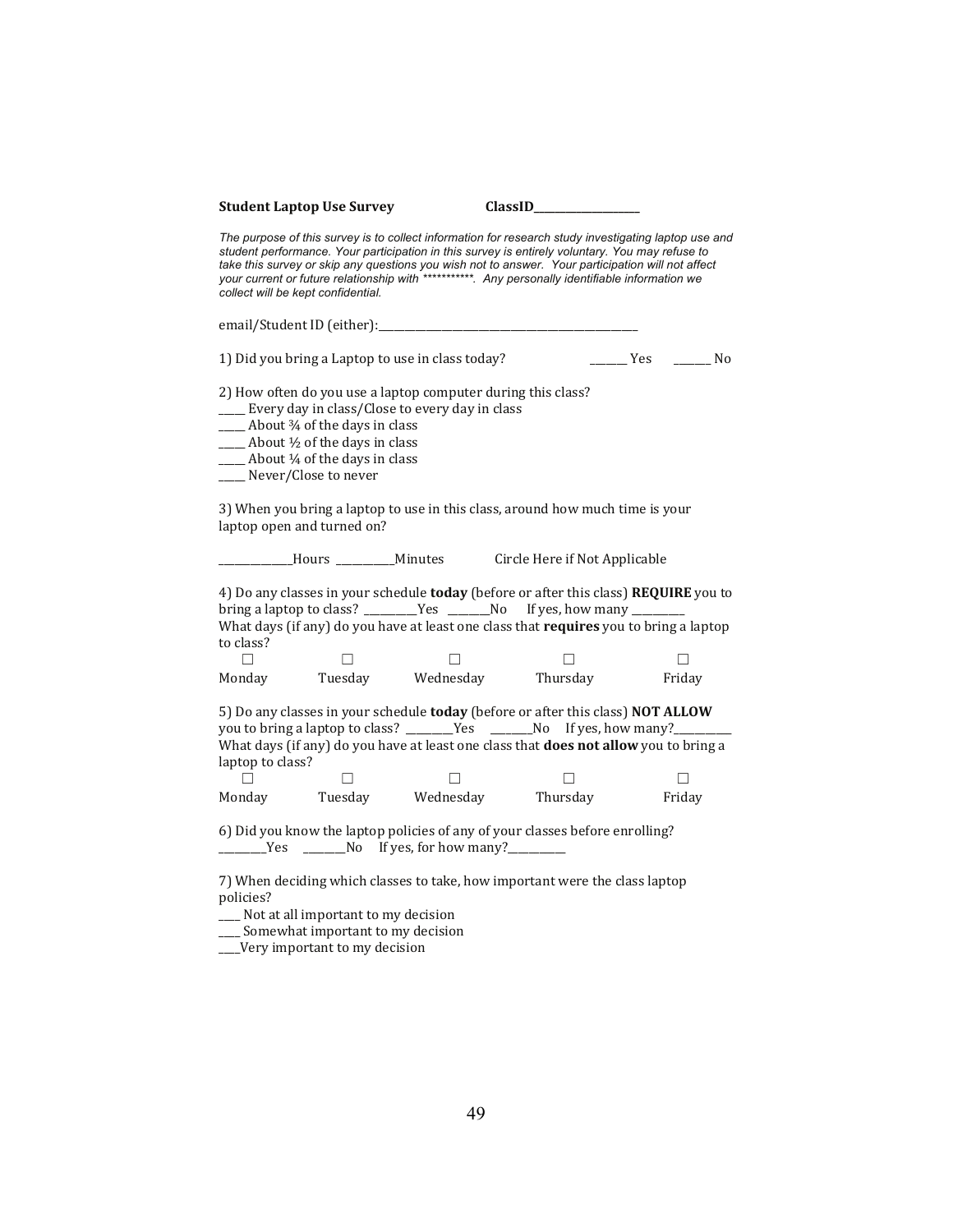ClassID\_\_\_\_\_

*The purpose of this survey is to collect information for research study investigating laptop use and student performance. Your participation in this survey is entirely voluntary. You may refuse to take this survey or skip any questions you wish not to answer. Your participation will not affect your current or future relationship with \*\*\*\*\*\*\*\*\*\*\*. Any personally identifiable information we collect will be kept confidential.*

email/Student ID (either):

1) Did you bring a Laptop to use in class today? \_\_\_\_\_\_\_ Yes \_\_\_\_\_\_\_ No

2) How often do you use a laptop computer during this class? \_\_\_\_\_ Every day in class/Close to every day in class

\_\_\_\_ About 3⁄4 of the days in class

\_\_\_\_\_ About ½ of the days in class

\_\_\_\_\_ About ¼ of the days in class

\_\_\_\_\_ Never/Close to never

3) When you bring a laptop to use in this class, around how much time is your laptop open and turned on?

|                                                                                                                                                                                                                  |  | Hours Minutes                                                                                                                                                                                                                                                                                    | Circle Here if Not Applicable |        |  |  |
|------------------------------------------------------------------------------------------------------------------------------------------------------------------------------------------------------------------|--|--------------------------------------------------------------------------------------------------------------------------------------------------------------------------------------------------------------------------------------------------------------------------------------------------|-------------------------------|--------|--|--|
|                                                                                                                                                                                                                  |  | 4) Do any classes in your schedule <b>today</b> (before or after this class) <b>REQUIRE</b> you to<br>bring a laptop to class? __________Yes $\_\_\_\_\_\_\_\_\$ Po If yes, how many ___________<br>What days (if any) do you have at least one class that <b>requires</b> you to bring a laptop |                               |        |  |  |
| to class?                                                                                                                                                                                                        |  |                                                                                                                                                                                                                                                                                                  |                               |        |  |  |
|                                                                                                                                                                                                                  |  |                                                                                                                                                                                                                                                                                                  |                               |        |  |  |
| Monday                                                                                                                                                                                                           |  | Tuesday Wednesday                                                                                                                                                                                                                                                                                | Thursday                      | Friday |  |  |
| 5) Do any classes in your schedule <b>today</b> (before or after this class) <b>NOT ALLOW</b><br>What days (if any) do you have at least one class that <b>does not allow</b> you to bring a<br>laptop to class? |  |                                                                                                                                                                                                                                                                                                  |                               |        |  |  |
|                                                                                                                                                                                                                  |  |                                                                                                                                                                                                                                                                                                  |                               |        |  |  |
| Monday                                                                                                                                                                                                           |  | Tuesday Wednesday                                                                                                                                                                                                                                                                                | Thursday                      | Friday |  |  |
|                                                                                                                                                                                                                  |  | 6) Did you know the laptop policies of any of your classes before enrolling?                                                                                                                                                                                                                     |                               |        |  |  |

\_\_\_\_\_\_\_\_\_Yes \_\_\_\_\_\_\_\_No If yes, for how many?\_\_\_\_\_\_\_\_\_\_\_

7) When deciding which classes to take, how important were the class laptop policies?

\_\_\_\_ Not at all important to my decision

\_\_\_\_ Somewhat important to my decision

\_\_\_\_Very important to my decision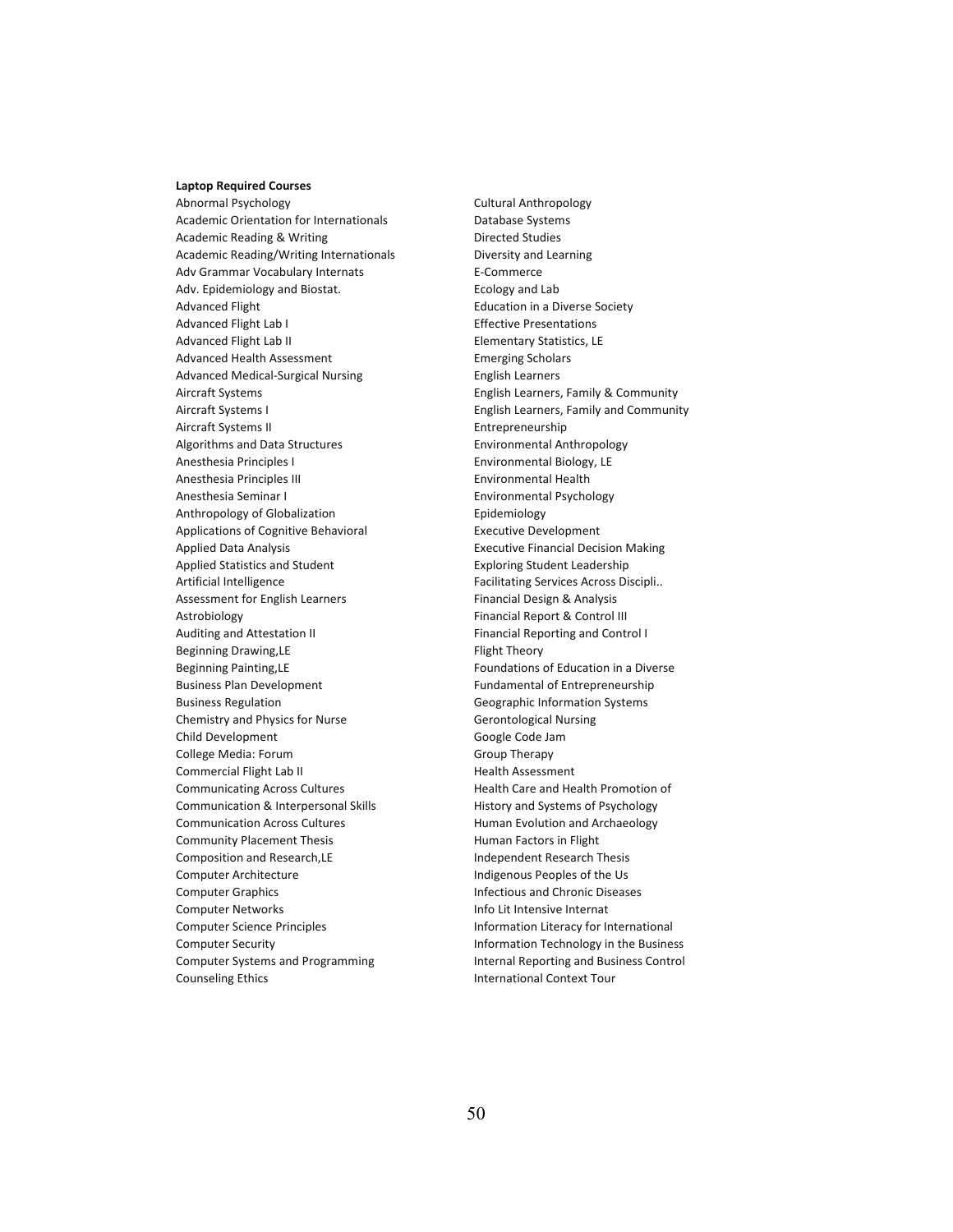#### **Laptop Required Courses**

Abnormal Psychology **Cultural Anthropology** Academic Orientation for Internationals Database Systems Academic Reading & Writing Directed Studies Academic Reading/Writing Internationals **Diversity and Learning** Adv Grammar Vocabulary Internats F-Commerce Adv. Epidemiology and Biostat. The example of the Ecology and Lab Advanced Flight **Education** in a Diverse Society Advanced Flight Lab I Effective Presentations Advanced Flight Lab II **Elementary Statistics**, LE Advanced Health Assessment **Emerging Scholars** Advanced Medical-Surgical Nursing **English Learners** Aircraft Systems English Learners, Family & Community Aircraft Systems I English Learners, Family and Community Aircraft Systems II Entrepreneurship Algorithms and Data Structures **Environmental Anthropology** Anesthesia Principles I and Environmental Biology, LE Anesthesia Principles III **Environmental Health** Anesthesia Seminar I **Annual Environmental Psychology** Anthropology of Globalization **Epidemiology** Applications of Cognitive Behavioral **Executive Development** Applied Data Analysis Executive Financial Decision Making Applied Statistics and Student Exploring Student Leadership Artificial Intelligence **Facilitating Services Across Discipli.**. Assessment for English Learners Financial Design & Analysis Astrobiology **Financial Report & Control III** Auditing and Attestation II **Financial Reporting and Control I** Financial Reporting and Control I Beginning Drawing, LE **Fight Theory** Flight Theory Beginning Painting, LE **Foundations of Education in a Diverse** Business Plan Development **Fundamental of Entrepreneurship** Business Regulation Geographic Information Systems Chemistry and Physics for Nurse Gerontological Nursing Child Development Google Code Jam College Media: Forum Group Therapy Commercial Flight Lab II https://www.box.commercial Flight Lab II https://www.box.commercial Flight Lab II Communicating Across Cultures **Health Care and Health Promotion of** Communication & Interpersonal Skills History and Systems of Psychology Communication Across Cultures **Manual Evolution and Archaeology** Community Placement Thesis **Human Factors in Flight** Human Factors in Flight Composition and Research, LE **Independent Research Thesis** Computer Architecture **Indigenous Peoples of the Us** Computer Graphics **Infectious and Chronic Diseases** Computer Networks **Info Lit Intensive Internat** Computer Science Principles **Information Literacy for International** Computer Security **Information Technology in the Business** Computer Systems and Programming Internal Reporting and Business Control Counseling Ethics **International Context Tour**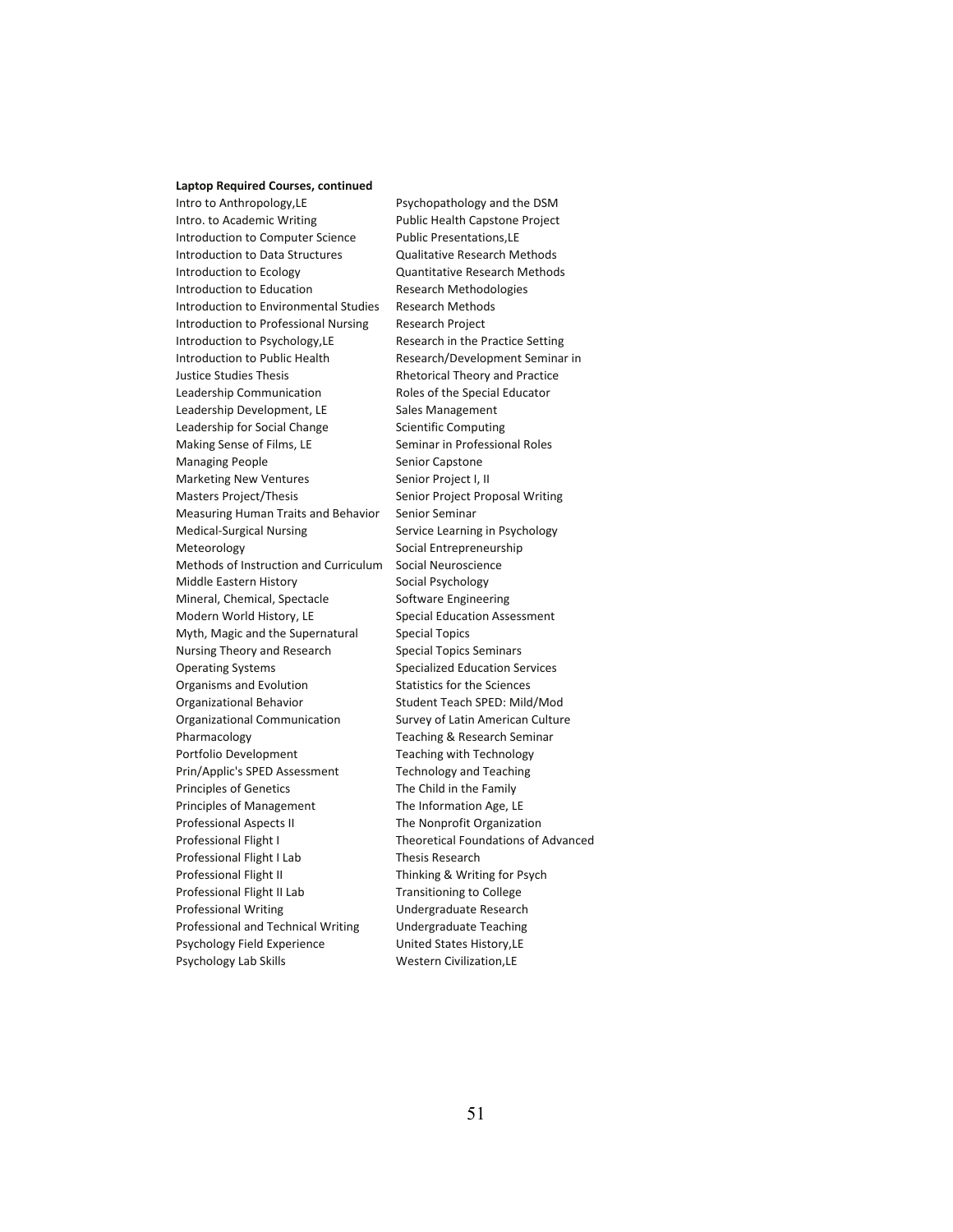#### **Laptop Required Courses, continued**

Intro. to Academic Writing Public Health Capstone Project Introduction to Computer Science Public Presentations,LE Introduction to Data Structures Qualitative Research Methods Introduction to Ecology Quantitative Research Methods Introduction to Education **Research Methodologies** Introduction to Environmental Studies Research Methods Introduction to Professional Nursing Research Project Introduction to Psychology, LE Research in the Practice Setting Introduction to Public Health Research/Development Seminar in Justice Studies Thesis **Rhetorical Theory and Practice** Leadership Communication Roles of the Special Educator Leadership Development, LE Sales Management Leadership for Social Change Scientific Computing Making Sense of Films, LE Seminar in Professional Roles Managing People Senior Capstone Marketing New Ventures Senior Project I, II Masters Project/Thesis Senior Project Proposal Writing Measuring Human Traits and Behavior Senior Seminar Medical-Surgical Nursing Service Learning in Psychology Meteorology **Social Entrepreneurship** Social Entrepreneurship Methods of Instruction and Curriculum Social Neuroscience Middle Eastern History Social Psychology Mineral, Chemical, Spectacle Software Engineering Modern World History, LE Special Education Assessment Myth, Magic and the Supernatural Special Topics Nursing Theory and Research Special Topics Seminars Operating Systems Specialized Education Services Organisms and Evolution Statistics for the Sciences Organizational Behavior Student Teach SPED: Mild/Mod Organizational Communication Survey of Latin American Culture Pharmacology Teaching & Research Seminar Portfolio Development Teaching with Technology Prin/Applic's SPED Assessment Technology and Teaching Principles of Genetics The Child in the Family Principles of Management The Information Age, LE Professional Aspects II The Nonprofit Organization Professional Flight I Theoretical Foundations of Advanced Professional Flight I Lab Thesis Research Professional Flight II Thinking & Writing for Psych Professional Flight II Lab Transitioning to College Professional Writing **National Writing** Undergraduate Research Professional and Technical Writing Undergraduate Teaching Psychology Field Experience United States History,LE Psychology Lab Skills Western Civilization, LE

Intro to Anthropology,LE Psychopathology and the DSM